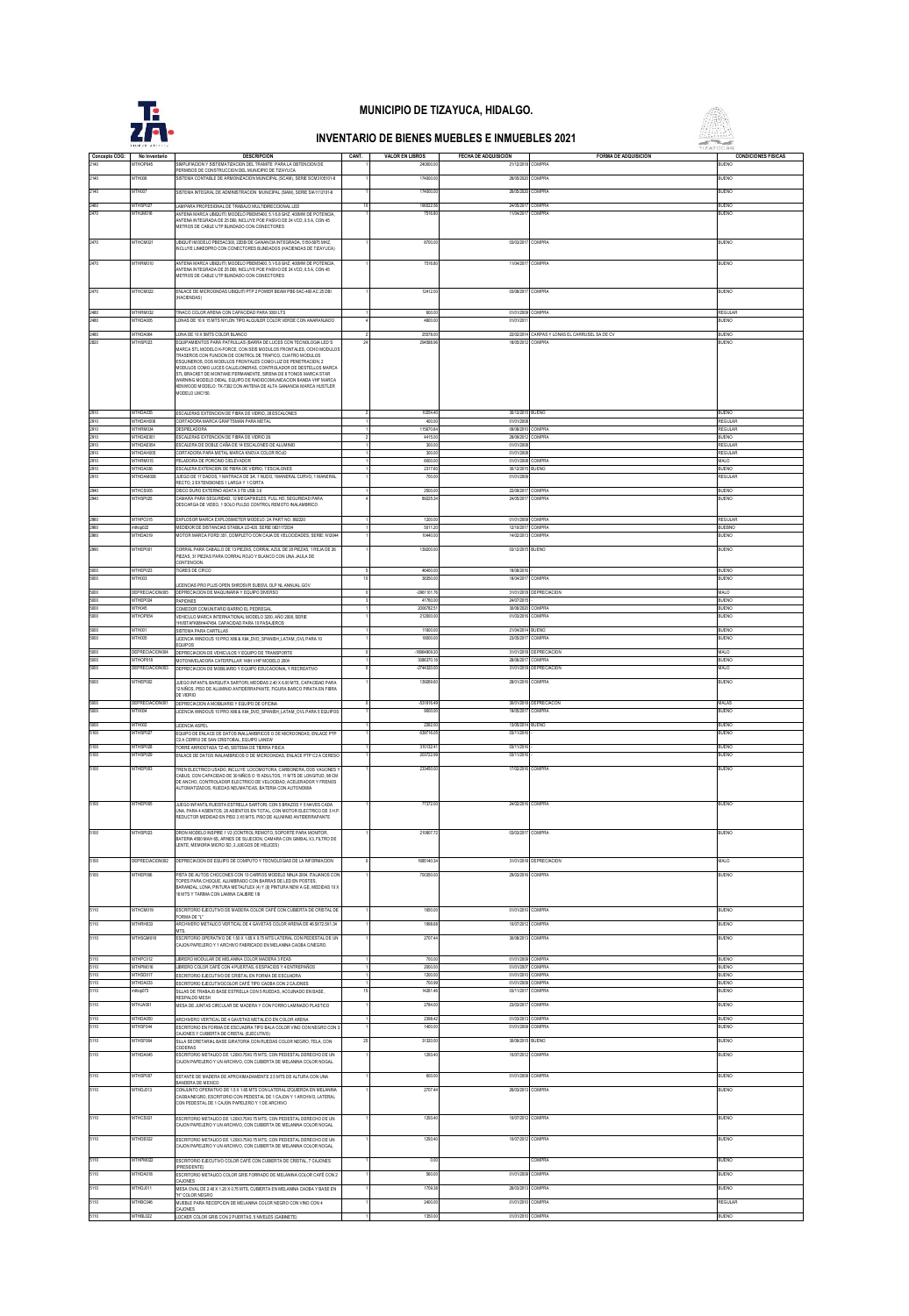

 MTHOP045 SIMPLIFIACION Y SISTEMATIZACION DEL TRAMITE PARA LA OBTENCION DE PERMISOS DE CONSTRUCCION DEL MUNICIPIO DE TIZAYUCA

## **MUNICIPIO DE TIZAYUCA, HIDALGO.**

## **INVENTARIO DE BIENES MUEBLES E INMUEBLES 2021**



|              | <b>MTHSP027</b>                | AMPARA PROFESIONAL DE TRABAJO MULTIDRECCIONAL LED                                                                                                 | 198522.5               | 24/05/20                               | COMPRA                                         | BUENO                           |
|--------------|--------------------------------|---------------------------------------------------------------------------------------------------------------------------------------------------|------------------------|----------------------------------------|------------------------------------------------|---------------------------------|
| 2470         | MTHJM016                       | ANTENA MARCA UBIQUITI, MODELO PBEM5400, 5.1-5.8 GHZ, 400MW DE POTENCIA<br>ANTENA INTEGRADA DE 25 DBI, INCLUYE POE PASIVO DE 24 VCD, 0.5 A, CON 45 | 7516.8                 | 11/04/201                              | COMPRA                                         | RIFNO                           |
|              |                                | METROS DE CABLE UTP BLINDADO CON CONECTORES                                                                                                       |                        |                                        |                                                |                                 |
| 2470         | MTHCM021                       | JBIQUITI MODELO PBE5AC300, 22DBI DE GANANCIA INTEGRADA, 5150-5875 MHZ.                                                                            | 8700.00                | 03/03/2017 COMPRA                      |                                                | BUENO                           |
|              |                                | VCLUYE LINKEDPRO CON CONECTORES BLINDADOS (HACIENDAS DE TIZAYUCA)                                                                                 |                        |                                        |                                                |                                 |
| 2470         | MTHRM010                       | ANTENA MARCA LIRIQUITI MODELO PREMAZIO 5 1.5 8 GHZ 400MW DE POTENCIA                                                                              | 7516.8                 | 11/04/2017                             | <b>COMPRA</b>                                  | BUENO                           |
|              |                                | INTENA INTEGRADA DE 25 DBI, INCLUYE POE PASIVO DE 24 VCD, 0.5 A, CON 45                                                                           |                        |                                        |                                                |                                 |
|              |                                | METROS DE CABLE UTP BLINDADO CON CONECTORES                                                                                                       |                        |                                        |                                                |                                 |
| 2470         | MTHCM022                       | ENLACE DE MICROONDAS UBIQUITI PTP 2 POWER BEAM PBE-5AC-400 AC 25 DBI                                                                              | 12412.0                | 03/08/2017 COMPRA                      |                                                | BUENO                           |
|              |                                | HACIENDAS)                                                                                                                                        |                        |                                        |                                                |                                 |
| 2480         | MTHRM032                       | TINACO COLOR ARENA CON CAPACIDAD PARA 3000 LTS                                                                                                    | 600.00                 | 01/01/2009 COMPRA                      |                                                | REGULAR                         |
| 2480         | MTHDA005                       | LONAS DE 10 X 15 MTS NYLON TIPO ALQUILER COLOR VERDE CON ANARANJADO                                                                               | 4800.00                | 01/01/201                              |                                                | <b>BUENO</b>                    |
| 2480         | <b>MTHDA06</b>                 | LONA DE 10 X SMTS COLOR BLANCO                                                                                                                    | 25578.0                |                                        | 22/02/2014 CARPAS Y LONAS EL CARRUSEL SA DE C' | BUENO                           |
| 2820         | <b>ATHSPA23</b>                | EQUIPAMIENTOS PARA PATRULLAS (BARRA DE LUCES CON TECNOLOGIA LED'S<br>MARCA STL MODELO K-FORCE. CON SEIS MODULOS FRONTALES. OCHO MODULOS           | 2945889                | 18092012 COMPRA                        |                                                | RIJENO                          |
|              |                                | RASEROS CON FUNCION DE CONTROL DE TRAFICO, CUATRO MODULOS<br>ESQUINEROS, DOS MODULOS FRONTALES COMO LUZ DE PENETRACION, 2                         |                        |                                        |                                                |                                 |
|              |                                | MODULOS COMO LUCES CALLEJONERAS, CONTROLADOR DE DESTELLOS MARCA                                                                                   |                        |                                        |                                                |                                 |
|              |                                | STL BRACKET DE MONTAKE PERMANENTE, SIRENA DE 6 TONOS MARCA STAR<br>WARNING MODELO D60AL EQUIPO DE RADIOCOMUNICACION BANDA VHF MARCA               |                        |                                        |                                                |                                 |
|              |                                | KENWOOD MODELO: TK-7302 CON ANTENA DE ALTA GANANCIA MARCA HUSTLER<br>MODELO LMC150.                                                               |                        |                                        |                                                |                                 |
|              |                                |                                                                                                                                                   |                        |                                        |                                                |                                 |
| 2910         | <b>MTHDA035</b>                | ESCALERAS EXTENCION DE FIBRA DE VIDRIO, 28 ESCALONES                                                                                              | 10254.40               | 30/12/2015 BUENO                       |                                                | <b>BUENO</b>                    |
| 2910         | MTHDAH00                       | CORTADORA MARCA GRAFTSMAN PARA METAL                                                                                                              | 400.00                 | 01/01/2008                             |                                                | REGULAR                         |
| 2910         | THRM034<br>THDAE00             | <b>ESPELADORA</b><br>ESCALERAS EXTENCION DE FIBRA DE VIDRIO 28.                                                                                   | 115670.6<br>4415.0     | 09/08/2010<br>28/09/201                | COMPR.<br>COMPRA                               | EGULAR<br>LIENO                 |
| 2910         | <b>ITHDAE054</b>               | SCALERA DE DOBLE CAÑA DE 14 ESCALONES DE ALUMNIO                                                                                                  | 300.0                  | 01/01/200                              |                                                | REGULAR                         |
| 2910         | THDAH00                        | CORTADORA PARA METAL MARCA KNOVA COLOR ROJO                                                                                                       | 300.0                  | 01/01/200                              |                                                | EGULAR                          |
| 2910<br>2910 | MTHRM015<br>MTHDA036           | PELADORA DE PORCINO CIELEVADOR<br>ESCALERA EXTENCIÓN DE FIBRA DE VIDRIO, 7 ESCALONES                                                              | 6000.0<br>2317.60      | 01/01/2008 COMPRA<br>30/12/2015 BUENO  |                                                | MALO<br><b>BUENO</b>            |
| 2910         | MTHDAM006                      | JUEGO DE 17 DADOS. 1 MATRACA DE 3/4, 1 NUDO, 1MANERAL CURVO, 1 MANERAL                                                                            | 700.00                 | 01/01/200                              |                                                | REGULAR                         |
| 2940         | MTHCS005                       | ECTO, 2 EXTENSIONES 1 LARGA Y 1 CORTA<br>ISCO DURO EXTERNO ADATA 3 TB USB 3.0                                                                     | 2500.0                 | 22/09/2017 COMPRA                      |                                                | <b>BUENO</b>                    |
| 2940         | MTHSP025                       | MARA PARA SEGURDAD 12 MEGAPOEUES. EULLHD, SEGURDAD PARA                                                                                           | 89225.3                | 24/05/2017 COMPRA                      |                                                | <b>BUENO</b>                    |
|              |                                | JESCARGA DE VIDEO, 1 SOLO PULSO CONTROL REMOTO INALAMBRICO                                                                                        |                        |                                        |                                                |                                 |
| 290          | MTHPC015                       | EXPLOSOR MARCA EXPLOSMETER MODELO: 2A PART NO. 892220                                                                                             | 1200.0                 | 01/01/2009 COMPRA                      |                                                | <b>REGULAR</b><br><b>BUEBNO</b> |
| 2960<br>2990 | thop(122)<br><b>MTHDA019</b>   | MEDIDOR DE DISTANCIAS STABILA LD-420, SERIE 0831172034<br>(OTOR MARCA FORD 351, COMPLETO CON CAJA DE VELOCIDADES, SERIE: N12044                   | 5011.2<br>10440.0      | 12/10/2017 COMPRA<br>14/07/2013 COMPRA |                                                | RIJENO                          |
|              |                                |                                                                                                                                                   |                        |                                        |                                                |                                 |
| 2990         | MTHEP001                       | CORRAL PARA CABALLO DE 13 PIEZAS, CORRAL AZUL DE 20 PIEZAS, 1 REJA DE 26<br>PIEZAS, 31 PIEZAS PARA CORRAL ROJO Y BLANCO CON UNA JAULA DE          | 139200.0               | 03/12/2015 BUENO                       |                                                | <b>BUENO</b>                    |
| 5000         | MTHEP023                       | ONTENCION.<br>TIGRES DE CIRCO                                                                                                                     | 46400.0                | 18/08/2016                             |                                                | <b>BUENO</b>                    |
| 5000         | MTH003                         |                                                                                                                                                   | 38350.0                | 18/04/2017                             | COMPRA                                         | BUENO                           |
| 5000         | DEPRECIACIONOM                 | ICENCIAS PRO PLUS OPEN SHRDSVR SUBSVL OLP NL ANNUAL GOV<br>DEPRECIACION DE MAQUINARIA Y EQUIPO DIVERSO                                            | -2961101.7             |                                        | 31/01/2018 DEPRECIACION                        | MAI O                           |
| 5000         | MTHEP024                       | APIONES                                                                                                                                           | 41760.0                | 24/07/2015                             |                                                | <b>BUENO</b>                    |
| 5000<br>5000 | <b>MTHOM</b><br><b>MTHOPOS</b> | COMEDOR COMUNITARIO BARRIO EL PEDREGAL<br>EHICULO MARCA INTERNATIONAL MODELO 3200, AÑO 2008, SERIE                                                | 2006782.5<br>212000.00 | 30/06/2020 COMPRA<br>01/03/2016 COMPRA |                                                | <b>RIFNO</b><br>BUENO           |
|              |                                | HVBTAFK68H447454, CAPACIDAD PARA 10 PASAJEROS                                                                                                     |                        |                                        |                                                |                                 |
| 5000<br>5000 | MTH001<br>MTH005               | SISTEMA PARA CARTILLAS<br>LICENCIA WINDOUS 10 PRO XB6 & X64_DVD_SPANISH_LATAM_OVL PARA 10                                                         | 11600.0<br>18000.0     | 21/04/2014 BUENO<br>23/05/2017 COMPRA  |                                                | <b>BUENO</b><br><b>BUENO</b>    |
| 5000         | DEPRECIACION004                | <b>QUIPOS</b>                                                                                                                                     | 18964909.2             |                                        | 31/01/2018 DEPRECIACIÓN                        | MALO                            |
| 5000         | MTHOP018                       | DEPRECIACIÓN DE VEHICULOS Y EQUIPO DE TRANSPORTE<br>ΜΟΤΟΝΙΛΕΙ ΑΠΟΡΑ CATERPLI AR 140H VHP ΜΟΠΕΙ Ο 2004                                             | 3086370.1              | 28/06/2017 COMPRA                      |                                                | <b>BUENO</b>                    |
| 5000         | DEPRECIACION003                | DEPRECIACION DE MOBILIARIO Y EQUIPO EDUCACIONAL Y RECREATIVO                                                                                      | $-2744320.0$           |                                        | 31/01/2018 DEPRECIACION                        | MALO.                           |
| 5000         | ATHEP002                       | JUEGO INFANTIL BARQUITA SARTORI, MEDIDAS 2.40 X 6.00 MTS, CAPACIDAD PARA                                                                          | 139269.6               | 28/01/2016                             | COMPRA                                         | <b>BLIENO</b>                   |
|              |                                | 2 NIÑOS. PISO DE ALUMINO ANTIDERRAPANTE. FIGURA BARCO PIRATA EN FBRA<br><b>E VDRIO</b>                                                            |                        |                                        |                                                |                                 |
| 5000<br>5000 | EPRECIACIONIC<br>1TH004        | DEPRECIACION A MOBILIARIO Y EQUIPO DE OFICINA<br>ICENCIA WINDOUS 10 PRO X86 & X64_DVD_SPANISH_LATAM_OVL PARA 5 EQUIPOS                            | 531816<br>9000.0       | 19/05/2017                             | 30/01/2018 DEPRECIACOM<br>COMPRA               | MAI AS<br>IUENO                 |
|              |                                |                                                                                                                                                   |                        |                                        |                                                |                                 |
| 5000<br>5100 | MTH002<br>MTHSP027             | LICENCIA ASPEL<br>EQUIPO DE ENLACE DE DATOS INALIAMBRICOS O DE MICROONDAS, ENLACE PTP                                                             | 2262.00<br>639716.05   | 13/05/2014<br>03/11/2016               | BUENO                                          | <b>BUENO</b><br><b>BUENO</b>    |
| 5100         | MTHSP028                       | 2 A CERRO DE SAN CRISTOBAL, EQUIPO LANSW                                                                                                          | 3101324                | 03/11/201                              |                                                | BUENO                           |
| 5100         | THSP02                         | TORRE ARRIOSTADA TZ-45, SISTEMA DE TIERRA FISICA<br>NLACE DE DATOS INALAMBRICOS O DE MICROONDAS, ENLACE PTP C2A CERESO                            | 2037229                | 03/11/201                              |                                                | <b>BLIENO</b>                   |
| 5100         | MTHEP003                       | TREN ELECTRICO USADO. INCLUYE: LOCOMOTORA, CARBONERA, DOS VAGONES                                                                                 | 233450.0               | 17/02/2016                             | COMPRA                                         | <b>BUENO</b>                    |
|              |                                | CABUS, CON CAPACIDAD DE 30 NIÑOS O 15 ADULTOS, 11 MTS DE LONGITUD, SE CM<br>DE ANCHO, CONTROLADOR ELECTRICO DE VELOCIDAD, ACELERADOR Y FRENOS     |                        |                                        |                                                |                                 |
|              |                                | AUTOMATIZADOS, RUEDAS NEUMATICAS, BATERIA CON AUTONOMIA                                                                                           |                        |                                        |                                                |                                 |
| 5100         | <b>ATHEPMY</b>                 | UEGO INFANTL RUEDITA ESTRELLA SARTORI, CON 5 BRAZOS Y 5 NAVES CADA                                                                                | 77372.0                | 24/02/016 COMPRA                       |                                                | UENO                            |
|              |                                | UNA, PARA 4 ASENTOS, 20 ASENTOS EN TOTAL, CON MOTOR ELECTRICO DE 3 H.P.                                                                           |                        |                                        |                                                |                                 |
|              |                                | REDUCTOR MEDIDAD EN PISO 3 X5 MTS, PISO DE ALUMINO ANTIDERRAPANTE                                                                                 |                        |                                        |                                                |                                 |
| 5100         | MTHSP023                       | RON MODELO INSPIRE 1 V2 (CONTROL REMOTO, SOPORTE PARA MONITOR<br>BATERIA 4500 MAH 6S, ARNES DE SUJECIÓN, CAMARA CON GIMBAL X3, FILTRO DE          | 210907.7               | 03/03/2017 COMPRA                      |                                                | BUENO                           |
|              |                                | LENTE, MEMORIA MICRO SD, 2 JUEGOS DE HELICES)                                                                                                     |                        |                                        |                                                |                                 |
| 5100         | DEPRECIACION002                | DEPRECIACION DE EQUIPO DE COMPUTO Y TECNOLOGIAS DE LA INFORMACION                                                                                 | 1685140.3              |                                        | 31/01/2018 DEPRECIACION                        | MALO                            |
|              |                                |                                                                                                                                                   |                        |                                        |                                                |                                 |
| 5100         | MTHEP006                       | ISTA DE AUTOS CHOCONES CON 10 CARROS MODELO NINJA 2004, ITALIANOS CON<br>TOPES PARA CHOQUE. ALUMBRADO CON BARRAS DE LED EN POSTES.                | 700350.0               | 29/03/2016 COMPRA                      |                                                | <b>BUENO</b>                    |
|              |                                | BARANDAL, LONA, PINTURA METALFLEX (4) Y (6) PINTURA NEW A GE, MEDIDAS 10 X<br>6 MTS Y TARMA CON LAMNA CALBRE 18                                   |                        |                                        |                                                |                                 |
|              |                                |                                                                                                                                                   |                        |                                        |                                                |                                 |
| 5110         | MTHCM019                       | ESCRITORIO EJECUTIVO DE MADERA COLOR CAFÉ CON CUBIERTA DE CRISTAL DE<br>ORMA DE "L"                                                               | 1650.00                | 01/01/2010 COMPRA                      |                                                | <b>BUENO</b>                    |
| 5110         | MTHRH033                       | ARCHIVERO METALICO VERTICAL DE 4 GAVETAS COLOR ARENA DE 46.5X72.5X1.34<br>MTS.                                                                    | 1998.6                 | 10/07/2012                             | COMPRA                                         | <b>BUENO</b>                    |
| 5110         | <b>ITHSGM01</b>                | ESCRITORIO OPERATIVO DE 1.50 X 1.65 X 0.75 MTS LATERAL CON PEDESTAL DE UN                                                                         | 2707.4                 | 3008/201                               | COMPRA                                         | BUENC                           |
|              |                                | A ION PAPELERO Y 1 ARCHIVO FARRICADO EN MELANINA CAORA CINEGRO                                                                                    |                        |                                        |                                                |                                 |
|              | <b>ITHPC012</b>                | LIBRERO MODULAR DE MELANINA COLOR MADERA 3 PZAS                                                                                                   | 700.0                  | 01/01/200                              | <b>COMPRA</b>                                  | <b>I FM</b>                     |
| 5110<br>5110 | <b>ATHPMO16</b><br>MTHSD017    | BRERO COLOR CAFÉ CON 4 PUERTAS, 6 ESPACIOS Y 4 ENTREPAÑOS<br>ESCRITORIO EJECUTIVO DE CRISTAL EN FORMA DE ESCUADRA                                 | 2000.0<br>1200.0       | 01/01/2007<br>01/01/2010 COMPRA        | COMPRA                                         | IUENO<br><b>BUENO</b>           |
|              | ITHDA03                        |                                                                                                                                                   |                        |                                        |                                                |                                 |
| 5110         | nthop073                       | SILLAS DE TRABAJO BASE ESTRELLA CON 5 RUEDAS. ACOJINADO EN BASE<br><b>ESPALDO MESH</b>                                                            | 14261.4                | 03/11/2017 COMPRA                      |                                                | BUENO                           |
| 5110         | MTHJA001                       | MESA DE JUNTAS CRCULAR DE MADERA Y CON FORRO LAMINADO PLASTICO                                                                                    | 2784.00                | 23/03/2017 COMPRA                      |                                                | <b>BUENO</b>                    |
| 5110         | MTHDA050                       | RCHIVERO VERTICAL DE 4 GAVETAS METALICO EN COLOR ARENA                                                                                            | 2398.42                | 01/03/2013 COMPRA                      |                                                | <b>BUENO</b>                    |
| 5110         | <b>MTHSF044</b>                | ESCRITORIO EN FORMA DE ESCUADRA TIPO BALA COLOR VINO CON NEGRO CON 3<br>AJONES Y CUBIERTA DE CRISTAL (EJECUTIVO)                                  | 1400.0                 | 01/01/2009 COMPRA                      |                                                | <b>BLIENO</b>                   |
| 5110         | MTHSF064                       | SI LA SECRETARIAL RASE GRATORIA CON RUEDAS COLOR NEGRO. TELA CON                                                                                  | 31320.0                | 30/09/2015 BUENO                       |                                                | <b>BUENO</b>                    |
| 5110         | MTHDA045                       | COERAS<br>ESCRITORIO METALICO DE 12000 75X0 75MTS. CON PEDESTAL DERECHO DE UN                                                                     | 1293.4                 | 10/07/2012 COMPRA                      |                                                | <b>BUENO</b>                    |
|              |                                | AJON PAPELERO Y UN ARCHIVO, CON CUBIERTA DE MELANINA COLOR NOGAL                                                                                  |                        |                                        |                                                |                                 |
| 5110         | MTHSP007                       | STANTE DE MADERA DE APROXIMADAMENTE 2.5 MTS DE ALTURA CON UNA                                                                                     | 600.0                  | 01/01/2009 COMPRA                      |                                                | RUENO                           |
| 5110         | MTHDJ013                       | <b>IANDERA DE MEXICO</b><br>CONJUNTO OPERATIVO DE 15 X 1.65 MTS CON LATERAL IZQUIERDA EN MELANINA                                                 | 2707.4                 | 26/03/2013 COMPRA                      |                                                | <b>BUENO</b>                    |
|              |                                | AOBANEGRO. ESCRITORIO CON PEDESTAL DE 1 CAJON Y 1 ARCHIVO. LATERAL<br>ON PEDESTAL DE 1 CAJON PAPELERO Y 1 DE ARCHIVO                              |                        |                                        |                                                |                                 |
|              |                                |                                                                                                                                                   |                        |                                        |                                                |                                 |
| 5110         | ATHCS02                        | SCRITORIO METALICO DE 1.20X0.75X0.75 MTS, CON PEDESTAL DERECHO DE UN<br>AJON PAPELERO Y UN ARCHIVO. CON CUBIERTA DE MELANINA COLOR NOGAL          | 1293.4                 | 10/07/2012 COMPRA                      |                                                | ILIENO                          |
| 5110         | THDE022                        | ESCRITORIO METALICO DE 120X0.75X0.75 MTS, CON PEDESTAL DERECHO DE UN                                                                              | 1293.4                 | 10/07/2012 COMPRA                      |                                                | UENO                            |
|              |                                | AJON PAPELERO Y UN ARCHIVO. CON CUBIERTA DE MELANINA COLOR NOGAL                                                                                  |                        |                                        |                                                |                                 |
| 5110         | THPM022                        | ESCRITORIO EJECUTIVO COLOR CAFÉ CON CUBIERTA DE CRISTAL, 7 CAJONES                                                                                | 0.0                    |                                        | COMPRA                                         | UENO                            |
|              | MTHDA018                       | PRESIDENTE)<br>SCRITORIO METALICO COLOR GRIS FORRADO DE MELANINA COLOR CAFÉ CON 2                                                                 | 560.00                 | 01/01/2009 COMPRA                      |                                                | <b>BUENO</b>                    |
| 5110         |                                | CAJONES                                                                                                                                           |                        |                                        |                                                |                                 |
| 5110         | MTHDJ011                       | IESA OVAL DE 2.40 X 1.20 X 0.75 MTS, CUBIERTA EN MELANINA CAOBA Y BASE EN<br>H" COLOR NEGRO                                                       | 1709.3                 | 26032013                               | COMPRA                                         | RIJENO                          |
| 5110         | MTHBC046                       | MUEBLE PARA RECEPCION DE MELANINA COLOR NEGRO CON VINO CON 4<br>A IONES                                                                           | 2400.0                 | 01/01/2010 COMPRA                      |                                                | REGULAR                         |
| 5110         | MTHBL022                       | LOCKER COLOR GRIS CON 2 PUERTAS, 5 NIVELES (GABINETE)                                                                                             | 1350.00                | 01/01/2010 COMPRA                      |                                                | <b>BUENO</b>                    |
|              |                                |                                                                                                                                                   |                        |                                        |                                                |                                 |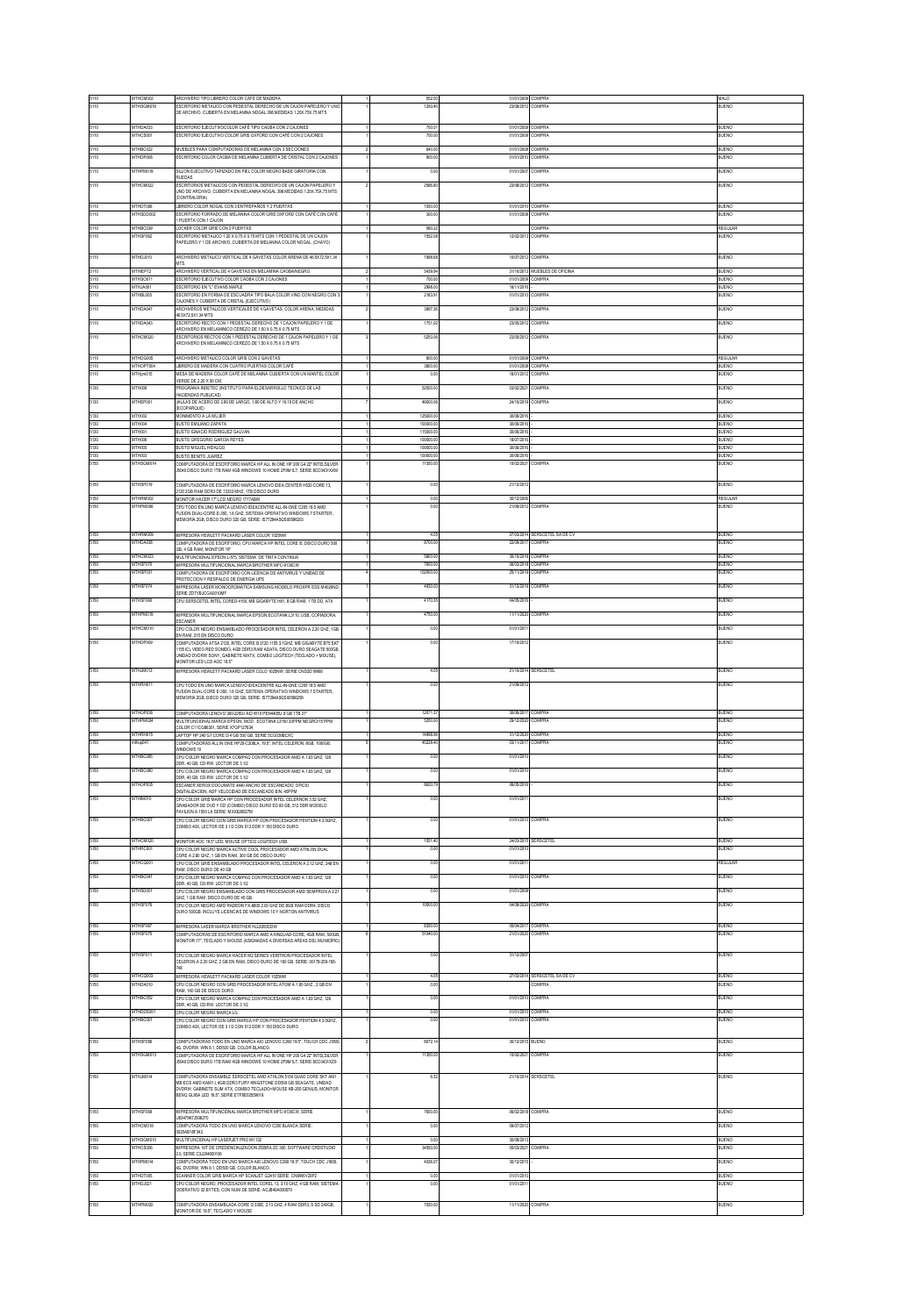| 5110<br>5110 | ATHCM002<br>THSGM01                | ARCHIVERO TIPO LIBRERO COLOR CAFE DE MADERA<br>ESCRITORIO METALICO CON PEDESTAL DERECHO DE UN CAJON PAPELERO Y UNI                                                                                      | 552.00                 | 01/01/2009 COMPRA                      | COMPRA                        | MALO<br>UENO                 |
|--------------|------------------------------------|---------------------------------------------------------------------------------------------------------------------------------------------------------------------------------------------------------|------------------------|----------------------------------------|-------------------------------|------------------------------|
|              |                                    | DE ARCHIVO, CUBIERTA EN MELANINA NOGAL 398 MEDIDAS 1.20X.75X.75 MTS                                                                                                                                     |                        |                                        |                               |                              |
| 5110         | MTHDA033                           | ESCRITORIO EJECUTIVOCOLOR CAFÉ TIPO CAOBA CON 2 CAJONES                                                                                                                                                 | 700.01                 | 01/01/2009 COMPRA                      |                               | BUENO                        |
| 5110         | MTHCS001                           | ESCRITORIO EJECUTIVO COLOR GRIS OXFORD CON CAFÉ CON 2 CAJONES                                                                                                                                           | 700.00                 | 01/01/2009                             | <b>COMPRA</b>                 | BUENO                        |
| 5110<br>5110 | MTHBC022<br>MTHDP008               | MUEBLES PARA COMPUTADORAS DE MELANINA CON 3 SECCIONES<br><b>ESCRITORIO COLOR CAORA DE MELANINA CURIERTA DE CRISTAL CON 2 CAJONES</b>                                                                    | 640.00<br>900.00       | 01/01/2008<br>01/01/2010 COMPRA        | COMPRA                        | BUENO<br>BUENO               |
| 5110         | <b>ITHPMO19</b>                    |                                                                                                                                                                                                         |                        | 01/01/200                              | COMPRA                        | UENO                         |
| 5110         | MTHCM022                           | SILLON EJECUTIVO TAPIZADO EN PIEL COLOR NEGRO BASE GRATORIA CON<br>RUEDAS<br>ESCRITORIOS METALICOS CON PEDESTAL DERECHO DE UN CAJON PAPELERO Y                                                          | 0.00<br>2586.80        | 23/08/2012                             | <b>COMPRA</b>                 | <b>JUENO</b>                 |
|              |                                    | INO DE ARCHIVO, CUBIERTA EN MELANINA NOGAL 398 MEDIDAS 1.20X.75X.75 MTS<br>CONTRALORIA)                                                                                                                 |                        |                                        |                               |                              |
| 5110<br>5110 | MTHDT006<br>MTHSDD002              | BRERO COLOR NOGAL CON 3 ENTREPAÑOS Y 2 PLIERTAS<br>ESCRITORIO FORRADO DE MELANINA COLOR GRIS OXFORD CON CAFÉ CON CAFÉ                                                                                   | 1050.00<br>300.00      | 01/01/2010 COMPRA<br>01/01/2008 COMPRA |                               | BUENO<br>BUENO               |
| 5110         | MTHBC039                           | PUERTA CON 1 CAJON<br>LOCKER COLOR GRIS CON 2 PUERTAS                                                                                                                                                   | 580.22                 |                                        | <b>COMPRA</b>                 | EGULA                        |
| 5110         | THSF06                             | SCRITORIO METALICO 1.20 X 0.75 X 0.75 MTS CON 1 PEDESTAL DE UN CAJON<br>PAPELERO Y 1 DE ARCHIVO, CUBIERTA DE MELANINA COLOR NOGAL. (CHAYO)                                                              | 1552.0                 | 1202/201                               | COMPRA                        | ILIENO                       |
| 5110         | ATHDJ010                           | ARCHIVERO METALICO VERTICAL DE 4 GAVETAS COLOR ARENA DE 46.5X72.5X1.34<br>MTS.                                                                                                                          | 1998.6                 | 10/07/2012 COMPRA                      |                               | BUENO                        |
| 5110<br>5110 | MTHEP12<br>MTHSO01                 | ARCHIVERO VERTICAL DE 4 GAVETAS EN MELAMINA CAOBAINEGRO<br>ESCRITORIO EJECUTIVO COLOR CAOBA CON 2 CAJONES                                                                                               | 5439.94<br>700.00      | 01/01/2009 COMPRA                      | 31/10/2013 MUEBLES DE OFICINA | BUENO<br>BUENO               |
| 5110<br>5110 | MTHJA001<br>MTHBL005               | ESCRITORIO EN "L'EVANS MAPLE<br>ESCRITORIO EN FORMA DE ESCUADRA TIPO BALA COLOR VINO CON NEGRO CON 3                                                                                                    | 2998.00<br>2183.91     | 16/11/2016<br>01/01/2010               | COMPRA                        | <b>BUENO</b><br>BUENO        |
| 5110         | <b>ATHDANG</b>                     | .<br>CAJONES Y CUBIERTA DE CRISTAL (EJECUTIVO)<br>RCHIVEROS METALICOS VERTICALES DE 4 GAVETAS, COLOR ARENA, MEDIDAS                                                                                     | 3997.3                 | 23/09/2012 COMPRA                      |                               | <b>LENO</b>                  |
| 5110         | MTHDA043                           | 46.5X72.5X1.34 MTS<br>ESCRITORIO RECTO CON 1 PEDESTAL DERECHO DE 1 CAJON PAPELERO Y 1 DE                                                                                                                | 1751.02                | 23/05/2012                             | COMPRA                        | BUENO                        |
| 5110         | MTHCM020                           | ARCHIVERO EN MELAMINICO CEREZO DE 1.50 X 0.75 X 0.75 MTS<br>ESCRITORIOS RECTOS CON 1 PEDESTAL DERECHO DE 1 CAJON PAPELERO Y 1 DE<br>RCHIVERO EN MELAMINICO CEREZO DE 1.50 X 0.75 X 0.75 MTS             | 5253.0                 | 23/05/2012                             | COMPRA                        | BUENO                        |
| 5110         | MTHDG005                           | ARCHIVERO METALICO COLOR GRIS CON 2 GAVETAS                                                                                                                                                             | 800.0                  | 01/01/2009                             | COMPRA                        | REGULAR                      |
| 5110         | MTHOPT00                           | LIBRERO DE MADERA CON CUATRO PUERTAS COLOR CAFÉ                                                                                                                                                         | 3800.0<br>0.00         | 01/01/2008 COMPRA<br>16/01/2012        | <b>COMPRA</b>                 | RLIENO<br><b>BUENO</b>       |
| 5110<br>5130 | ATHpm015<br>ITH008                 | MESA DE MADERA COLOR CAFÉ DE MELANINA CUBIERTA CON UN MANTEL COLOR<br>VERDE DE 2.20 X 90 CM.                                                                                                            | 52500                  | 0302/202                               | COMPRA                        | <b>UENC</b>                  |
| 5130         |                                    | PROGRAMA INDETEC (INSTITUTO PARA ELDESARROLLO TECNICO DE LAS<br>HACIENDAS PUBLICAS)                                                                                                                     |                        |                                        |                               |                              |
|              | MTHEP001<br>MTH002                 | JAULAS DE ACERO DE 2.80 DE LARGO. 1.80 DE ALTO Y 10.10 DE ANCHO<br>ECOPARQUE)                                                                                                                           | 49000.06<br>125000.0   | 24/10/2019 COMPRA<br>30/06/201         |                               | BUENO<br>RIJENO              |
| 5130<br>5130 | <b>ATHON</b>                       | MONMENTO A LA MUJER<br>BUSTO EMILIANO ZAPATA                                                                                                                                                            | 100000.00              | 30062016                               |                               | RIFNO                        |
| 5130<br>5130 | ATH001<br>ATH006                   | BUSTO IGNACIO RODRIGUEZ GALVAN<br>BUSTO GREGORIO GARCIA REYES                                                                                                                                           | 115000.00<br>100000.00 | 30/06/2016<br>18/07/2016               |                               | RUENO<br><b>BUENO</b>        |
| 5130<br>5130 | ATHOOS<br>ATHOOS                   | BUSTO MIGUEL HIDALGO<br>BUSTO BENITO JUAREZ                                                                                                                                                             | 100000.00<br>100000.00 | 30/06/2016<br>30/06/2016               |                               | <b>BUENO</b><br><b>BUENO</b> |
| 5150         | THSGM                              | COMPUTADORA DE ESCRITORIO MARCA HP ALL IN ONE HP 200 G4 22" INTELSILVER<br>5040 DISCO DURO 1TR RAM 4GR WINDOWS 10 HOME 2ERM1LT, SERIE #CONS1XXM                                                         | 11350.0                | 10/02/202                              |                               | UENO                         |
| 5150         | <b>ATHSPOTS</b>                    | COMPUTADORA DE ESCRITORIO MARCA LENOVO IDEA CENTER H520 CORE 13,                                                                                                                                        | 0.00                   | 21/12/201                              |                               | <b>UENO</b>                  |
| 5150         | MTHRM002                           | 2120 2GB RAM DDR3 DE 13333 MHZ, 1TB DISCO DURO<br>MONITOR HACER 17" LCD NEGRO 1717ABM                                                                                                                   | 0.00                   | 30/12/2006                             |                               | REGULAR                      |
| 5150         | MTHPM008                           | CRU TODO EN UNO MARCA LENOVO IDEACENTRE ALL IN ONE C20518 5 AMD<br>USION DUAL CORE E-350, 1.6 GHZ, SISTEMA OPERATIVO WINDOWS 7 STARTER,                                                                 | 0.00                   | 21/09/2012 COMPRA                      |                               | BUENO                        |
|              |                                    | MEMORIA 2GB, DISCO DURO 320 GB, SERIE: IS77294A5QS00596203                                                                                                                                              |                        |                                        |                               |                              |
| 5150<br>5150 | MTHRM005<br>MTHDA038               | IMPRESORA HEWLETT PACKARD LASER COLOR 1025NW<br>COMPUTADORA DE ESCRITORIO. CPU MARCA HP INTEL CORE IS. DISCO DURO 500                                                                                   | 4.05<br>8700.00        | 22/09/2017 COMPRA                      | 27/03/2014 SERSCETEL SA DE CV | BUENO<br>BUENO               |
| 5150         | MTHCM022                           | 3B, 4 GB RAM, MONITOR 19"<br>MULTIFUNCIONAL EPSON L-575, SISTEMA DE TINTA CONTINUA                                                                                                                      | 5800.0                 | 30/10/2018                             | COMPRA                        | BUENO                        |
| 5150<br>5150 | <b>MTHSFA70</b><br><b>ATHSPO31</b> | IMPRESORA MULTIFUNCIONAL MARCA BROTHER MFC-9130CW                                                                                                                                                       | 7600.00<br>102000.00   | 06/03/2018 COMPRA<br>25/11/2019 COMPRA |                               | RIFNO<br><b>UENO</b>         |
| 5150         | MTHSF074                           | COMPUTADORA DE ESCRITORIO CON LICENCIA DE ANTIVRUS Y UNIDAD DE<br>PROTECCION Y RESPALDO DE ENERGIA UPS<br>MPRESORA LASER MONOCROMATICA SAMSUNG MODELO PROXPR ESS MAD20ND                                | 4930.0                 | 31/12/2019                             | COMPRA                        | BUENO                        |
| 5150         | MTHSF060                           | SERIE ZD7YBJCGA0010MF<br>CPU SERSCETEL INTEL CORE/34150, MB GIGABYTE H81, 8 GB RAM, 1 TB DD, ATX                                                                                                        | 4170.35                | 04/05/201                              |                               | BUENO                        |
| 5150         | <b>ATHPMO19</b>                    | PRESORA MULTIFUNCIONAL MARCA EPSON ECOTANK L3110, USB, COPIADORA,                                                                                                                                       | 4750.0                 | 11/11/2020                             | COMPRA                        | <b>UENO</b>                  |
| 5150         | MTHCM010                           | ESCANER<br>CPU COLOR NEGRO ENSAMBLADO PROCESADOR INTEL CELERON A 2.20 GHZ, 1GB                                                                                                                          | 0.00                   | 01/01/201                              |                               | BUENO                        |
| 5150         | MTHDP009                           | EN RAM, 315 EN DISCO DURO<br>OMPUTADORA ATSA 2120 INTELCORE I3 2120 1155 3.1GHZ. MR GIGARYTE RZ5 SKT                                                                                                    | 0.00                   | 17/10/201                              |                               | BUENO                        |
|              |                                    | 1155 ICL VIDEO RED SONIDO, 4GB DOR3 RAM ADATA, DISCO DURO SEAGATE 500GB<br>UNDAD DVDRW SONY, GABNETE MATX, COMBO LOGITECH (TECLADO + MOUSE),                                                            |                        |                                        |                               |                              |
| 5150         | MTHJM013                           | IONITOR LED LCD ADC 18.5"<br>MPRESORA HEWLETT PACKARD LASER COLO 1025NW, SERIE CND2D19908                                                                                                               | 4.05                   |                                        | 21/10/2014 SERSCETEL          | BUENO                        |
| 5150         | <b>ATHRHIM</b>                     |                                                                                                                                                                                                         | 0 <sup>0</sup>         | 21/09/201                              |                               | <b>IFNO</b>                  |
|              |                                    | CPU TODO EN UNO MARCA LENOVO IDEACENTRE ALL/IN-ONE C205 18.5 AMD<br>FUSION DUAL-CORE E-350, 1.6 GHZ, SISTEMA OPERATIVO WINDOWS 7 STARTER,<br>MEMORIA 2GB, DISCO DURO 320 GB, SERIE: IS77294A5QS00596258 |                        |                                        |                               |                              |
| 5150         | MTHOP036                           | COMPUTADORA LENOVO 300-22ISU AIO W10 PEN440SU 8 GB 1TB 21"                                                                                                                                              | 12071.37               | 30/06/2017                             | COMPRA                        | <b>BUENO</b>                 |
| 5150         | MTHPM024                           | MULTIFUNCIONAL MARCA EPSON, MOD. ECOTANK L3150 33PPM NEGRO/15 PPM<br>COLOR C11CG86301, SERIE X7GP127634                                                                                                 | 5250.00                | 29/12/2020                             | <b>COMPRA</b>                 | BUENO                        |
| 5150<br>5150 | MTHRH015<br>thop041                | LAPTOP HP 240 G7 CORE B 4 GB 500 GB, SERE 5CG039BCXC<br>COMPUTADORAS ALL IN ONE HP20-C208LA, 19.5", INTEL CELERON, 8GB, 1000GB,                                                                         | 14998.96<br>45228.4    | 31/12/2020 COMPRA<br>03/11/201         | <b>COMPRA</b>                 | <b>BUENO</b><br>ILIENO       |
| 5150         | MTHBC085                           | WNDOWS 10<br>CPU COLOR NEGRO MARCA COMPAQ CON PROCESADOR AMD A 1.83 GHZ. 128                                                                                                                            | 0.00                   | 01/01/201                              |                               | BUENO                        |
|              | MTHBC080                           | OR, 40 GB, CD-RW LECTOR DE 3 1/2<br>CPU COLOR NEGRO MARCA COMPAQ CON PROCESADOR AMD A 1.83 GHZ, 128                                                                                                     | 0.00                   | 01/01/201                              |                               | RUENO                        |
| 5150<br>5150 | ATHOP035                           | OR, 40 GB, CD-RW LECTOR DE 31/2<br>ESCANER XEROX DOCUMATE 4440 ANCHO DE ESCANEADO, OFICIO                                                                                                               | 8620.7                 | 06/05/20                               |                               | UENO                         |
| 5150         |                                    | DIGITALIZACION, ADF VELOCIDAD DE ESCANEADO BIN, 40PPM<br>CRILCOLOR GRIS MARCA HP CON PROCESADOR INTEL CELERNON 3.52 GHZ                                                                                 |                        |                                        |                               |                              |
|              | MTHM010                            | SRABADOR DE DVD Y CD (COMBO) DISCO DURO ED 80 GB, 512 DDR MODELO<br>PAVILION A 1500 LA SERIE: MXX628027M                                                                                                | 0.00                   | 01/01/201                              |                               | BUENO                        |
| 5150         | MTHBC007                           | CRUCOLOR NEGRO CON GRIS MARCA HP CON PROCESADOR PENTILIM 4.3.0GHZ<br>COMBO 40X, LECTOR DE 3 1/2 CON 512 DDR Y 150 DISCO DURO                                                                            | 0.00                   | 01/01/2010 COMPRA                      |                               | BUENO                        |
| 5150         | MTHCM020                           | MONITOR AOC 19.5" LED. MOUSE OPTICO LOGITECH USB                                                                                                                                                        | 1051.4                 | 24/03/2015                             | SERSCETEL                     | BUENO                        |
| 5150         | MTHRC00                            | CPU COLOR NEGRO MARCA ACTIVE COOL PROCESADOR AMD ATHLON DUAL<br>CORE A 2.80 GHZ, 1 GB EN RAM, 300 GB DE DISCO DURO                                                                                      | 0.00                   | 01/01/201                              |                               | BUENO                        |
|              | <b>ATHCQ00</b>                     | CPU COLOR GRIS ENSAMBLADO PROCESADOR INTEL CELERON A 212 GHZ, 248 EN<br>RAM, DISCO DURO DE 40 GB                                                                                                        | 0.0                    | 01/01/201                              |                               | EGULAR                       |
| 5150         | ATHBC041                           | CPLICOLOR NEGRO MARCA COMPAO CON PROCESADOR AMD A 1 R3 GHZ 128<br>DDR, 40 GB, CD-RW LECTOR DE 31/2                                                                                                      | 0.00                   | 01/01/2010                             | :OMPRA                        | UENO                         |
| 5150         | <b>MTHSDOD</b>                     | CPU COLOR NEGRO ENSAMBLADO CON GRIS PROCESADOR AMD SEMPRON A 221<br>3HZ, 1 GB RAM, DISCO DURO DE 45 GB.                                                                                                 | 0.00                   | 01/01/200                              |                               | <b>JUENO</b>                 |
| 5150         | <b>THSF07</b>                      | CPU COLOR NEGRO AMD RADEON FX-8800 2.00 GHZ DE 8GB RAM DDR4, DISCO<br>DURO 500GB. INCLUYE LICENCIAS DE WINDOWS 10 Y NORTON ANTIVIRUS                                                                    |                        | 04/08/202                              | COMPRA                        | <b>JENO</b>                  |
| 5150         | MTHSF067                           | IMPRESORA LASER MARCA BROTHER HILB350CDW                                                                                                                                                                | 8350.00                | 05/04/2017 COMPRA                      |                               | BUENO                        |
| 5150         | MTHSF075                           | COMPLITADORAS DE ESCRITORIO MARCA AMO A10NO HADICORE, 4GR RAM, 500GR.<br>MONITOR 17", TECLADO Y MOUSE (ASIGNADAS A DIVERSAS AREAS DEL MUNICIPIO                                                         | 51040.0                | 21/01/2020                             | COMPRA                        | BUENO                        |
| 5150         | MTHSF011                           | CPU COLOR NEGRO MARCA HACER M2 SERIES VERITRON PROCESADOR INTEL<br>CELERON A 2.20 GHZ, 2 GB EN RAM, DISCO DURO DE 160 GB, SERIE: 00178-250-156                                                          | 0.00                   | 31/12/200                              |                               | <b>JUENO</b>                 |
|              |                                    | 48<br>IMPRESORA HEWLETT PACKARD LASER COLOR 1025NW                                                                                                                                                      |                        |                                        | 27/02/2014 SERSCETEL SAIDE CV |                              |
| 5150<br>5150 | MTHCQ003<br>MTHDA010               | CPU COLOR NEGRO CON GRIS PROCESADOR INTEL ATOM A 1.60 GHZ., 2 GB EN<br>RAM, 160 GB DE DISCO DURO                                                                                                        | 4.05<br>0.00           |                                        | COMPRA                        | <b>BUENO</b><br>BUENO        |
| 5150         | <b>ATHRONG</b>                     | CPU COLOR NEGRO MARCA COMPAQ CON PROCESADOR AMD A 1.83 GHZ, 128<br>DDR, 40 GB, CD-RW LECTOR DE 3 1/2                                                                                                    | 000                    | 01/01/201                              | COMPRA                        | LIENO                        |
| 5150<br>5150 | MTHDDS00<br><b>MTHBC001</b>        | CPU COLOR NEGRO MARCA LG<br>CPU COLOR NEGRO CON GRIS MARCA HP CON PROCESADOR PENTIUM 4 3.0GHZ                                                                                                           | 0.00<br>0.00           | 01/01/2010 COMPRA<br>01/01/201         | COMPRA                        | BUENO<br><b>BUENO</b>        |
|              |                                    | COMBO 40X, LECTOR DE 31/2 CON 512 DDR Y 150 DISCO DURO                                                                                                                                                  |                        |                                        |                               |                              |
| 5150         | MTHSF056                           | COMPUTADORAS TODO EN UNO MARCA AIO LENOVO C250 19.5". TOUCH CDC J1800<br>4G, DVDRW, WIN 8.1, DO500 GB, COLOR BLANCO.                                                                                    | 8072.1                 | 30/12/2015 BUENO                       |                               | BUENO                        |
| 5150         | MTHSGM013                          | .<br>CONDITADORA DE ESCRITORO MARCA UR ALL NICAIE UR 200 CA 221 INTELSIEVED<br>IS040 DISCO DURO 1TB RAM 4GB WINDOWS 10 HOME 2F9M1LT. SERIE 8CC0431XZ9                                                   | 11350.00               | 10/02/2021                             | COMPRA                        | BUENO                        |
| 5150         | MTHJM014                           | COMPLITADORA ENSAMBLE SERSCETEL AMD ATHLON 5150 OLIAD CORE SKT AM1                                                                                                                                      | 632                    |                                        | 21/10/2014 SERSCETEL          | BUENO                        |
|              |                                    | MB ECS AMD KAM1.I, 4GB DDR3 FURY KINGSTONE DD500 GB SEAGATE, UNDAD<br>DVDRW, GABINETE SLIM ATX, COMBO TECLADO+MOUSE KB-200 GENIUS, MONITOF<br>BENO GL95A LED 18.5", SERIE ETF8E02559019.                |                        |                                        |                               |                              |
|              |                                    |                                                                                                                                                                                                         |                        |                                        |                               |                              |
| 5150<br>5150 | MTHSF069<br>MTHCM018               | IMPRESORA MULTIFUNCIONAL MARCA BROTHER MFC-9130CW, SERIE<br>HAM 7907. KOROTO                                                                                                                            | 7600.00<br>0.00        | 06/02/2018<br>09/07/201                | COMPRA                        | BUENO<br>BUENO               |
| 5150         | MTHSGM010                          | COMPUTADORA TODO EN UNO MARCA LENOVO C200 BLANCA SERE<br>0025AB18F343.<br>MULTFUNCIONAL HP LASERJET PRO M1132                                                                                           | 0.00                   | 30/08/2013                             |                               | <b>BUENO</b>                 |
| 5150         | THCS006                            | MPRESORA KIT DE CREDENCIALIZACIÓN ZEBRA ZC 300, SOFTWARE CRDSTUDIO<br>2.0. SERIE C3J204600106                                                                                                           | 34550.00               | 05/03/202                              | <b>OMPRA</b>                  | <b>LENO</b>                  |
| 5150         | MTHPM014                           | COMPUTADORA TODO EN UNO MARCA AIO LENOVO C260 19.5", TOUCH CDC J1800,<br>G, DVDRW, WIN 8.1, DD500 GB, COLOR BLANCO.                                                                                     | 4036.0                 | 30/12/201                              |                               | BUENO                        |
| 5150         | MTHDT005<br>MTHDJ021               | SCANNER COLOR GRIS MARCA HP SCANJET G2410 SERE: CN99WV20P2                                                                                                                                              | 0.00                   | 01/01/201<br>01/01/201                 |                               | RLIENO<br><b>JUENO</b>       |
| 5150         |                                    | PU COLOR NEGRO, PROCESADOR INTEL COREL 13, 3.10 GHZ, 4 GB RAM, SISTEMA<br>OCERATIVO 32 BYTES, CON NUM DE SERIE: ACJB40A000570                                                                           | 0.00                   |                                        |                               |                              |
| 5150         | VITHPM020                          | COMPUTADORA ENSAMBLADA CORE I3 330E, 2.13 GHZ, 4 RAM DDR3, S SD 240GB,                                                                                                                                  | 7050.0                 | 11/11/2020                             | <b>COMPRA</b>                 | UENO                         |
|              |                                    | (ONITOR DE 19.5", TECLADO Y MOUSE                                                                                                                                                                       |                        |                                        |                               |                              |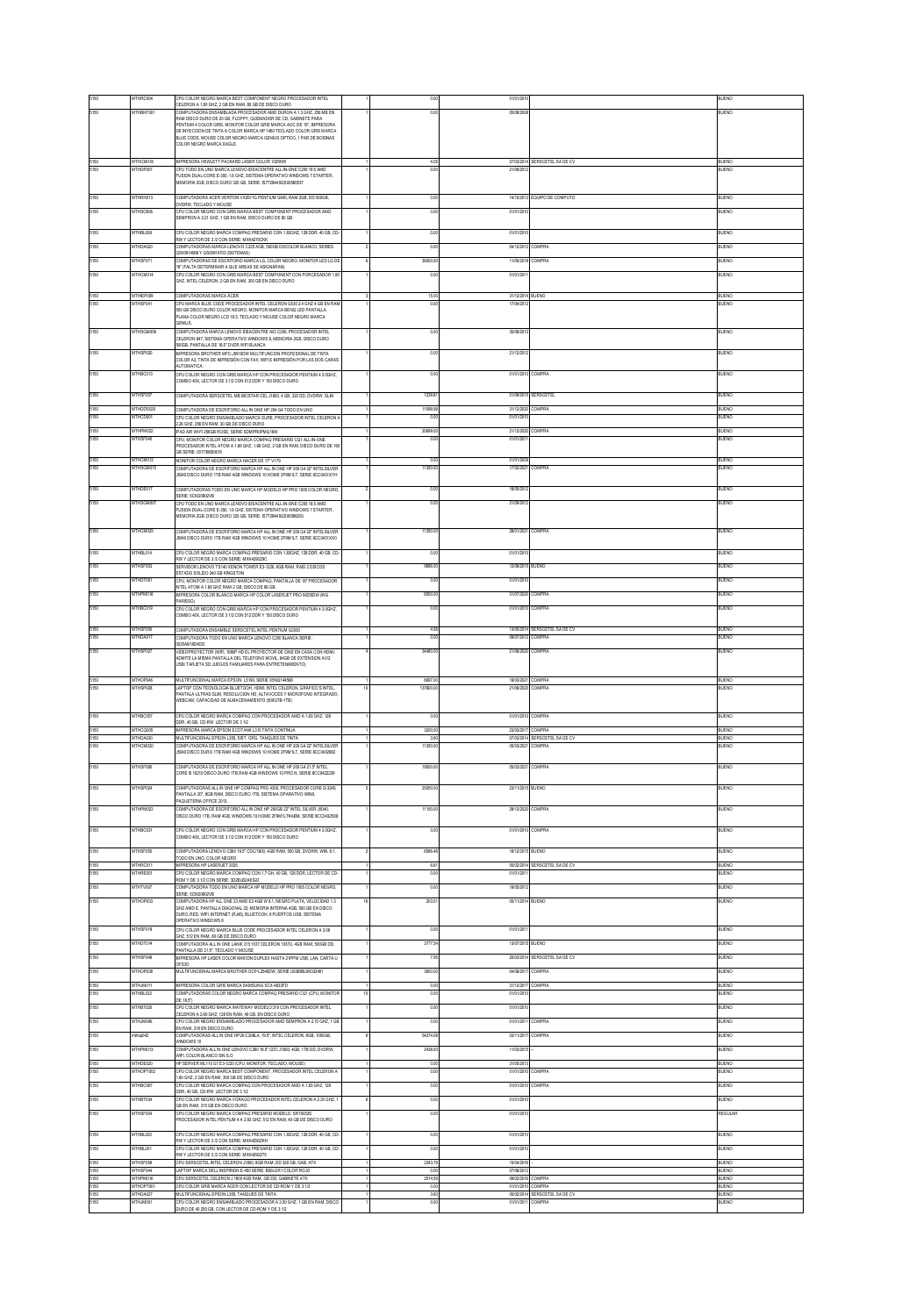|                      | <b>ITHRC00</b>                    | PU COLOR NEGRO MARCA BEST COMPONENT NEGRO PROCESADOR INTEL<br>ELERON A 1.80 GHZ, 2 GB EN RAM, 80 GB DE DISCO DURO                                                                                                                                                                                                                                                                   |                    |                                        |                                                    | <b>UENC</b>                  |
|----------------------|-----------------------------------|-------------------------------------------------------------------------------------------------------------------------------------------------------------------------------------------------------------------------------------------------------------------------------------------------------------------------------------------------------------------------------------|--------------------|----------------------------------------|----------------------------------------------------|------------------------------|
|                      | MTHBNT001                         | COMPUTADORA ENSAMBLADA PROCESADOR AMD DURON A 1.3 GHZ. 296 MB EN<br>RAM DISCO DURO DE 20 GB. FLOPPY, QUEMADOR DE CD. GABINETE PARA<br>PENTIUM 4 COLOR GRIS, MONITOR COLOR GRIS MARCA AOC DE 15", IMPRESORA<br>DE INYECCION DE TINTA A COLOR MARCA HP 1460 TECLADO COLOR GRIS MARCA<br>BLUE CODE, MOUSE COLOR NEGRO MARCA GENUS OPTICO, 1 PAR DE BOSINAS<br>COLOR NEGRO MARCA EAGLE. | 0.00               | 05/08/200                              |                                                    | <b>BUENC</b>                 |
| 5150                 | THCM01<br>THDP                    | IMPRESORA HEWLETT PACKARD LASER COLOR 1029WW<br>CPU TODO EN UNO MARCA LENOVO IDEACENTRE ALL-IN ONE C205 18.5 AMD<br>FUSION DUAL-CORE E-350, 1.6 GHZ, SISTEMA OPERATIVO WINDOWS 7 STARTER,<br>EMORIA 2GB, DISCO DURO 320 GB, SERIE: IS77294A5QS00580537                                                                                                                              | 0.0                |                                        | RSCETEL SA DE CV                                   |                              |
| 5150<br>5150         | THRH013<br>MTHSO006               | MPUTADORA ACER VERITON VX2611G PENTIUM G645, RAM 2GB, DD 500GB<br>DVDRW. TECLADO Y MOUSE<br>CPU COLOR NEGRO CON GRIS MARCA BEST COMPONENT PROCESADOR AMD<br>SEMPRON A 2.21 GHZ, 1 GB EN RAM, DISCO DURO DE 80 GB                                                                                                                                                                    | 0.00<br>0.00       | 14/10/2013<br>01/01/201                | <b>EQUIPO DE COMPUTO</b>                           | <b>LENO</b><br><b>IUENO</b>  |
| 5150                 | MTHBL008                          | CPU COLOR NEGRO MARCA COMPAQ PRESARIO CON 1.83GHZ, 128 DDR, 40 GB, CD<br>W Y LECTOR DE 3/2 CON SERIE: MXK4270CKK                                                                                                                                                                                                                                                                    | 0.00               | 01/01/201                              |                                                    | BUENO                        |
| 5150                 | MTHDA020                          | OMPUTADORAS MARCA LENOVO C225 AGB. 500GB DDCOLOR BLANCO, SERIES<br>S00914999 Y QS00914703 (SISTEMAS)                                                                                                                                                                                                                                                                                | 0.00               | 04/12/2012                             | <b>COMPRA</b>                                      | BUENO                        |
| 5150<br>5150         | THSF07<br>MTHCM014                | COMPUTADORAS DE ESCRITORIO MARCA LG, COLOR NEGRO, MONITOR LED LG DE<br>8" (FALTA DETERMINAR A QUE AREAS SE ASIGNARAN)<br>PU COLOR NEGRO CON GRIS MARCA BEST COMPONENT CON PORCESADOR 1.80<br>HZ, INTEL CELERON, 2 GB EN RAM, 300 GB EN DISCO DURO                                                                                                                                   | 39300.0<br>0.00    | 11/05/201<br>01/01/2011                | <b>OMPRA</b>                                       | UENO<br>BUENO                |
| 5150<br>5150         | MTHEP009<br>MTHSF041              | COMPUTADORAS MARCA ÁCER<br>CRIMADO A RIHE CODE RROCESADOR MTEL CELERON CRIBIA CUZ A CRIEN RAN<br>500 GB DISCO DURO COLOR NEGRO, MONITOR MARCA BENQ LED PANTALLA<br>PLANA COLOR NEGRO LCD 18.5 TECLADO Y MOUSE COLOR NEGRO MARCA<br>ENIJS.                                                                                                                                           | 15.00<br>0.00      | 31/12/2014<br>17/04/201                | <b>UENO</b>                                        | <b>BUENO</b><br><b>BUENO</b> |
| 5150                 | MTHSGM009                         | COMPUTADORA MARCA LENOVO IDEACENTRE AIO C240, PROCESADOR INTEL<br>ELERON 847, SISTEMA OPERATIVO WINDOWS 8, MEMORIA 2GB, DISCO DURO<br>500GB, PANTALLA DE 18.5" DVDR WIFI BLANCA                                                                                                                                                                                                     | 0.00               | 30/08/201                              |                                                    | <b>JUENO</b>                 |
| 5150<br>5150         | MTHSP020<br>MTHBC013              | MPRESORA BROTHER MFC-J5910DW MULTIFUNCION PROFESIONAL DE TINTA<br>: OLOR A3, TINTA DE IMPRESIÓN CON FAX, WIFI E IMPRESIÓN POR LAS DOS CARAS<br>AUTOMATICA.                                                                                                                                                                                                                          | 0.00<br>0.00       | 21/12/2012<br>01/01/2010               | COMPRA                                             | BUENO<br>BUENO               |
| 5150                 | MTHSF057                          | .<br>CPU COLOR NEGRO CON GRIS MARCA HP CON PROCESADOR PENTIUM 4 3.0GHZ.<br>COMBO 40X, LECTOR DE 3 1/2 CON 512 DDR Y 150 DISCO DURO<br>OMPUTADORA SERSCETEL MB BIOSTAR CEL J1800, 4 GB, 320 DD, DVDRW, SLIV                                                                                                                                                                          | 1239.8             | 01/09/2015                             | <b>SERSCETEL</b>                                   | <b>BUENO</b>                 |
| 5150                 | MTHDDS02                          | COMPUTADORA DE ESCRITORIO ALL IN ONE HP 204 G4 TODO EN UNO                                                                                                                                                                                                                                                                                                                          | 11099.9            | 31/12/2020                             | COMPRA                                             | BUENO                        |
| 5150<br>5150         | THCD00<br>MTHPM022                | CPU COLOR NEGRO ENSAMBLADO MARCA SURE, PROCESADOR INTEL CELERON A<br>26 GHZ, 256 EN RAM, 30 GB DE DISCO DURO<br>PAD AIR WLEI 296GR ROSE, SERIE SDMPR0PMO16W                                                                                                                                                                                                                         | 0.0<br>20699.0     | 01/01/201<br>21/12/2020                | COMPRA                                             | JENO<br>BUENC                |
| 5150<br>5150         | MTHSF040<br>MTHCM012              | CPU. MONITOR COLOR NEGRO MARCA COMPAQ PRESARIO CQ1 ALL-IN-ONE<br>ROCESADOR INTEL ATOM A 1.66 GHZ. 1.66 GHZ. 2 GB EN RAM, DISCO DURO DE 16<br>3B SERIE: 001739650519<br>MONITOR COLOR NEGRO MARCA HACER DE 17" V179                                                                                                                                                                  | 0.00<br>0.00       | 01/01/2011<br>01/01/2009               |                                                    | BUENO<br><b>BUENO</b>        |
| 5150<br>5150         | MTHSGM015<br>MTHDE01              | COMPLITADORA DE ESCRITORIO MARCA HP ALL IN ONE HP 200 G4 22" INTELSILVER<br>5040 DISCO DURO 1TB RAM 4GB WINDOWS 10 HOME 2F9M1LT, SERIE 8CC0431XYH<br>OMPUTADORAS TODO EN UNO MARCA HP MODELO HP PRO 1005 COLOR NEGRO                                                                                                                                                                | 11350.0<br>0.00    | 17/02/2021<br>18/05/201                | COMPRA                                             | BUENO<br><b>BUENO</b>        |
| 5150                 | <b>THSGM00</b>                    | SERIE: 5CM20902VB<br>CPU TODO EN UNO MARCA LENOVO IDEACENTRE ALL-IN-ONE C205 18.5 AMD<br>USION DUALCORE FJWL 16 GHZ SISTEMA OPERATIVO WINDOWS 7 STARTER<br>EMORIA 2GB, DISCO DURO 320 GB, SERIE: IS77294A5QS00596203                                                                                                                                                                | 0.0                | 21/09/201                              |                                                    | UENO                         |
| 5150                 | <b>MTHCM025</b><br>WTHBL014       | MPUTADORA DE ESCRITORIO MARCA HP ALL IN ONE HP 200 G4 22" INTELSILVER<br>5040 DISCO DURO 1TB RAM 4GB WINDOWS 10 HOME 2F9M1LT, SERIE 8CC0431XX0<br>PU COLOR NEGRO MARCA COMPAQ PRESARIO CON 1.83GHZ, 128 DDR, 40 GB, CD<br>RW Y LECTOR DE 3/2 CON SERIE: MXK4290Z9C                                                                                                                  | 11350.0<br>0.0     | 28/01/2021<br>01/01/201                | COMPRA                                             | <b>IFNO</b><br><b>IFNO</b>   |
| 5150                 | MTHSF053                          | SERVIDOR LENOVO TS140 XENON TOWER E3-1226, 8GB RAM, RAID 2 DISCOS<br>STADO SOLIDO 240 GB KINGSTON                                                                                                                                                                                                                                                                                   | 9686.0             | 12/08/2015                             | BUENO                                              | BUENO                        |
| 5150                 | MTHDT001<br>THPM018               | CPU, MONITOR COLOR NEGRO MARCA COMPAQ, PANTALLA DE 18" PROCESADOR<br>INTEL ATOM A 1.66 GHZ RAM 2 GB, DISCO DE 86 GB.<br>PRESORA COLOR BLANCO MARCA HP COLOR LASERJET PRO M255DW (ING                                                                                                                                                                                                | 0.00<br>6500.0     | 01/01/201<br>31/07/2020                | COMPRA                                             | <b>BUENO</b><br><b>LENO</b>  |
| 5150                 | MTHBC019                          | PARISSO)<br>CPU COLOR NEGRO CON GRIS MARCA HP CON PROCESADOR PENTIUM 4 3.0GHZ.<br>OMBO 40X, LECTOR DE 3 1/2 CON 512 DDR Y 150 DISCO DURO                                                                                                                                                                                                                                            | 0.0                | 01/01/2010                             | <b>COMPRA</b>                                      | <b>BUENO</b>                 |
| 5150<br>5150         | MTHSF050<br>MTHDA017              | COMPUTADORA ENSAMBLE SERSCETEL INTEL PENTIUM G2030<br>COMPUTADORA TODO EN UNO MARCA LENOVO C200 BLANCA SERIE:                                                                                                                                                                                                                                                                       | 4.58<br>0.00       |                                        | 13/05/2014 SERSCETEL SA DE CV<br>09/07/2012 COMPRA | BUENO<br>BUENO               |
| 5150                 | <b>MTHSPff</b>                    | 025AB18D4DD.<br>IDEOPROYECTOR (WIFI, 1080P HD EL PROYECTOR DE CINE EN CASA CON HDM<br>ADMITE LA MISMA PANTALLA DEL TELEFONO MOVIL, 64GB DE EXTENSION AVI2<br>USB/TARJETA SD JUEGOS FAMILIARES PARA ENTRETENMIENTO)                                                                                                                                                                  | 34480.0            | 21/08/2020                             | <b>COMPRA</b>                                      | <b>IFM</b>                   |
| 5150<br>5150         | MTHOP046<br>MTHSP028              | MULTIFUNCIONAL MARCA EPSON L5190, SERIE X5NQ144568<br>LAPTOP CON TECNOLOGIA BLUETOOH, HDMI, INTEL CELERON, GRAFICO S INTEI                                                                                                                                                                                                                                                          | 6997.0<br>137800.0 | 18/03/2021<br>21/08/2020               | COMPRA<br><b>COMPRA</b>                            | BUENO<br>UENO                |
|                      |                                   | PANTALA ULTRAS SLIM, RESOLUCION HD, ALTAVOCES Y MICROFONO INTEGRADO<br>VEBCAM, CAPACIDAD DE ALMACENAMIENTO /500GTB-1TB)                                                                                                                                                                                                                                                             |                    |                                        |                                                    |                              |
| 5150                 | MTHBC057<br>ATHCQ00               | CPU COLOR NEGRO MARCA COMPAQ CON PROCESADOR AMD A 1.83 GHZ. 128<br>DDR, 40 GB, CD-RW LECTOR DE 3 1/2                                                                                                                                                                                                                                                                                | 0.00<br>3200.00    | 01/01/2010 COMPRA                      |                                                    | BUENO<br>UENO                |
| 5150<br>5150<br>5150 | <b>MTHDANN</b><br><b>ATHOMADI</b> | MPRESORA MARCA EPSON ECOTANK L310 TINTA CONTINUA<br>MULTIFUNCIONAL EPSON L355, SIST. ORG. TANQUES DE TINTA<br>OMPUTADORA DE ESCRITORIO MARCA HP ALL IN ONE HP 200 G4 22" INTELSILVEI                                                                                                                                                                                                | 36<br>11350.00     | 23/03/2017 COMPRA<br>05/03/2021 COMPRA | 07/03/2014 SERSCETEL SA DE C'                      | RIJENO<br><b>LENO</b>        |
| 5150                 | <b>THSF08</b>                     | 5040 DISCO DURO 1TB RAM 4GB WINDOWS 10 HOME 2F9M1LT. SERIE 8CC0432682<br>OMPUTADORA DE ESCRITORIO MARCA HP ALL IN ONE HP 200 G4 21.5" INTEI<br>CORE IS 10210 DISCO DURO 1TR RAM 4GR WINDOWS 10 PRO N. SERIE #COM22229                                                                                                                                                               | 19500.0            | 05/03/2021 COMPRA                      |                                                    | UENO                         |
| 5150                 | <b>THSP02</b>                     | COMPUTADORAS ALL IN ONE HP COMPAQ PRO 4300, PROCESADOR CORE B-3240,<br>ANTAILA 201 AGR RAM DISCO DURO 1TR SISTEMA OPARATIVO WINA<br>AQUETERIA OFFICE 2013.                                                                                                                                                                                                                          | 25050              | 23/11/2015                             | <b>SUENO</b>                                       |                              |
| 5150                 | THPM02                            | COMPUTADORA DE ESCRITORIO ALL IN ONE HP 200GB 22" INTEL SILVER J5040,<br>ISCO DURO 1TB, RAM 4GB, WINDOWS 10 HOME 2F9M ILT#ABM, SERIE 8CC04325X8                                                                                                                                                                                                                                     | 11150.0            | 29/12/2020                             |                                                    |                              |
| 5150                 | MTHBC031                          | CPU COLOR NEGRO CON GRIS MARCA HP CON PROCESADOR PENTIUM 4 3.0GHZ<br>OMBO 40X, LECTOR DE 3 1/2 CON 512 DDR Y 150 DISCO DURO                                                                                                                                                                                                                                                         | 0.00               | 01/01/2010                             | COMPRA                                             | BUENO                        |
| 5150                 | MTHSF055                          | COMPUTADORA LENOVO C260 19.5" CDC/1800, 4GB RAM, 500 GB, DVDRW, WIN, 8.1.<br>COO EN UNO, COLOR NEGRO                                                                                                                                                                                                                                                                                | 6586.4             | 18/12/2015                             | <b>BUENO</b>                                       | BUENO                        |
| 5150<br>5150         | MTHRC011<br><b>MTHREOM</b>        | <b>MPRESORA HP LASERJET 2035</b><br>CPU COLOR NEGRO MARCA COMPAQ CON 1.7 GH, 40 GB, 128 DDR, LECTOR DE CD-                                                                                                                                                                                                                                                                          | 66<br>0.00         | 01/01/2011                             | 05/02/2014 SERSCETEL SA DE CV                      | BUENO<br><b>BUENO</b>        |
|                      | THTV00                            | ROM Y DE 3 1/2 CON SERIE: 3D2BLB2AEIGD<br>COMPUTADORA TODO EN UNO MARCA HP MODELO HP PRO 1005 COLOR NEGRO,<br>SERIE: 5CM20902VB                                                                                                                                                                                                                                                     | 0.0                | 18/05/20                               |                                                    |                              |
| 5150                 | MTHOP033                          | OMPUTADORA HP ALL ONE 23 AMD E24GB W 8.1. NEGRO PLATA, VELOCIDAD 1.3<br>HZ AMD E, PANTALLA DIAGONAL 23, MEMORIA INTERNA 4GB, 500 GB EN DISCO<br>DURO, RED. WFI, INTERNET (RJ45), BLUETOOH, 6 PUERTOS USB, SISTEMA<br>PERATIVO WINDOWS 8                                                                                                                                             | 203.5              | 05/11/2014                             | <b>BUENO</b>                                       | <b>JUENO</b>                 |
| 5150<br>5150         | MTHSF019<br>MTHDT014              | CPU COLOR NEGRO MARCA BLUE CODE PROCESADOR INTEL CELERON A 3.06<br>HZ, 512 EN RAM, 80 GB DE DISCO DURO<br>OMPUTADORA ALL IN ONE LAND( 215 1037 CELERON 1037U, 4GB RAM, 500GB DD)                                                                                                                                                                                                    | 0.00<br>3777.5     | 01/01/201<br>13/07/2015                | <b>BUENO</b>                                       | BUENO<br><b>BUENO</b>        |
| 5150                 | <b>MTHSF048</b>                   | ANTALLA DE 21.5", TECLADO Y MOUSE<br>PRESORA HP LASER COLOR M451DN DUPLEX HASTA 21PPM USB, LAN, CARTA U                                                                                                                                                                                                                                                                             | 79                 | 20/03/2014                             | <b>SERSCETEL SA DE CV</b>                          | ILIENO                       |
| 5150                 | MTHOP038                          | DFICIO<br>MULTIFUNCIONAL MARCA BROTHER DCP-L2540DW. SERIE U63885L6N332461                                                                                                                                                                                                                                                                                                           | 3650.00            | 04/08/2017                             | <b>COMPRA</b>                                      | BUENO                        |
| 5150<br>5150         | MTHJM011<br>MTHBL032              | MPRESORA COLOR GRIS MARCA SAMSUNG SCX-4833FD<br>COMPUTADORAS COLOR NEGRO MARCA COMPAQ PRESARIO CO1 (CPU, MONITOR<br>E 18.5")                                                                                                                                                                                                                                                        | 0.0<br>0.00        | 31/12/2017<br>01/01/2010               | COMPRA                                             | BUENO<br>BUENO               |
| 5150                 | THBT02                            | CPU COLOR NEGRO MARCA WATEWAY MODELO 310 CON PROCESADOR INTEL<br>CELERON A 2.60 GHZ. 128 EN RAM, 40 GB, EN DISCO DURO                                                                                                                                                                                                                                                               | 0.00               | 01/01/20                               |                                                    | UENO                         |
| 5150<br>5150         | MTHJM006<br>thop042               | PU COLOR NEGRO ENSAMBLADO PROCESADOR AMD SEMPRON A 2.70 GHZ. 1 GB<br>EN RAM, 318 EN DISCO DURO<br>OMPUTADORAS ALL IN ONE HP20-C208LA, 19.5", INTEL CELERON, 8GB, 1000GB,                                                                                                                                                                                                            | 0.00<br>54274.0    | 01/01/2011<br>02/11/2017               | COMPRA<br><b>COMPRA</b>                            | BUENO<br>LIENO               |
| 5150                 | MTHPM013                          | VINDOWS 10<br>COMPUTADORA ALL IN ONE LENOVO C260 19.5" CDC J1800, 4GB, 1TB DD, DVDRW,<br>VEL COLOR BLANCO SIN S.O                                                                                                                                                                                                                                                                   | 2438.93            | 11/03/201                              |                                                    | BUENO                        |
| 5150<br>5150         | MTHDE020<br>MTHOPT002             | IP SERVER ML110 G7 E3-1220 (CPU, MONITOR, TECLADO, MOUSE)<br>CPU COLOR NEGRO MARCA BEST COMPONENT. PROCESADOR INTEL CELERON A<br>80 GHZ, 2 GB EN RAM, 300 GB DE DISCO DURO                                                                                                                                                                                                          | 0.00<br>0.00       | 31/05/2013<br>01/01/2010               | <b>COMPRA</b>                                      | <b>BUENO</b><br><b>BUENO</b> |
| 5150<br>5150         | THBC05<br>MTHBT034                | PU COLOR NEGRO MARCA COMPAQ CON PROCESADOR AMD A 1.83 GHZ, 128<br>OR, 40 GB, CD-RW, LECTOR DE 3 1/2<br>CPU COLOR NEGRO MARCA VORAGO PROCESADOR INTEL CELERON A 2.20 GHZ. 1                                                                                                                                                                                                          | 0.00<br>0.00       | 01/01/2010<br>01/01/201                | OMPRA                                              | <b>LENO</b><br>BUENO         |
| 5150                 | MTHSF004                          | B EN RAM, 315 GB EN DISCO DURO.<br>PLICOLOR NEGRO MARCA COMPAO PRESARIO MODELO: SR15033<br>ROCESADOR INTEL PENTIUM 4 A 2.93 GHZ, 512 EN RAM, 40 GB DE DISCO DURO                                                                                                                                                                                                                    | 0.00               | 01/01/201                              |                                                    | REGULAR                      |
| 5150<br>5150         | MTHBL020<br>THBL00                | CPU COLOR NEGRO MARCA COMPAQ PRESARIO CON 1.83GHZ, 128 DDR, 40 GB, CD<br>RW Y LECTOR DE 3/2 CON SERIE: MXK4290ZKH                                                                                                                                                                                                                                                                   | 0.00<br>0.0        | 01/01/201<br>01/01/20                  |                                                    | BUENO<br><b>JENO</b>         |
| 5150                 | MTHSF059                          | CPU COLOR NEGRO MARCA COMPAQ PRESARIO CON 1.83GHZ, 128 DDR, 40 GB, CD<br>RW Y LECTOR DE 3/2 CON SERIE: MXK4290Z75<br>CPU SERSCETEL INTEL CELERON J1800, 8GB RAM, DD 320 GB, GAB, ATX                                                                                                                                                                                                | 2243.75            | 15/04/2016                             |                                                    | <b>BUENO</b>                 |
| 5150<br>5150         | MTHSF044<br>MTHPM016              | LAPTOP MARCA DELL INSPIRION E-450 SERIE: B50LGR1 COLOR ROJO<br>PU SERSCETEL CELERON J 1800 4GB RAM, 320 DD; GABINETE ATX                                                                                                                                                                                                                                                            | 0.00<br>2514.55    | 07/06/2012<br>09/02/2016 COMPRA        |                                                    | <b>BUENO</b><br>BUENO        |
| 5150<br>5150         | MTHOPT00<br>MTHDA027              | CPU COLOR GRIS MARCA ACER CON LECTOR DE CD-ROM Y DE 31/2<br>MULTFUNCIONAL EPSON L355, TANQUES DE TINTA                                                                                                                                                                                                                                                                              | 0.00<br>3.61       | 01/01/2010 COMPRA                      | 05/02/2014 SERSCETEL SA DE CV                      | <b>BUENO</b><br><b>BUENO</b> |
| 5150                 | MTHJM001                          | CPU COLOR NEGRO ENSAMBLADO PROCESADOR A 2.00 GHZ. 1 GB EN RAM. DISCO<br>DURO DE 40 250 GB, CON LECTOR DE CD-ROM Y DE 3 1/2                                                                                                                                                                                                                                                          | 0.00               | 01/01/2011                             | <b>COMPRA</b>                                      | <b>JUENO</b>                 |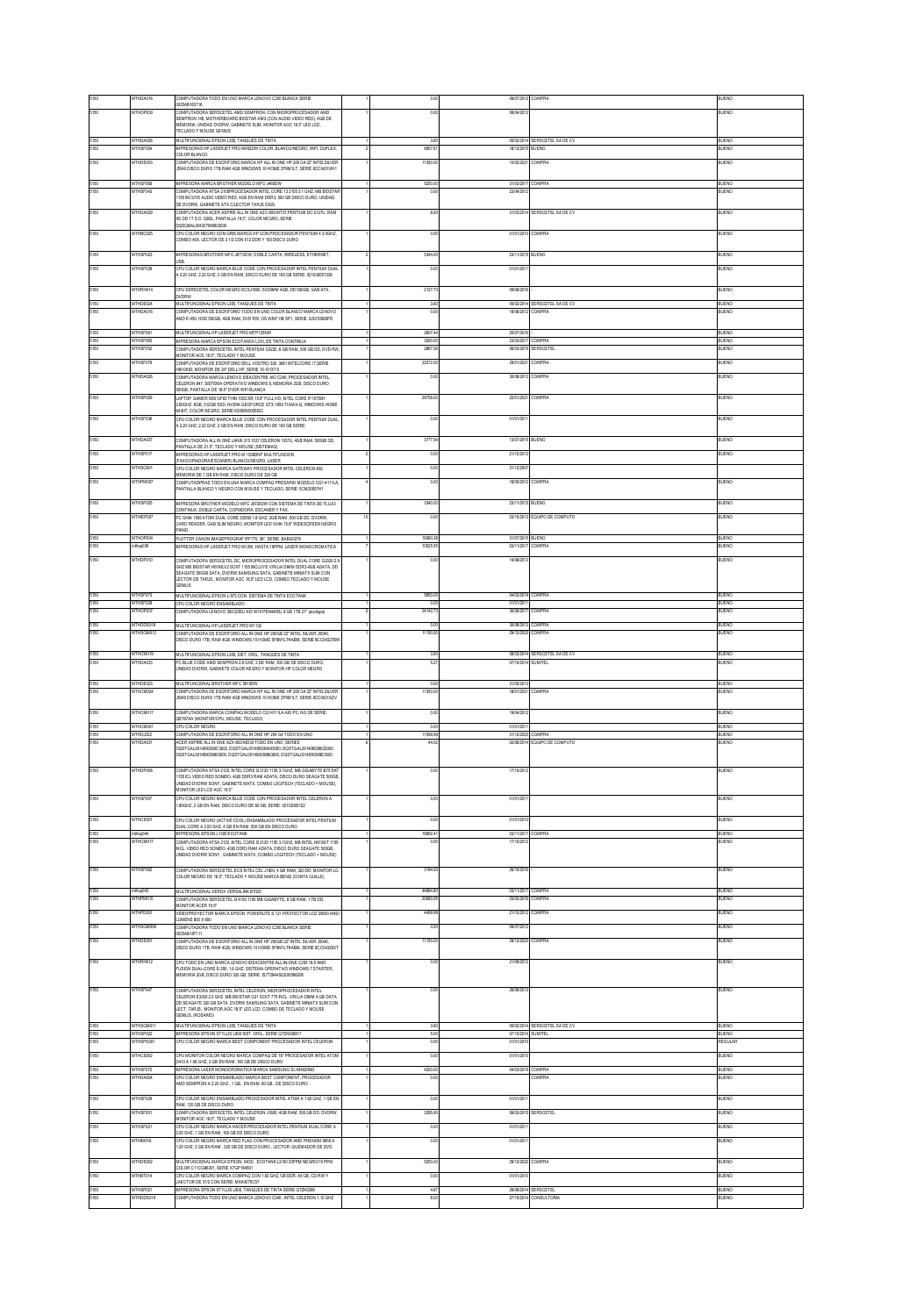|              | MTHDA018                  | COMPUTADORA TODO EN UNO MARCA LENOVO C200 BLANCA SERE:<br>25AB163716                                                                                                   | 0.00               | 09/07/2012               | COMPRA                             | <b>BUENO</b>                 |
|--------------|---------------------------|------------------------------------------------------------------------------------------------------------------------------------------------------------------------|--------------------|--------------------------|------------------------------------|------------------------------|
| 5150         | MTHOP030                  | OMBITADORA CEDECETEI, AMD CEMBRON, CON MICROSOCCECADOR AMD<br>SEMPRON 145, MOTHERBOARD BIOSTAR AM3 (CON AUDIO VIDEO RED), 4GB DE                                       | 0 <sup>0</sup>     | 08/04/201                |                                    | RLIENO                       |
|              |                           | MEMORIA, UNDAD DVDRW, GABINETE SLIM, MONITOR AOC 18.5" LED LCD.<br><b>ECLADO Y MOUSE GENIUS</b>                                                                        |                    |                          |                                    |                              |
| 5150         | MTHDA028                  | MULTIFUNCIONAL EPSON L355, TANQUES DE TINTA                                                                                                                            | 3.60               |                          | 05/02/014 SERSCETEL SA DE CV       | BUENO                        |
| 5150         | MTHSF054                  | IMPRESORAS HP LASERJET PRO M452DW COLOR: BLANCO/NEGRO: WIFL DUPLEX.<br>COLOR BLANCO                                                                                    | 8957.6             | 18/12/2015 BUENO         |                                    | <b>BUENO</b>                 |
| 5150         | ATHDS00                   | OMPUTADORA DE ESCRITORIO MARCA HP ALL IN ONE HP 200 G4 22" INTELSILVER                                                                                                 | 11350              | 10/02/202                | OMPRA                              | <b>LENO</b>                  |
|              |                           | 5040 DISCO DURO 1TB RAM 4GB WINDOWS 10 HOME 2F9M1LT. SERIE 8CC0431XH1                                                                                                  |                    |                          |                                    |                              |
| i150         | MTHSF06<br><b>ATHSFOC</b> | MPRESORA MARCA BROTHER MODELO MFC-J460DW<br>CMPUTADORA ATSA 2105PROCESADOR INTEL CORE 13 2105 3.1 GHZ, MB BIOSTA                                                       | 5250.0<br>$\alpha$ | 31/03/201                | <b>OMPRA</b>                       | <b>BLIENO</b><br><b>IFNO</b> |
|              |                           | 155 NCUYE AUDIO VIDEO RED. 4GB EN RAM DDR3. 500 GB DISCO DURO. UNDAD<br>E DVDRW, GABINETE ATX CLECTOR TARJS DIGS.                                                      |                    |                          |                                    |                              |
| 5150         | <b>MTHDA02</b>            | COMPUTADORA ACER ASPIRE ALL IN ONE AZC 605-MT37, PENTIUM DC-2127U, RAM                                                                                                 | 8.90               | 31/03/2014               | SERSCETEL SA DE CV                 | UENO                         |
|              |                           | 4G DD 1T S.O. Q8SL, PANTALLA 19.5", COLOR NEGRO, SERIE<br>0SQBAL004327069833000                                                                                        |                    |                          |                                    |                              |
| 5150         | MTHBC025                  | CPU COLOR NEGRO CON GRIS MARCA HP CON PROCESADOR PENTIUM 4 3.0GHZ,                                                                                                     | 0.00               | 01/01/2010 COMPRA        |                                    | BUENO                        |
|              |                           | COMBO 40X, LECTOR DE 3 1/2 CON 512 DDR Y 150 DISCO DURO                                                                                                                |                    |                          |                                    |                              |
| 5150         | MTHSP023                  | MPRESORAS BROTHER MFC-J6710DW, DOBLE CARTA, WIRELESS, ETHERNET.<br>USB.                                                                                                | 5344.00            | 23/11/2015 BUENO         |                                    | BUENO                        |
| 5150         | MTHSF039                  | CRUCOLOR NEGRO MARCA RUJE CODE CON PROCESADOR INTEL PENTUM DUAL                                                                                                        | 0.0                | 01/01/201                |                                    | BUENO                        |
|              |                           | A 2.20 GHZ, 2.22 GHZ, 2 GB EN RAM, DISCO DURO DE 160 GB SERIE: 021030051339                                                                                            |                    |                          |                                    |                              |
| 5150         | MTHRH014                  | CPU SERSCETEL COLOR NEGRO ECSJ1800, SODMM 4GB, DD 500GB, GAB ATX,<br>WDRW                                                                                              | 2127.7             | 09/08/201                |                                    | BUENO                        |
|              | MTHDE02                   | MULTFUNCIONAL EPSON L355, TANQUES DE TNTA                                                                                                                              | 36                 | 05/02/2014               | ERSCETEL SA DE CV                  | <b>UENO</b>                  |
| 5150         | <b>ATHDAO16</b>           | COMPUTADORA DE ESCRITORIO TODO EN UNO COLOR BLANCO MARCA LENOVO<br>AMD E-450, HDD 500GB, 4GB RAM, DVD RW, OS WINT HB SP1, SERIE: QS010526PD                            | 00                 | 1806/201                 | <b>DMPRA</b>                       | JENO                         |
|              |                           |                                                                                                                                                                        |                    |                          |                                    |                              |
| 5150<br>5150 | MTHSF06<br>MTHSF065       | MULTFUNCIONAL HP LASERJET PRO MFP125NW<br>IMPRESORA MARCA EPSON ECOTANCK L310, DE TINTA CONTINUA                                                                       | 2607.4<br>3200.00  | 20/07/2016<br>23/03/2017 | COMPRA                             | BUENO<br>BUENO               |
| 5150         | MTHSF052                  | COMPUTADORA SERSCETEL INTEL PENTIUM G3220.8 GB RAM, 500 GB DD, DVD RW<br>MONITOR ACC 19.5", TECLADO Y MOUSE                                                            | 2857.0             |                          | 06/03/2015 SERSCETEL               | BUENO                        |
| 5150         | MTHSF079                  | COMPUTADORA DE ESCRITORIO DELL VOSTRO 300 3681 INTELCORE I 7,SERIE                                                                                                     | 22272.0            | 29/01/2021 COMPRA        |                                    | BUENO                        |
| 5150         | ATHDA02                   | H8V0X63, MONITOR DE 24" DELL HP, SERIE 10-10137-S<br>CMPUTADORA MARCA LENOVO IDEACENTRE AIO C240, PROCESADOR INTEL                                                     | 0.0                | 30/08/2013               | COMPRA                             | <b>LENO</b>                  |
|              |                           | CELERON 847, SISTEMA OPERATIVO WINDOWS 8, MEMORIA 2GB, DISCO DURO<br>10GB, PANTALLA DE 18.5" DVDR WIFI BLANCA                                                          |                    |                          |                                    |                              |
| 5150         | <b>ATHSPO2</b>            | LAPTOP GAMER MSI GF63 THIN 10SCSR 15.6" FULL HD, INTEL CORE 17-10750H                                                                                                  | 29758              | 22/01/202                | COMPRA                             | UENO                         |
|              |                           | ABGHZ. 8GB, 512GB SSD, NVIDIA GEOFORCE GTX 1650 TI MAX-Q, WINDOWS HOME<br>FBIT, COLOR NEGRO, SERIE K2006N0055523                                                       |                    |                          |                                    |                              |
| 5150         | MTHSF036                  | CPU COLOR NEGRO MARCA BLUE CODE CON PROCESADOR INTEL PENTIUM DUAL                                                                                                      | 0.00               | 01/01/201                |                                    | BUENO                        |
|              |                           | 220 GHZ, 222 GHZ, 2 GB EN RAM, DISCO DURO DE 160 GB SERIE:                                                                                                             |                    |                          |                                    |                              |
| 5150         | MTHDA037                  | COMPUTADORA ALL IN ONE LANDC215 1037 CELERON 1037LL4GR RAM, 500GR DD.<br>ANTALLA DE 21.5", TECLADO Y MOUSE (SISTEMAS)                                                  | 3777.54            | 13/07/2015               | BUENO                              | BUENO                        |
| 5150         | MTHSP017                  | MPRESORAS HP LASERJET PRO M 1536DNF MULTIFUNCION                                                                                                                       | 0.00               | 21/12/201                |                                    | BUENO                        |
| 5150         | MTHSO00                   | (FAX/COPIADORA/ESCANER) BLANCO/NEGRO, LASER<br>PU COLOR NEGRO MARCA GATEWAY PROCESADOR INTEL CELERON 450                                                               | 0.00               | 31/12/200                |                                    |                              |
|              |                           | MEMORIA DE 1 GB EN RAM, DISCO DURO DE 320 GB                                                                                                                           |                    |                          |                                    |                              |
| 5150         | MTHPM007                  | COMPUTADPRAS TODO EN UNA MARCA COMPAQ PRESARIO MODELO CQ1-4111LA<br>PANTALLA BLANCO Y NEGRO CON MOUSE Y TECLADO, SERIE: 5CM20507H1                                     | 0.00               | 18/05/2012               | COMPRA                             | <b>BUENO</b>                 |
| 5150         | MTHSP025                  | MPRESORA RROTHER MODELO MECURZYOW CON SISTEMA DE TINTA DE ELLUO                                                                                                        | 3340.00            | 23/11/2015 RUENO         |                                    | BUENO                        |
|              |                           | CONTINUA, DOBLE CARTA, COPIADORA, ESCANER Y FAX.                                                                                                                       |                    |                          |                                    |                              |
| 5150         | MTHEP00                   | C GHIA 1993 ATOM DUAL CORE D2550 1.8 GHZ, 2GB RAM, 500 GB DD, DVDRW<br>ARD READER, GAB SLIM NEGRO, MONITOR LED GHIA 15.6" WIDESCREEN NEGRO                             | 0.0                |                          | 03/10/2013 EQUIPO DE COMPUTO       | <b>IFNO</b>                  |
| 5150         | MTHOP03                   | <b>UMAIO</b>                                                                                                                                                           | 19350.38           | 31/07/2015 BUENO         |                                    | <b>ILENO</b>                 |
| 5150         | rthop039                  | PLOTTER CANON MAGEPROGRAF IPF770, 36", SERIE. BABG0276<br>PRESORAS HP LASERJET PRO M12W. HASTA 19PPM. LASER MONOCROMATICA                                              | 10525.5            | 03/11/2017 COMPRA        |                                    | UENO                         |
| 5150         | MTHDP010                  | COMPUTADORA SERSCETEL DC. MICROPROCESADOR INTEL DUAL CORE G2020 2.                                                                                                     | 0.00               | 14/08/201                |                                    | BUENO                        |
|              |                           | COMPOTATION SERVICE ELLIN, MICROPHOLOGINICA MELLO DI LONDONI COMPOTATION DE SANDA A DE CONDIATA, DE<br>SEAGATE 500GB SATA, DVDRW SAMSUNG SATA, GABNETE MINATX SLIM CON |                    |                          |                                    |                              |
|              |                           | LECTOR DE TARJS., MONITOR AOC 18.5' LED LCD, COMBO TECLADO Y MOUSE                                                                                                     |                    |                          |                                    |                              |
| 5150         | MTHSF07                   | ENIJS                                                                                                                                                                  | 5850.0             | 04/03/2019               | COMPRA                             | BUENO                        |
| 5150         | <b>MTHSF02R</b>           | MULTIFUNCIONAL EPSON L-575 CON SISTEMA DE TINTA ECOTANK<br>CPU COLOR NEGRO ENSAMBLADO                                                                                  |                    | 01/01/201                |                                    | RIFNO                        |
| 5150         | <b>MTHOP037</b>           | OMPUTADORA LENOVO 300-22ISU AIO W10 PEN4405U 8 GB 1TB 21" (ecologia)                                                                                                   | 24142.7            | 30/06/2017               | <b>OMPRA</b>                       | ILENO                        |
| 5150         | MTHDDS018                 | MULTFUNCIONAL HP LASERJET PRO M1132                                                                                                                                    | 0.00               | 30/08/2013               | COMPRA                             | BUENO                        |
| 5150         | MTHSGM012                 | COMPUTADORA DE ESCRITORIO ALL IN ONE HP 200GB 22" INTEL SILVER J5040.<br>DISCO DURO 1TB, RAM 4GB, WINDOWS 10 HOME 5F9M 1LT#ABM, SERIE 8CC04327BV                       | 11150.0            | 29/12/2020               | COMPRA                             | BUENO                        |
|              |                           |                                                                                                                                                                        |                    |                          |                                    |                              |
| 5150<br>5150 | MTHCM019<br>MTHDA033      | MULTIFUNCIONAL EPSON L355, SIST, ORG., TANQUES DE TINTA<br>PC BLUE CODE AMD SEMPRON 2.8 GHZ, 2 DE RAM, 500 GB DE DISCO DURO.                                           | 3.60<br>5.27       | 07/10/2014 SUMITEL       | 08032014 SERSCETEL SA DE CV        | BUENO<br>BUENO               |
|              |                           | INDAD DVDRW, GABINETE COLOR NEGRO Y MONITOR HP COLOR NEGRO                                                                                                             |                    |                          |                                    |                              |
|              | MTHDE023                  | MULTIFUNCIONAL BROTHER MFC 5910DW                                                                                                                                      |                    | 31/05/2013               |                                    | BUENO                        |
| 5150         |                           |                                                                                                                                                                        | 0.00               |                          |                                    |                              |
| 5150         | MTHCM024                  | COMPLITADORA DE ESCRITORIO MARCA HP ALL IN ONE HP 200 G4 22" INTELSILVER                                                                                               | 11350.00           | 18/01/2021               | COMPRA                             | BUENO                        |
|              |                           | 5040 DISCO DURO 1TB RAM 4GB WINDOWS 10 HOME 2F9M1LT, SERIE 8CC0431XZV                                                                                                  |                    |                          |                                    |                              |
| 5150         | MTHCM017                  | COMPUTADORA MARCA COMPAQ MODELO CQ14111LA AIO PC, NO DE SERE:<br>QE767AA (MONITOR/CPU, MOUSE, TECLADO.                                                                 | 0.00               | 19/04/201                |                                    | <b>BUENO</b>                 |
| 5150         | MTHCM00                   | PU COLOR NEGRO                                                                                                                                                         | 0.00               | 01/01/2011               |                                    | BUENO                        |
| 5150<br>5150 | MTHDJ022<br>ATHDA03       | COMPUTADORA DE ESCRITORIO ALL IN ONE HP 204 G4 TODO EN UNO<br>ACER ASPIRE ALL IN ONE AZX-602-MD30 TODO EN UNO. SERIES                                                  | 11099.99<br>44.0   | 31/12/2020<br>0206/2014  | COMPRA<br>EQUIPO DE COMPUTO        | BUENO<br><b>JENO</b>         |
|              |                           | DQSTGAL0014090390C3000.DQSTGAL001409039A03000.DQSTGAL001409038533000.<br>00STGAL001409039803000, DQSTGAL001409038963000, DQSTGAL0014090399E3000                        |                    |                          |                                    |                              |
|              |                           |                                                                                                                                                                        |                    |                          |                                    |                              |
| 5150         | MTHDP008                  | OMPUTADORA ATSA 2120, NTEL CORE I3 2120 1155 3.1GHZ, MB GIGABYTE B75 SK<br>1155 ICL VIDEO RED SONIDO, 4GB DOR3 RAM ADATA, DISCO DURO SEAGATE 500GB                     | 0 <sup>0</sup>     | 17/10/201                |                                    | LIENO                        |
|              |                           | NDAD DVDRW SONY, GABNETE MATX, COMBO LOGITECH (TECLADO + MOUSE),<br>MONITOR LED LCD AOC 18.5"                                                                          |                    |                          |                                    |                              |
| 5150         | MTHSF00                   | CPU COLOR NEGRO MARCA BLUE CODE CON PROCESADOR INTEL CELERON A                                                                                                         | 0.00               | 01/01/201                |                                    | BUENO                        |
|              |                           | 80GHZ, 2 GB EN RAM, DISCO DURO DE 80 GB, SERIE: 02103005122                                                                                                            |                    |                          |                                    |                              |
| 5150         | MTHCS001                  | PU COLOR NEGRO (ACTIVE COOL) ENSAMBLADO PROCESADOR INTEL PENTIUM                                                                                                       | 0.00               | 01/01/201                |                                    | BUENO                        |
|              |                           | UAL CORE A 2.50 GHZ, 4 GB EN RAM, 500 GB EN DISCO DURO<br><b>IPRESORA EPSON L1300 ECOTANK</b>                                                                          |                    | 03/11/201                | <b>OMPRA</b>                       | <b>IFNO</b>                  |
| 5150         | <b>ATHCM01</b>            | COMPUTADORA ATSA 2120, INTEL CORE IS 2120 1155 3.1GHZ, MB INTEL H61SKT 1155<br>NO. VIDEO RED SONDO 4GR DDR3 RAM ADATA DISCO DURO SEAGATE 500GR                         | 00                 | 17/10/20                 |                                    | UENO                         |
|              |                           | INDAD DVDRW SONY, GABINETE MATX, COMBO LOGITECH (TECLADO + MOUSE)                                                                                                      |                    |                          |                                    |                              |
| 5150         | MTHSF062                  | COMPUTADORA SERSCETEL ECS INTEL CEL J1800, 4 GB RAM, 320 DD, MONITOR LG                                                                                                | 3194.93            | 26/10/201                |                                    | <b>BLIENO</b>                |
|              |                           | OLOR NECRO DE 18 6º TECLADO V MOJICE MARCA RENO (CONTA GUILLE)                                                                                                         |                    |                          |                                    |                              |
| 5150         | rthop043                  | MULTFUNCIONAL XEROX VERSALINK B7025                                                                                                                                    | 44984.80           | 03/11/2017 COMPRA        |                                    | <b>JUENO</b>                 |
| 5150         | THPM01                    | COMPUTADORA SERSCETEL (34150 1150 MB GIGABYTE, 8 GB RAM, 1 TB DD,<br>MONITOR ACER 19.5"                                                                                | 20580              | 03/02/201                | <b>OMPRA</b>                       | <b>JENO</b>                  |
| 5150         | MTHPD001                  | VIDEOPROYECTOR MARCA EPSON POWERLITE S 12+ PROYECTOR LCD 28000 ANS                                                                                                     | 4499.95            | 21/12/2012               | COMPRA                             | BUENO                        |
| 5150         | MTHSGM006                 | UMENS 800 X 600<br>OMPUTADORA TODO EN UNO MARCA LENOVO C200 BLANCA SERE                                                                                                | 0 <sup>0</sup>     | 09/07/201                |                                    | BUENO                        |
| 5150         | <b>THDS00</b>             | 25AB187111.<br>COMPUTADORA DE ESCRITORIO ALL IN ONE HP 200GB 22" INTEL SILVER J5040,                                                                                   | 11150              | 29/12/202                |                                    | JENO                         |
|              |                           | .<br>ISCO DURO 1TB, RAM 4GB, WINDOWS 10 HOME 5F9M 1LT#ABM. SERIE BCC04325X1                                                                                            |                    |                          |                                    |                              |
| 5150         | MTHRH012                  | CPU TODO EN UNO MARCA LENOVO IDEACENTRE ALL-IN-ONE C205 18.5 AMD                                                                                                       | 0.00               | 21/09/201                |                                    | BUENO                        |
|              |                           | FUSION DUAL-CORE E-350, 1.6 GHZ, SISTEMA OPERATIVO WINDOWS 7 STARTER.<br>MEMORIA 2GB, DISCO DURO 320 GB, SERIE: IS77294A5QS00596208                                    |                    |                          |                                    |                              |
|              |                           |                                                                                                                                                                        |                    |                          |                                    |                              |
| 5150         | <b>MTHSF04</b>            | COMPUTADORA SERSCETEL INTEL CELERON, MICROPROCESADOR INTEL<br>CELERON E3300 2.5 GHZ. MR RIOSTAR G31 SOKT 775 INCL. VIRILIA DIMM 4 GR DATA                              | 0.00               | 26/06/20                 |                                    | ILIENO                       |
|              |                           | OD SEAGATE 320 GB SATA, DVDRW SAMSUNG SATA, GABINETE MINIATX SLIM CON<br>LECT. TARJS., MONITOR ADC 18.5" LED LCD, COMBO DE TECLADO Y MOUSE                             |                    |                          |                                    |                              |
|              |                           | GENIUS, (ROSARIO)                                                                                                                                                      |                    |                          |                                    |                              |
| 5150<br>5150 | MTHSGM01<br>MTHSP022      | MULTIFUNCIONAL EPSON L355, TANQUES DE TINTA                                                                                                                            | 3.60<br>5.00       | 05/02/2014<br>07/10/2014 | SERSCETEL SA DE CV<br>SUMITEL      | BUENO<br>BUENO               |
| 5150         | MTHSPS001                 | IMPRESORA EPSON STYLUS L800 SIST. ORG., SERIE Q7ZK026817<br>CPU COLOR NEGRO MARCA BEST COMPONENT PROCESADOR INTEL CELERON                                              | 0.00               | 01/01/201                |                                    | REGULAR                      |
| 5150         | <b>ATHCSON</b>            | PU MONITOR COLOR NEGRO MARCA COMPAQ DE 18" PROCESADOR INTEL ATOM                                                                                                       |                    | 01/01/201                |                                    | <b>LENO</b>                  |
|              |                           | D410 A 1.66 GHZ, 2 GB EN RAM, 160 GB DE DISCO DURO                                                                                                                     | 0.00               |                          |                                    |                              |
| 5150<br>5150 | MTHSF072<br>MTHDA004      | IMPRESORA LASER MONOCROMATICA MARCA SAMSUNG SLAM020ND<br>CPU COLOR NEGRO ENSAMBLADO MARCA BEST COMPONENT. PROCESADOR                                                   | 4200.00<br>0.00    | 04/03/2019               | COMPRA<br>COMPRA                   | BUENO<br>BUENO               |
|              |                           | MID SEMPRON A 2.20 GHZ, 1 GB., EN RAM, 80 GB., DE DISCO DURO                                                                                                           |                    |                          |                                    |                              |
| 5150         | MTHSF029                  | CRUCCUOR NEGRO ENSAMRI ADO PROCESADOR INTEL ATOM A 1 60 GHZ. 1 GR EN                                                                                                   | 0.00               | 01/01/201                |                                    | BUENO                        |
| 5150         | MTHSF05                   | MM, 120 GB DE DISCO DURO<br>OMPUTADORA SERSCETEL INTEL CELERON J1800, 4GB RAM, 500 GB DD, DVDRW                                                                        | 2285.9             | 06/03/201                | ERSCETE                            | <b>UENO</b>                  |
|              |                           | (ONITOR AOC 19.5", TECLADO Y MOUSE                                                                                                                                     |                    |                          |                                    |                              |
| 5150         | MTHSF02                   | CPU COLOR NEGRO MARCA HACER PROCESADOR INTEL PENTIUM DUAL CORE A<br>2.00 GHZ, 1 GB EN RAM, 160 GB DE DISCO DURO                                                        | 0.00               | 01/01/201                |                                    | BUENO                        |
| 5150         | MTHM016                   | CPU COLOR NEGRO MARCA RED ELAG CON PROCESADOR AMD PHENOM 9550 A<br>30 GHZ, 3 GB EN RAM, 320 GB DE DISCO DURO, LECTOR -QUEMADOR DE DVD                                  | 0.00               | 01/01/201                |                                    | BUENO                        |
|              |                           |                                                                                                                                                                        |                    |                          |                                    |                              |
| 5150         | MTHDS002                  | MULTIFUNCIONAL MARCA EPSON, MOD. ECOTANK L3150 33PPM NEGRO/15 PPM<br>COLOR C11CG86301, SERIE X7GP184961                                                                | 5250.00            | 29/12/2020               | COMPRA                             | BUENO                        |
| 5150         | ATHBT014                  | PU COLOR NEGRO MARCA COMPAQ CON 1.83 GHZ, 128 DDR, 40 GB, CD-RW<br>LAECTOR DE 31/2 CON SERIE: MXK4270C57                                                               | 0.00               | 01/01/201                |                                    | <b>JENO</b>                  |
| 150<br>5150  | MTHSP02<br>MTHDDS019      | IMPRESORA EPSON STYLUS L800. TANQUES DE TINTA SERIE Q7ZK0269<br>COMPUTADORA TODO EN UNO MARCA LENOVO C240. INTEL CELERON 1.10 GHZ                                      | 4.87<br>8.00       | 29/09/2014               | SERSCETE<br>27/10/2014 CONSULTORIA | <b>JUENO</b><br><b>BUENO</b> |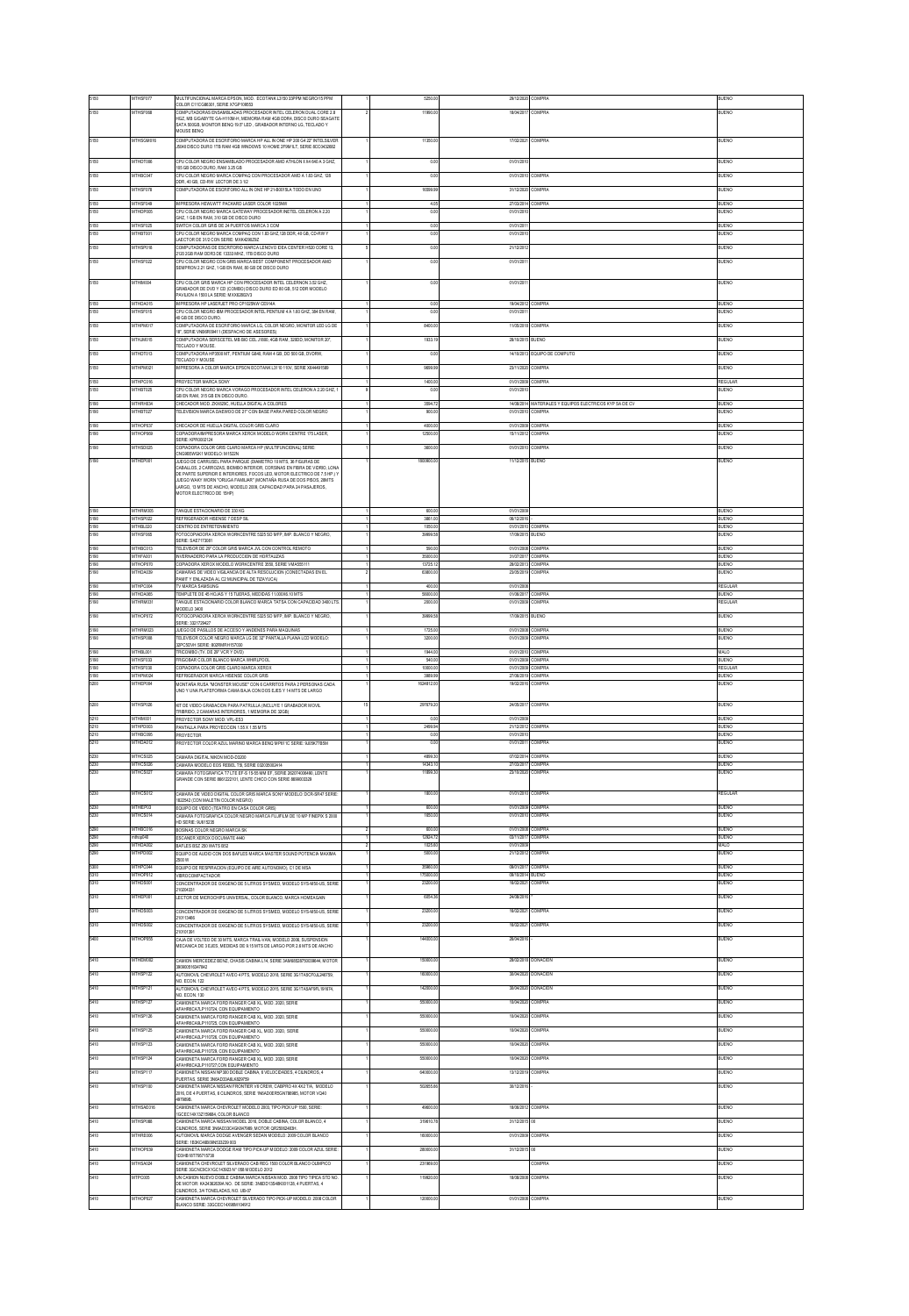|              | <b>ATHSF07</b>              | MULTIFUNCIONAL MARCA EPSON, MOD. ECOTANK L315033PPM NEGRO/15 PPM<br>COLOR C11CG86301, SERIE X7GP109553                                                                     |                      | 29/12/2020                             | COMPRA                                       | UENO                   |
|--------------|-----------------------------|----------------------------------------------------------------------------------------------------------------------------------------------------------------------------|----------------------|----------------------------------------|----------------------------------------------|------------------------|
|              | <b>ATHSF068</b>             | OMPUTADORAS ENSAMBLADAS PROCESADOR INTEL CELERON DUAL CORE 2.8<br>HGZ. MB GIGABYTE GA-H110M-H, MEMORIA RAM 4GB DDR4, DISCO DURO SEAGATE                                    | 11990.0              | 18/04/201                              | COMPRA                                       | ILENO                  |
|              |                             | ATA 500GB, MONITOR BENO 19.5" LED., GRABADOR INTERNO LG. TECLADO Y<br><b>IOUSE BENO</b>                                                                                    |                      |                                        |                                              |                        |
| 5150         | MTHSGM016                   | OMPUTADORA DE ESCRITORIO MARCA HP ALL IN ONE HP 200 G4 22" INTELSILVER<br>5040 DISCO DURO 1TB RAM 4GB WINDOWS 10 HOME 2F9M1LT, SERIE 8CC0432682                            | 11350.0              | 17/02/2021                             | COMPRA                                       | <b>JUENO</b>           |
| 5150         | MTHDT006                    | U COLOR NEGRO ENSAMBLADO PROCESADOR AMD ATHLON II X4 640 A 3 GHZ.                                                                                                          | 0.01                 | 01/01/201                              |                                              | <b>JUENO</b>           |
| 5150         | MTHBC04                     | 05 GB DISCO DURO, RAM 3.25 GB<br>PU COLOR NEGRO MARCA COMPAQ CON PROCESADOR AMD A 1.83 GHZ, 128                                                                            | 0.00                 | 01/01/2010                             | COMPRA                                       | BUENO                  |
| 5150         | MTHSF078                    | OR, 40 GB, CD-RW LECTOR DE 3 1/2<br>COMPUTADORA DE ESCRITORIO ALL IN ONE HP 21-B001SLA TODO EN UNO                                                                         | 16599.95             | 31/12/2020                             | <b>COMPRA</b>                                | <b>BUENO</b>           |
| 5150         | MTHSF049                    | PRESORA HEWLWTT PACKARD LASER COLOR 1025NW                                                                                                                                 | 4.05                 | 27/03/2014 COMPRA                      |                                              | BUENO                  |
| 5150         | ATHDP005                    | PU COLOR NEGRO MARCA GATEWAY PROCESADOR INETEL CELERON A 2.20<br>HZ. 1 GB EN RAM. 310 GB DE DISCO DURO                                                                     | 0.00                 | 01/01/201                              |                                              | ILIENO                 |
| 5150<br>5150 | MTHSF025<br>MTHBT001        | SWITCH COLOR GRIS DE 24 PUERTOS MARCA 3 COM<br>PU COLOR NEGRO MARCA COMPAQ CON 1.83 GHZ 128 DDR, 40 GB, CD-RW Y                                                            | 0.00<br>0.00         | 01/01/2011<br>01/01/201                |                                              | BUENO<br>BUENO         |
| 5150         | MTHSP018                    | AECTOR DE 31/2 CON SERIE: MXK4290292<br>OMPUTADORAS DE ESCRITORIO MARCA LENOVO IDEA CENTER H520 CORE 13,                                                                   | 0.00                 | 21/12/2013                             |                                              | BUENO                  |
| 5150         | <b>ATHSFOZ</b>              | 20 2GB RAM DDR3 DE 13333 MHZ, 1TB DISCO DURO<br>CPU COLOR NEGRO CON GRIS MARCA BEST COMPONENT PROCESADOR AMD                                                               | 0.0                  | 01/01/20                               |                                              |                        |
|              |                             | SEMPRON 2.21 GHZ. 1 GB EN RAM, 80 GB DE DISCO DURO                                                                                                                         |                      |                                        |                                              |                        |
| 5150         | MTHM004                     | CPU COLOR GRIS MARCA HP CON PROCESADOR INTEL CELERNON 3.52 GHZ<br>.<br>RABADOR DE DVD Y CD (COMBO) DISCO DURO ED 80 GB, 512 DDR MODELO                                     | 0.00                 | 01/01/201                              |                                              | BUENO                  |
| 5150         | MTHDA015                    | VILION A 1500 LA SERIE: MXX62802V3<br>MPRESORA HP LASERJET PRO CP1025NW CE914A                                                                                             | 0.00                 | 19/04/2012 COMPRA                      |                                              | BUENO                  |
| 5150         | MTHSF015                    | PU COLOR NEGRO IBM PROCESADOR INTEL PENTIUM 4 A 1.60 GHZ, 384 EN RAM,<br>0 GB DE DISCO DURO                                                                                | 0.00                 | 01/01/2011                             |                                              | <b>JUENO</b>           |
| 5150         | MTHPM017                    | COMPUTADORA DE ESCRITORIO MARCA LG, COLOR NEGRO, MONITOR LED LG DE<br>18", SERIE VNB6R09411 (DESPACHO DE ASESORES)                                                         | 8400.00              | 11/05/2018                             | <b>COMPRA</b>                                | <b>JUENO</b>           |
| 5150         | ATHJM015                    | COMPUTADORA SERSCETEL MB BIO CEL J1800, 4GB RAM, 320DD, MONITOR 20",<br><b>FECLADO Y MOUSE.</b>                                                                            | 1933.1               | 28/10/2015                             | BUENO                                        | UENO                   |
| 5150         | MTHDT013                    | COMPUTADORA HP3500 MT, PENTIUM G840, RAM 4 GB, DD 500 GB, DVDRW,<br>ECLADO Y MOUSE                                                                                         | 0.0                  |                                        | 14/10/2013 EQUIPO DE COMPUTO                 | <b>BUENO</b>           |
| 5150         | MTHPM021                    | IPRESORA A COLOR MARCA EPSON ECOTANK L3110 110V, SERIE X644491589                                                                                                          | 9899.9               | 23/11/2020                             | COMPRA                                       | BUENO                  |
| 5150         | MTHPC01<br>ATHBT025         | ROYECTOR MARCA SONY<br>CPU COLOR NEGRO MARCA VORAGO PROCESADOR INTEL CELERON A 2.20 GHZ,                                                                                   | 1400.<br>$\alpha$    | 01/01/200<br>01/01/20                  | <b>OMPRA</b>                                 | JENO                   |
| 5190         | MTHRH034                    | 3B EN RAM, 315 GB EN DISCO DURO.<br>HECADOR MOD. ZKX629C. HUELLA DIGITAL A COLORES                                                                                         | 3594.72              | 14/08/2014                             | MATERIALES Y EQUIPOS ELECTRICOS KYP SA DE CV | BUENO                  |
| 5190         | MTHBT027                    | ELEVISION MARCA DAEWOO DE 21" CON BASE PARA PARED COLOR NEGRO                                                                                                              | 900.0                | 01/01/2010                             | COMPRA                                       | <b>BUENO</b>           |
| 190<br>5190  | MTHOP03<br>ATHOP069         | CHECADOR DE HUELLA DIGITAL COLOR GRIS CLARO<br>OPIADORA/IMPRESORA MARCA XEROX MODELO WORK CENTRE 175 LASER,                                                                | 4000.00<br>12500.0   | 15/11/2012 COMPRA                      | 01/01/2009 COMPRA                            | <b>BUENO</b><br>UENO   |
| 5190         | MTHSD025                    | SERIE: KPR0002124<br>OPWDORA COLOR GRIS CLARO MARCA HP (MULTIFUNCIONAL) SERIE:                                                                                             | 3600.0               | 01/01/2010 COMPRA                      |                                              | <b>BUENO</b>           |
| 5190         | MTHEP001                    | NG9B5WGK1 MODELO: M1522N<br>HEGO DE CARRHICEI, DARA RAROLE (DIMMETRO 10 MTC, 16 EIGHRAC DE                                                                                 | 1800900.0            | 11/12/2015 BUENO                       |                                              | BUENO                  |
|              |                             | CABALLOS, 2 CARROZAS, BIOMBO INTERIOR, CORSINAS EN FIBRA DE VIDRIO, LONA<br>DE PARTE SUPERIOR E INTERIORES, EOCOS LED, MOTOR ELECTRICO DE 7.5 HP LY                        |                      |                                        |                                              |                        |
|              |                             | <b>UEGO WAKY WORN "ORUGA FAMILIAR" (MONTAÑA RUSA DE DOS PISOS, 28MTS</b><br>LARGO. 13 MTS DE ANCHO. MODELO 2009. CAPACIDAD PARA 24 PASAJEROS.<br>MOTOR ELECTRICO DE 15HP)  |                      |                                        |                                              |                        |
|              |                             |                                                                                                                                                                            |                      |                                        |                                              |                        |
| 5190<br>5190 | MTHRM005<br>MTHSP022        | TANQUE ESTACIONARIO DE 330 KG<br>REFRIGERADOR HISENSE 7 DESP SL                                                                                                            | 600.00<br>3861.00    | 01/01/200<br>06/12/201                 |                                              | BUENO<br>BUENO         |
| 5190<br>5190 | MTHBL020<br>MTHSF065        | CENTRO DE ENTRETENMENTO<br>FOTOCOPIADORA XEROX WORKCENTRE 5325 SD MFP. IMP. BLANCO Y NEGRO.                                                                                | 1050.0<br>39909.5    | 01/01/2010<br>17/09/2015 BUENO         | COMPRA                                       | BUENO<br>BUENO         |
|              | <b>MTHBCO1</b>              | SERIE: SAE7173081<br>ELEVISOR DE 29º COLOR GRIS MARCA JVL CON CONTROL REMOTO                                                                                               | 590                  | 01/01/200                              | OMPR.                                        |                        |
| 5190<br>i190 | MTHFA001<br>MTHOP070        | INVERNADERO PARA LA PRODUCCIÓN DE HORTALIZAS<br>CPIADORA XEROX MODELO WORKCENTRE 3550, SERE VMA555111                                                                      | 35000.0<br>13725.1   | 31/07/201<br>26/02/201                 | <b>COMPRA</b><br>COMPRA                      | <b>TENO</b><br>UENO    |
| 5190         | ATHDA039                    | MARAS DE VIDEO VIGILANCIA DE ALTA RESOLUCIÓN (CONECTADAS EN EL                                                                                                             |                      |                                        | OMPRA                                        | JENO                   |
| 5190         | MTHPC004                    | AMITY ENLAZADA AL C2 MUNICIPAL DE TIZAYUCA)<br><b>PAUS MARCA SAMPLES</b>                                                                                                   | 400.00               | 01/01/2008                             |                                              | REGULAR                |
| 5190<br>5190 | MTHDA065<br>MTHRM031        | EMPLETE DE 45 HOJAS Y 15 TUERAS. MEDIDAS 11.000X6.10 MTS<br>TANQUE ESTACIONARIO COLOR BLANCO MARCA TATSA CON CAPACIDAD 3400 LTS                                            | 58000.0<br>2000.00   | 01/06/2017<br>01/01/2009 COMPRA        | COMPRA                                       | BUENO<br>REGULAR       |
| 5190         | ATHOP072                    | OTOCOPIADORA XEROX WORKCENTRE 5325 SD MFP, MP. BLANCO Y NEGRO,                                                                                                             | 39999.5              | 17/09/2015                             | BUENO                                        | UENO                   |
| 5190         | MTHRM023                    | SERIE: 3321729427<br>JUEGO DE PASILLOS DE ACCESO Y ANDENES PARA MAQUINAS                                                                                                   | 1725.00              | 01/01/2008 COMPRA                      |                                              | BUENO                  |
| 5190         | MTHSP008                    | TELEVISOR COLOR NEGRO MARCA LG DE 32" PANTALLA PLANA LCD MODELO:<br>PC5DVH SERIE: 802RMRH157030                                                                            | 3200.0               | 01/01/2009                             | <b>COMPRA</b>                                | BUENO                  |
|              |                             |                                                                                                                                                                            |                      |                                        |                                              |                        |
| 190<br>5190  | MTHBL001<br><b>MTHSF033</b> | RICOMBO (TV. DE 29" VCR Y DVD)<br>RIGOBAR COLOR BLANCO MARCA WHIRLPOOL                                                                                                     | 1944.0<br>540.00     | 01/01/2010<br>01/01/2009 COMPRA        | COMPRA                                       | MALO<br>RIFNO          |
| 5190<br>5190 | MTHSF030<br><b>MTHPM(D4</b> | COPIADORA COLOR GRIS CLARO MARCA XEROX                                                                                                                                     | 10000.00<br>798990   | 01/01/2009 COMPRA<br>27/06/2019 COMPRA |                                              | REGULAR<br>RIFNO       |
| 5200         | MTHEP004                    | REFRIGERADOR MARCA HISENSE COLOR GRIS<br>IONTAÑA RUSA "MONSTER MOUSE" CON 6 CARRITOS PARA 2 PERSONAS CADA<br>UNO Y UNA PLATEFORMA CAMA BAJA CON DOS EJES Y 14 MTS DE LARGO | 1624812.00           | 19/02/2016 COMPRA                      |                                              | <b>BUENO</b>           |
|              |                             |                                                                                                                                                                            |                      |                                        |                                              |                        |
| 5200         | MTHSP026<br>MTHM001         | IT DE VIDEO GRABACIÓN PARA PATRULLA (INCLUYE 1 GRABADOR MOVIL<br>TRIBRIDO, 2 CAMARAS INTERIORES, 1 MEMORIA DE 32GB)                                                        | 297679.2<br>0.00     | 24/05/2017                             | COMPRA                                       | ILIENO<br><b>BUENC</b> |
| 5210         | MTHPD003                    | PROYECTOR SONY MOD: VPL-ES3<br>PANTALLA PARA PROYECCION 1.55 X 1.55 MTS                                                                                                    | 2499.94              | 01/01/2009<br>21/12/2012 COMPRA        |                                              | BUENO                  |
| 5210<br>5210 | MTHBC095<br>MTHDA012        | PROYECTOR<br>ROYECTOR COLOR AZUL MARINO MARCA BENO MP611C SERIE: 9J05K77B5M                                                                                                | 0.00<br>0.00         | 01/01/2010                             | 01/01/2011 COMPRA                            | BUENO<br>BUENO         |
| 5230         | MTHCS02                     | <b>CAMARA DIGITAL NIKON MOD-D3200</b>                                                                                                                                      | 4899.3               | 07/02/2014 COMPRA                      |                                              | <b>BUENC</b>           |
| 5230<br>5230 | MTHCS026<br><b>MTHCS027</b> | CAMARA MODELO EOS REBEL TS, SERIE 032035002414<br>AMARA FOTOGRAFICA T7 LTE EF-S 15-55 MM EF, SERIE 262074006490, LENTE                                                     | 14343.10<br>11899.74 | 27/03/2017 COMPRA<br>29/10/2020 COMPRA |                                              | RIFNO<br><b>JUENO</b>  |
|              |                             | RANDE CON SERIE RA1222101 LENTE CHICO CON SERIE RANDOTOS                                                                                                                   |                      |                                        |                                              |                        |
| 5230         | <b>ATHCS012</b>             | MARA DE VIDEO DIGITAL COLOR GRIS MARCA SONY MODELO: DCR-SR47 SERI<br>1822542 (CON MALETIN COLOR NEGRO)                                                                     | 1800.0               | 01/01/2010                             | COMPRA                                       | EGULAR                 |
| 5230<br>5230 | MTHEP03<br>MTHCS014         | EQUIPO DE VIDEO (TEATRO EN CASA COLOR GRIS)<br>MARA FOTOGRAFICA COLOR NEGRO MARCA FUJIFILM DE 10 MP FINEPIX S 2000                                                         | 600.00<br>1650.00    | 01/01/2009 COMPRA<br>01/01/2010        | <b>COMPRA</b>                                | <b>UENC</b><br>BUENO   |
| 5290         | MTHBC016                    | D SERIE: 9U615235<br>BOSINAS COLOR NEGRO MARCA SK                                                                                                                          | 600.0                | 01/01/2008                             | COMPRA                                       | BUENO                  |
| 5290<br>5290 | $m$ hcc $040$<br>MTHDA002   | SCANER XEROX DOCUMATE 4440<br>BAFLES BSZ 250 WATS B52                                                                                                                      | 12924.72<br>1025.60  | 03/11/2017 COMPRA<br>01/01/2009        |                                              | RUENO<br><b>IALO</b>   |
| 5290         | MTHPD002                    | QUIPO DE AUDIO CON DOS BAFLES MARCA MASTER SOUND POTENCIA MAXIMA<br>500 W                                                                                                  | 5000.00              | 21/12/2012 COMPRA                      |                                              | UENO                   |
|              | MTHPC044                    | EQUIPO DE RESPIRACIÓN (EQUIPO DE AIRE AUTONOMO), C1 DE MSA<br>CONDICTAR                                                                                                    | 35960.0              | 09/01/2017 COMPRA                      |                                              | BUENO                  |
| 5310         | ATHDS001                    | CONCENTRADOR DE OXIGENO DE 5 LITROS SYSMED. MODELO SYS M50-US. SERIE<br>manusan                                                                                            | 23200.0              | 16/02/2021                             | <b>COMPRA</b>                                | <b>JUENO</b>           |
| 5310         | MTHEP001                    | LECTOR DE MICROCHIPS UNIVERSAL, COLOR BLANCO, MARCA HOMEAGAIN                                                                                                              | 6054.3               | 24/08/201                              |                                              | <b>BUENO</b>           |
| 5310         | <b>MTHDS003</b>             | CONCENTRADOR DE OXIGENO DE 5 LITROS SYSMED, MODELO SYSM50-US, SERIE<br>10113466                                                                                            | 23200.0              | 16/02/202                              | <b>OMPRA</b>                                 | <b>BLIENO</b>          |
| 5310         | MTHDS002                    | ONCENTRADOR DE OXIGENO DE 5 LITROS SYSMED. MODELO SYS M50-US. SERIE<br>0101391                                                                                             | 23200.0              | 16/02/2021                             | COMPRA                                       | BUENO                  |
| 5400         | MTHOP055                    | AJA DE VOLTEO DE 30 MTS, MARCA TRAL-VAN, MODELO 2006, SUSPENSION<br>MECANICA DE 3 EJES, MEDIDAS DE 9.15 MTS DE LARGO POR 2.6 MTS DE ANCHO                                  | 144000.0             | 2604/201                               |                                              | BUENO                  |
| 5410         | MTHEM002                    | MION MERCEDEZ BENZ, CHASIS CABINA L14, SERIE 3AM68528750039644, MOTO                                                                                                       | 150000.0             |                                        | 28/02/2018 DONACION                          | <b>JUENO</b>           |
| 5410         | MTHSP122                    | 0900516347842<br>AUTOMOVIL CHEVROLET AVEO 4 PTS, MODELO 2018, SERIE 3G1TA5CF0JL246759,                                                                                     | 160000               | 30/04/2020                             | DONACIÓN                                     | <b>BUENO</b>           |
| 5410         | MTHSP121                    | IO. ECON. 122<br>AUTOMOVIL CHEVROLET AVEO 4 PTS, MODELO 2015, SERIE 3G1TA5AF9FL191674                                                                                      | 142000.0             | 30/04/2020                             | <b>DONACION</b>                              | BUENO                  |
| 5410         | <b>ATHSP127</b>             | (O. ECON. 130<br>AMIONETA MARCA FORD RANGER CAB XL, MOD. 2020, SERIE                                                                                                       | 550000               | 10/04/2020                             | COMPRA                                       | UENO                   |
| 5410         | MTHSP126                    | FAHRACAZI P110724 CON FOLIPAMENTO<br>CAMIONETA MARCA FORD RANGER CAB XL MOD. 2020. SERIE                                                                                   | 550000.              | 10/04/2020                             | COMPRA                                       | <b>BUENO</b>           |
|              | MTHSP125                    | FAHR6CASLP110725, CON EQUIPAMIENTO<br>AMIONETA MARCA FORD RANGER CAB XL MOD. 2020. SERIE                                                                                   | 550000.0             | 10/04/2020                             | <b>COMPRA</b>                                | BUENO                  |
| 5410<br>5410 | <b>ATHSP123</b>             | AFAHR6CA0LP110726. CON EQUIPAMIENTO<br>AMIONETA MARCA FORD RANGER CAB XL, MOD. 2020, SERIE                                                                                 | 550000               | 10/04/2020                             | <b>OMPRA</b>                                 | UENO                   |
| 5410         | MTHSP124                    | AFAHR6CA6LP110729. CON EQUIPAMIENTO<br>CAMIONETA MARCA FORD RANGER CAB XL MOD. 2020. SERIE                                                                                 | 550000.              | 10/04/2020                             | COMPRA                                       | BUENO                  |
| 5410         | MTHSP117                    | FAHR6CA2LP110727,CON EQUIPAMIENTO<br>AMIONETA NISSAN NP300 DOBLE CABINA, 6 VELOCIDADES, 4 CILINDROS, 4                                                                     | 640000.0             | 13/12/2019                             | COMPRA                                       | BUENO                  |
| 5410         | ATHSP100                    | UERTAS, SERIE 3N6AD33A6LK829759<br>CAMIONETA MARCA NISSAN FRONTIER V6 CREW, CABPRO 4X 4X2 T/A, MODELO                                                                      | 5026                 | 30/12/201                              |                                              |                        |
|              |                             | 1016. DE 4 PUERTAS. 6 CILINDROS. SERIE 1N6AD0ER5GN786985. MOTOR VO40<br>37989B.                                                                                            |                      |                                        |                                              |                        |
| 5410         | <b>ATHSAE016</b>            | MMONETA MARCA CHEVROLET MODELO 2003, TIPO PICK UP 1500, SERIE:<br>GCEC14X132159684, COLOR BLANCO                                                                           | 49600                | 1806/2012                              | OMPRA                                        | <b>JENO</b>            |
| 5410         | MTHSP088                    | MIONETA MARCA NISSAN MODEL 2016, DOBLE CABINA, COLOR BLANCO, 4<br>CILINDROS, SERIE 3N6AD33C4GK847989, MOTOR QR25062483H.                                                   | 319610.7             | 31/12/2015                             |                                              | BUENO                  |
| 5410         | <b>MTHREON</b>              | UTOMOVIL MARCA DODGE AVENGER SEDAN MODELO: 2009 COLOR BLANCO<br>ERIE: 1B3KC46B09N533239 003                                                                                | 160000               | 01/01/2009                             | COMPRA                                       | UENO                   |
| 5410         | MTHOP039                    | CAMIONETA MARCA DODGE RAM TIPO PICK-UP MODELO: 2009 COLOR AZUL SERIE:<br>D3HB18T795715738                                                                                  | 280000.0             | 31/12/2015                             | $_{00}$                                      | BUENO                  |
| 5410         | MTHSA024                    | AMIONETA CHEVROLET SILVERADO CAB REG 1500 COLOR BLANCO OLIMPICO<br>ERIE 3GCNC9CX1GC143923 N° 058 MODELO 2012                                                               | 231969.0             |                                        | COMPRA                                       | <b>BUENO</b>           |
| 5410         | <b>MTPC005</b>              | N CAMION NUEVO DOBLE CABINA MARCA NISSAN MOD. 2008 TIPO TIPICA STO NO<br>DE MOTOR: KA24362639A NO. DE SERIE: 3N6DD13S48K001128, 4 PUERTAS, 4                               | 119920               |                                        | 18/08/2008 COMPRA                            | ILIENO                 |
| 5410         | <b>MTHOP02</b>              | ILINDROS, 3/4 TONELADAS, NO. UB-07<br>MIONETA MARCA CHEVROLET SLVERADO TIPO PICK-UP MODELO: 2008 COLOR<br>ILANCO SERIE: 33GCEC14X98M104912                                 | 120000               | 01/01/2008                             | <b>COMPRA</b>                                | ILIENO                 |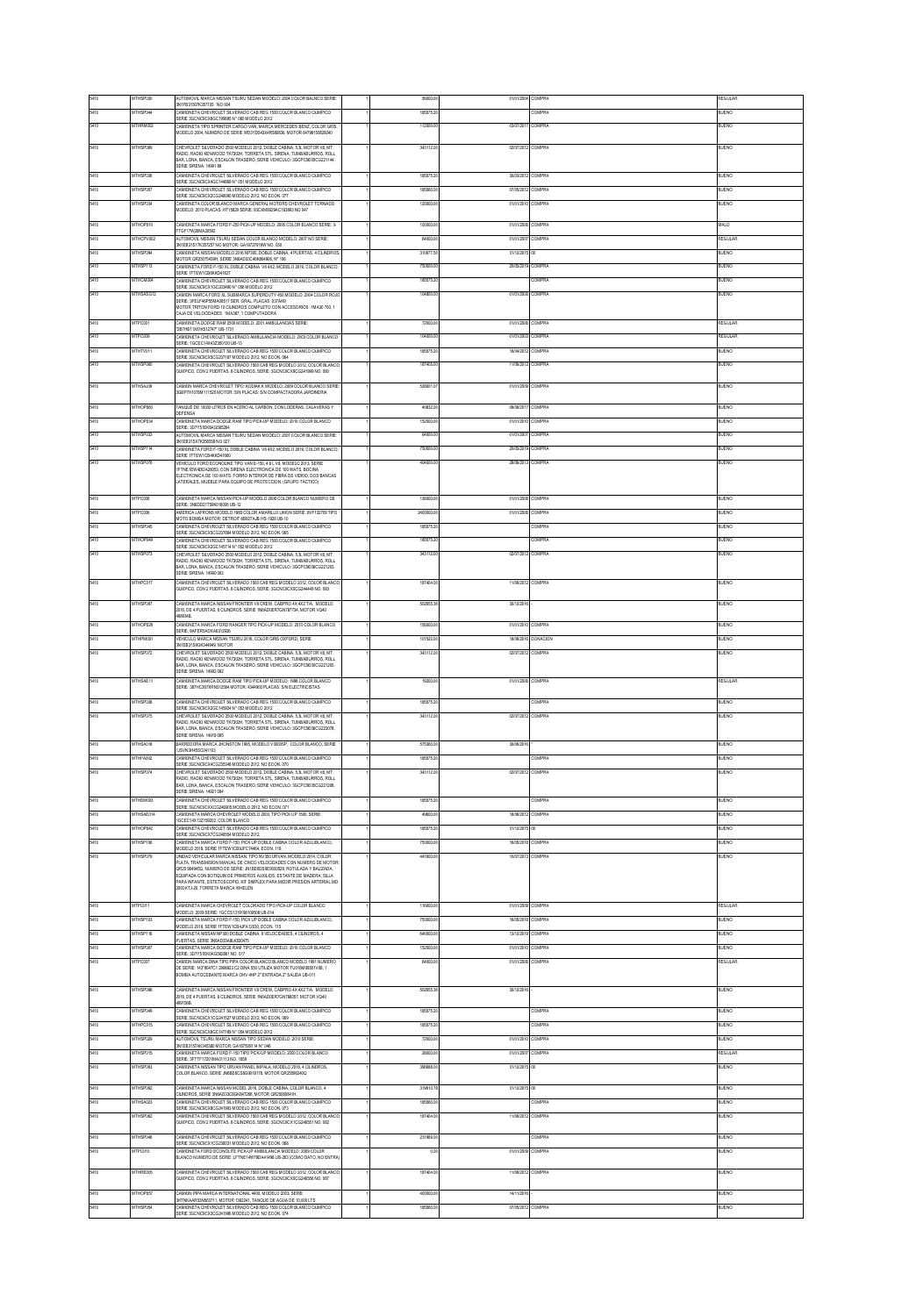|              |                      | NUTOMOVIL MARCA NISSAN TSURU SEDAN MODELO: 2004 COLOR BALNCO SERIE<br>3N1FB31507K357105 NO 004                                                                                                                     | 56000.0             | 01/01/2004              | COMPRA           | <b>IEGULAF</b>       |
|--------------|----------------------|--------------------------------------------------------------------------------------------------------------------------------------------------------------------------------------------------------------------|---------------------|-------------------------|------------------|----------------------|
|              | <b>ITHSP04</b>       | MIONETA CHEVROLET SLVERADO CAB REG 1500 COLOR BLANCO OLIMPICO<br>SERIE 3GCNC9CX8GC199695 N° 060 MODELO 2012                                                                                                        | 185575.             |                         | COMPRA           | ILIENO               |
| 5410         | ATHRM002             | CAMIONETA TIPO SPRINTER CARGO VAN MARCA MERCEDES BENZ COLOR GRIS<br>MODELO 2004, NUMERO DE SERIE WD3YD543X4R580836, MOTOR 64798150829240                                                                           | 112000.0            | 03/07/2017              | COMPRA           | <b>UENO</b>          |
| 5410         | MTHSP099             | CHEVROLET SILVERADO 2500 MODELO 2012, DOBLE CABINA, 5.3L MOTOR V8, MT.<br>MDIO, RADIO KENWOOD TK7302H, TORRETA STL, SRENA, TUMBABURROS, ROLL                                                                       | 343112.00           | 02/07/2012 COMPRA       |                  | BUENO                |
|              |                      | BAR, LONA, BANCA, ESCALON TRASERO, SERIE VEHICULO: 3GCPC9E05CG221144,<br>SERIE SIRENA: 14991 89                                                                                                                    |                     |                         |                  |                      |
| 5410         | MTHSP036             | CAMIONETA CHEVROLET SLVERADO CAB REG 1500 COLOR BLANCO OLIMPICO<br>SERIE 3GCNC9CX4GC144869 N° 051 MODELO 2012                                                                                                      | 185575.2            | 30/03/2012              | COMPRA           | BUENO                |
| 5410         | MTHSP057             | CAMIONETA CHEVROLET SILVERADO CAB REG 1500 COLOR BLANCO OLIMPICO<br>ERIE 3GCNC9CX2CG246090 MODELO 2012, NO ECON, 077                                                                                               | 185560.0            | 07/05/2012              | COMPRA           | BUENO                |
| 5410         | <b>THSP03</b>        | MIONETA COLOR BLANCO MARCA GENERAL MOTORS CHEVROLET TORNADO<br>MODELO: 2010 PLACAS: HT15829 SERIE: 93CXM8029AC163893 NO 047                                                                                        | 120000              | 01/01/201               | OMPRA            | JENO                 |
|              | <b>ITHOP01</b>       | CAMIONETA MARCA FORD F-250 PICK-UP MDOELO: 2006 COLOR BLANCO SERIE: 3-                                                                                                                                             | 100000              | 01/01/2008              | <b>OMPRA</b>     | ALO                  |
|              | MTHCPV002            | TGF17W26MA20552<br>AUTOMOVIL NISSAN TSURU SEDAN COLOR BLANCO MODELO: 2007 NO SERIE:                                                                                                                                | 64000.0             | 01/01/2007              | COMPRA           | REGULAR              |
| 5410         | MTHSP094             | IN1EB31S17K357257 NO MOTOR: GA16727919W NO. 030<br>MIONETA NISSAN MODELO 2016 NP300, DOBLE CABINA, 4 PUERTAS, 4 CLINDRO!                                                                                           | 310677.5            | 31/12/201               |                  | RIFNO                |
|              | <b>THSP112</b>       | MOTOR QR25075439H, SERIE 3N6AD33C46K864906, Nº 106<br>CAMIONETA FORD F-150 XL DOBLE CABINA V6 4X2, MODELO 2019, COLOR BLANCO,<br>SERIE 1FTEW1CB6KKD41627                                                           | 750000              | 2005/201                | <b>OMPRA</b>     | JENO                 |
| 5410         | MTHCM004             | MIONETA CHEVROLET SILVERADO CAB REG 1500 COLOR BLANCO OLIMPICO<br>SERIE 3GCNC9CX1GC203490 N° 056 MODELO 2012                                                                                                       | 185575.20           |                         | COMPRA           | BUENO                |
| 5410         | <b>ITHSASG12</b>     | CAMION MARCA FORD XL SUBMARCA SUPERDUTY 450 MODELO: 2004 COLOR ROJO<br>SERIE: 3FELF46P59MA08517 SER, GRAL, PLACAS: 037AH9                                                                                          | 1049001             | 01/01/200               | <b>COMPRA</b>    | <b>IFNO</b>          |
|              |                      | MOTOR TRITON FORD 10 CLINDROS COMPLETO CON ACCESORIOS -1MA30 700, 1<br>CAJA DE VELOCIDADES - IMA387, 1 COMPUTADORA                                                                                                 |                     |                         |                  |                      |
| 5410         | MTPO001              | CAMIONETA DODGE RAM 2500 MODELO: 2001 AMBULANCIAS SERIE<br>287HB11X61K512747* UB-1731                                                                                                                              | 72000.0             | 01/01/2005              | COMPRA           | REGULAR              |
|              | ATPOIOS              | .<br>CAMIONETA CHEVROLET SILVERADO AMBULANCIA MODELO: 2003 COLOR BLANCO<br>SERIE: 1GCEC14X4X2390130 LIBJ3                                                                                                          | 104000.0            | 01/01/200               | COMPRA           | EGULAR               |
|              | MTHTV011             | MIONETA CHEVROLET SILVERADO CAB REG 1500 COLOR BLANCO OLIMPICO<br>ERIE 3GCNC9CX5CG237187 MODELO 2012, NO ECON. 064                                                                                                 | 185575.2            | 18/04/2012              | COMPRA           | <b>JUENO</b>         |
|              | MTHSP080             | CAMIONETA CHEVROLET SILVERADO 1500 CAR REGIMODELO 2012, COLOR BLANC<br>DLMPICO, CON 2 PUERTAS, 8 CILINDROS, SERIE: 3GCNC9CX9CG241999 NO. 080                                                                       | 187405.0            | 11/06/2012              | COMPRA           | UENO                 |
|              | <b>ATHSA IDE</b>     | AMION MARCA CHEVROLET TIPO: KODIAK K MODELO: 2009 COLOR BLANCO SERI                                                                                                                                                | 1099010             | 01/01/2009 COMPRA       |                  | <b>IFNO</b>          |
|              |                      | IGBP7H1078M111520 MOTOR: S/N PLACAS: S/N COMPACTADORA JARDINERIA                                                                                                                                                   |                     | <b>GROBOT</b>           |                  |                      |
|              | <b>ITHOPIN</b>       | ANQUE DE 10000 LITROS EN ACERO AL CARBON, CON LODERAS, CALAVERAS Y<br><b>JEFENSA</b>                                                                                                                               | 40832.0             |                         | COMPRA           | <b>IFNO</b>          |
|              | MTHOP034<br>MTHSP033 | CAMIONETA MARCA DODGE RAM TIPO PICK-UP MODELO: 2010 COLOR BLANCO<br>SERIE: 3D7Y51EK8AG565264<br>AUTOMOVIL MARCA NISSAN TSURU SEDAN MODELO: 2007 COLOR BLANCO SERIE                                                 | 152000.<br>64000.0  | 01/01/201<br>01/01/2007 | COMPRA<br>COMPRA | BUENO<br>BUENO       |
|              | THSP114              | IN1EB31SX7K356558 NO 027<br>MMONETA FORD F-150 XL DOBLE CABINA V6 4X2, MODELO 2019, COLOR BLANCO                                                                                                                   | 750000.0            | 20/05/2019              | <b>OMPRA</b>     | <b>JENO</b>          |
|              | <b>MTHSP076</b>      | SERIE 1FTEW1CB4KKD41660<br>VEHICULO FORD FCONOLINE TIPO VAN FJ150 4 6 L.VR MODELO 2013 SERIE                                                                                                                       | 404000.             | 28/06/2013              | COMPRA           | <b>UENO</b>          |
|              |                      | FTNE1EW4DDA28053, CON SIRENA ELECTRONICA DE 100 WATS, BOCINA<br>ELECTRONICA DE 100 WATS, FORRO INTERIOR DE FIBRA DE VIDRIO, DOS BANCAS                                                                             |                     |                         |                  |                      |
|              |                      | ATERALES, MUEBLE PARA EQUIPO DE PROTECCION. (GRUPO TACTICO)                                                                                                                                                        |                     |                         |                  |                      |
| 5410         | <b>ATPOMA</b>        | CAMIONETA MARCA NISSAN PICK-UP MODELO 2008 COLOR BLANCO NUMERO DE<br>SERIE: 3N6DD21T59K018006 UB-12                                                                                                                | 13/000.0            | 01/01/2008              | <b>COMPRA</b>    | <b>IFNO</b>          |
| 5410         | MTPC006              | AMERICA LAFRONS MODELO 1985 COLOR AMARILLO LIMON SERIE: 6VF132709 TIPO<br>MOTO BOMBA MOTOR: DETROIT 6B92TAJB HS-1928 UB-10                                                                                         | 2400000.0           | 01/01/2008              | <b>COMPRA</b>    | BUENO                |
| 5410         | MTHSP045             | CAMIONETA CHEVROLET SILVERADO CAB REG 1500 COLOR BLANCO OLIMPICO<br>SERIE 3GCNC9CX5CG237884 MODELO 2012, NO ECON. 065                                                                                              | 185575.2            |                         | COMPRA           | BUENO                |
| 5410         | ATHOP049             | MMONETA CHEVROLET SLVERADO CAB REG 1500 COLOR BLANCO OLIMPICO<br>SERIE 3GCNC9CX2GC145714 N° 052 MODELO 2012                                                                                                        | 185575.             |                         | COMPRA           | <b>BLIENO</b>        |
| 5410         | <b>MTHSP073</b>      | CHEVROLET SILVERADO 2500 MODELO 2012, DOBLE CABINA, 5.3L MOTOR V8, MT.<br>MOO RADIO KEMAIOOD TKZYOH TORRETA STI. SRENA TUMBARURROS ROLL                                                                            | 343112.0            | 02/07/2012              | COMPRA           | <b>JUENO</b>         |
| 5410         | <b>ITHPC01</b>       | BAR, LONA, BANCA, ESCALON TRASERO, SERIE VEHICULO: 3GCPC9E08CG221203,<br>SERIE SIRENA: 14990 093                                                                                                                   | 187404              | 11/06/201               | <b>COMPRA</b>    |                      |
|              |                      | CAMIONETA CHEVROLET SILVERADO 1500 CAB REG MODELO 2012, COLOR BLANCO<br>DLMPICO, CON 2 PUERTAS, 8 CILINDROS, SERIE: 3GCNC9CX0CG24449 NO. 083                                                                       |                     |                         |                  |                      |
| 5410         | <b>ITHS</b>          | CAMIONETA MARCA NISSAN FRONTIER V6 CREW, CABPRO 4X 4X2 T/A, MODELO<br>2016, DE 4 PUERTAS, 6 CILINDROS, SERIE 1N6AD0ER7GN787734, MOTOR VO40                                                                         |                     | 30/12/20                |                  |                      |
| 5410         | MTHOP028             | CAMIONETA MARCA FORD RANGER TIPO PICK-UP MODELO: 2010 COLOR BLANCO                                                                                                                                                 | 156000.0            | 01/01/2010              | COMPRA           | BUENO                |
| 5410         | MTHPM001             | SERIE: 8AFER5ADXA6312926<br>VEHICULO MARCA NISSAN TSURU 2016, COLOR GRIS OXFORD, SERIE                                                                                                                             | 101520.0            | 18/08/2016              | <b>DONACION</b>  | BUENO                |
| 5410         | <b>THSP07</b>        | 3N1EB31S9GK344949, MOTOR<br>HEVROLET SILVERADO 2500 MODELO 2012, DOBLE CABINA, 5.3L MOTOR V8, MT                                                                                                                   | 343112              | 02/07/201               | OMPRA            | <b>JENC</b>          |
|              |                      | RADIO, RADIO KENWOOD TK7302H, TORRETA STL, SRENA, TUMBABURROS, ROLL<br>3AR, LONA, BANCA, ESCALON TRASERO, SERIE VEHICULO: 3GCPC9E00CG221200,                                                                       |                     |                         |                  |                      |
| 5410         | MTHSAE11             | SERIE SIRENA: 14992 092<br>CAMIONETA MARCA DODGE RAM TIPO PICK UP MODELO: 1998 COLOR BLANCO                                                                                                                        | 19200.0             | 01/01/2006 COMPRA       |                  | REGULAR              |
|              |                      | SERIE: 387HC367XRN512584 MOTOR: 4344900 PLACAS: S/N ELECTRICISTAS                                                                                                                                                  |                     |                         |                  |                      |
| 5410<br>5410 | <b>ATHSPAN</b>       | CAMIONETA CHEVROLET SILVERADO CAB REG 1500 COLOR BLANCO OLIMPICO<br>SERIE 3GCNC9CX2GC145524 N° 053 MODELO 2012                                                                                                     | 185575.             |                         | <b>OMPRA</b>     | LIENO                |
|              | <b>MTHSP075</b>      | HEVROLET SILVERADO 2500 MODELO 2012, DOBLE CABINA, 5.3L MOTOR V8, MT,<br>NADIO RADIO KEMAYOOD TK7302H TORRETA STI. SRENA TUMRARURROS ROLL<br>BAR, LONA, BANCA, ESCALON TRASERO, SERIE VEHICULO: 3GCPC9E06CG223078, | 343112.0            | 02/07/2012              | COMPRA           | BUENO                |
|              | <b>ATHSAD18</b>      | ERIE SIRENA: 14918 095<br>BARREDORA MARCA JHONSTON 1996, MODELO V3000SP, COLOR BLANCO, SERIE                                                                                                                       | 575360.0            | 30/06/201               |                  | <b>BLIENO</b>        |
| 5410         | MTHFA002             | 1JSVN3H45SC041103<br>MIONETA CHEVROLET SILVERADO CAB REG 1500 COLOR BLANCO OLIMPICO                                                                                                                                | 185575.2            |                         | COMPRA           | <b>JUENO</b>         |
| 5410         | MTHSP074             | ERIE 3GCNC9CX4CG235348 MODELO 2012, NO ECON. 070<br>HEVROLET SILVERADO 2500 MODELO 2012, DOBLE CABINA, 5.3L MOTOR V8, MT                                                                                           | 343112.0            | 02/07/2012              | <b>COMPRA</b>    | UENO                 |
|              |                      | RADIO, RADIO KENWOOD TK7302H, TORRETA STL, SRENA, TUMBABURROS, ROLL<br>AR LONA RANGA ESCALON TRASERO, SERIE VEHICULO 3GCPCSE090G221208                                                                             |                     |                         |                  |                      |
| 5410         | MTHEM003             | <b>SERIE SIRENA: 14921 094</b><br>CAMIONETA CHEVROLET SILVERADO CAB REG 1500 COLOR BLANCO OLIMPICO                                                                                                                 | 185575.20           |                         | COMPRA           | BUENO                |
|              | <b>ITHSAF01</b>      | ERIE 3GCNC9CXXCG246905 MODELO 2012, NO ECON, 071<br>MMONETA MARCA CHEVROLET MODELO 2003, TIPO PICK UP 1500, SERIE                                                                                                  | 49000               | 18/06/2012              | COMPRA           | ENO                  |
|              | MTHOP042             | GCEC14X13Z159202, COLOR BLANCO<br>CAMIONETA CHEVROLET SILVERADO CAB REG 1500 COLOR BLANCO OLIMPICO                                                                                                                 | 185575.2            | 31/12/201               |                  | BUENO                |
| 5410         | MTHSP106             | SERIE 3GCNC9CX7CG246554 MODELO 2012,<br>CAMIONETA MARCA FORD F-150, PICK UP DORLE CARINA COLOR AZULIRI ANCO<br>MODELO 2018, SERIE 1FTEW1CB9JFC74464, ECON, 118                                                     | 750000.0            | 16/05/2018              | COMPRA           | BUENO                |
|              |                      | INDAD VEHCULAR MARCA NISSAN, TIPO NV350 URVAN, MODELO 2014, COLOR<br>PLATA. TRANSMISION MANUAL DE CINCO VELOCIDADES CON NUMERO DE MOTOR                                                                            | 441600              | 10/07/201               | COMPRA           |                      |
|              |                      | DR25 984945Q, NUMERO DE SERIE: JN1BE6DS0E9000529, ROTULADA Y BALIZADA,<br>OUPADA CON ROTIOUN DE PRIMEROS AUXILIOS. ESTANTE DE MADERA, SILLA                                                                        |                     |                         |                  |                      |
|              |                      | PARA INFANTE, ESTETOSCOPIO, KIT SIMPLEX PARA MEDIR PRESION ARTERIAL MD<br>2000 KTJ-20, TORRETA MARCA WHELEN                                                                                                        |                     |                         |                  |                      |
| 5410         | <b>ATPOM1</b>        | CAMIONETA MARCA CHEVROLET COLORADO TIPO PICK-UP COLOR BLANCO                                                                                                                                                       | 1160001             | 01/01/2009              | COMPRA           | <b>FGLI AR</b>       |
| 5410         | MTHSP103             | MODELO: 2009 SERIE: 1GCCS1319198109508 UB-014<br>CAMIONETA MARCA FORD F-150, PICK UP DOBLE CABINA COLOR AZULIBLANCO.                                                                                               | 750000.0            | 16/05/2018              | <b>COMPRA</b>    | BUENO                |
| 5410         | MTHSP116             | (ODELO 2018, SERIE 1FTEW1CB4JFA12030, ECON, 115<br>CAMIONETA NISSAN NP300 DOBLE CABINA, 6 VELOCIDADES, 4 CILINDROS, 4                                                                                              | 640000.0            | 13/12/2019              | COMPRA           | BUENO                |
| 5410         | <b>ATHSPOO</b>       | UERTAS, SERIE 3N6AD33A8LK830475<br>CAMIONETA MARCA DODGE RAM TIPO PICK-UP MODELO: 2010 COLOR BLANCO                                                                                                                | 152000              | 01/01/201               | COMPRA           | ILIENO               |
| 5410         | MTPOI07              | SERIE: 3D7Y51EK0AG562861 NO. 017<br>CAMION MARCA DINA TIPO PIPA COLOR BLANCO BLANCO MODELO 1991 NUMERO                                                                                                             | 64000.0             | 01/01/2006              | COMPRA           | <b>LEGULAR</b>       |
|              |                      | DE SERIE: 143°9047C1 2998923 C2 DINA 550 UTILIZA MOTOR TU016M08501V08, 1<br>BOMBA AUTOCEBANTE MARCA OHV 4HP 2" ENTRADA 2" SALIDA UB-011                                                                            |                     |                         |                  |                      |
| 5410         | <b>THSPOS</b>        | CAMIONETA MARCA NISSAN FRONTIER V6 CREW, CABPRO 4X 4X2 T/A, MODELO                                                                                                                                                 | 50265               | 30/12/20                |                  | E)                   |
|              |                      | 2016, DE 4 PUERTAS, 6 CLINDROS, SERE 1N6AD0ER7GN788057, MOTOR VO40                                                                                                                                                 |                     |                         |                  |                      |
| 5410<br>5410 | MTHSP049<br>MTHPC015 | CAMIONETA CHEVROLET SLVERADO CAB REG 1500 COLOR BLANCO OLIMPICO<br>SERIE 3GCNC9CX1CG241527 MODELO 2012, NO ECON. 059<br>.<br>CAMIONETA CHEVROLET SILVERADO CAR REGIMBICOLOR BLANCO OLIMPICO                        | 185575.2            |                         | COMPRA           | BUENO                |
| 5410         | THSP02               | SERIE 3GCNC9CX8GC147189 N° 054 MODELO 2012<br>UTOMOVIL TSURU MARCA NISSAN TIPO SEDAN MODELO: 2010 SERIE                                                                                                            | 185575.2<br>72000.0 | 01/01/201               | COMPRA<br>OMPRA  | BUENO<br><b>LENO</b> |
| 5410         | MTHSP015             | IN1EB3157AK345380 MOTOR: GA167509114 N° 046<br>CAMIONETA MARCA FORD F-150 TIPO PICK-UP MODELO: 2000 COLOR BLANCO                                                                                                   | 28000.0             | 01/01/200               | COMPRA           | REGULAR              |
| 5410         | MTHSP093             | ERIE: 3FTTF17201MA01113 NO. 1659<br>AMIONETA NICCAN TIDO HDI/AN DANEI IMDALA MODELO 2016 A CENDROC                                                                                                                 | 396688.0            | 31/12/2015              |                  | BUENO                |
|              |                      | COLOR BLANCO, SERIE JN6BE6CS8G9018176, MOTOR QR25596240Q                                                                                                                                                           |                     |                         |                  |                      |
| 5410         | MTHSP092             | CAMIONETA MARCA NISSAN MODEL 2016, DOBLE CABINA, COLOR BLANCO, 4<br>CILINDROS, SERIE 3N6AD33C8GK847266, MOTOR QR25060841H.                                                                                         | 319610.7            | 31/12/201               |                  | BUENO                |
| 5410         | <b>THSA02</b>        | CAMIONETA CHEVROLET SILVERADO CAB REG 1500 COLOR BLANCO OLIMPICO<br>SERIE 3GCNC9CX8CG241993 MODELO 2012, NO ECON, 073                                                                                              | 185560              |                         | <b>OMPRA</b>     | JENO                 |
| 5410         | MTHSP062             | CAMIONETA CHEVROLET SILVERADO 1500 CAB REG MODELO 2012, COLOR BLANCO<br>DLMPICO, CON 2 PUERTAS, 8 CILINDROS, SERIE: 3GCNC9CX1CG246551 NO. 082                                                                      | 187404.00           | 11/06/2012 COMPRA       |                  | BUENO                |
| 5410         | MTHSP048             | MIONETA CHEVROLET SILVERADO CAB REG 1500 COLOR BLANCO OLIMPICO                                                                                                                                                     | 231969.00           |                         | COMPRA           | BUENO                |
| 5410         | <b>ATPOMA</b>        | SERIE 3GCNC9CX1CG238031 MODELO 2012, NO ECON. 068<br>CAMIONETA FORD ECONOLITE PICK-UP AMBULANCIA MODELO: 2009 COLO                                                                                                 | ne                  | 01/01/2009              | COMPRA           | <b>IFNO</b>          |
| 5410         | ATHRE005             | BLANCO NUMERO DE SERIE: LFTNE14W79DA41498 UB-263 (COMO DATO, NO ENTRA<br>CAMIONETA CHEVROLET SLVERADO 1500 CAB REG MODELO 2012, COLOR BLANC                                                                        | 187404.0            | 11/06/2012              | <b>COMPRA</b>    | <b>BUENO</b>         |
|              |                      | OLMPICO, CON 2 PUERTAS, 8 CILINDROS, SERIE: 3GCNC9CX0CG246556 NO. 067                                                                                                                                              |                     |                         |                  |                      |
| 5410         | ATHOPOST             | CAMION PIPA MARCA INTERNATIONAL 4400, MODELO 2003, SERIE<br>HTNKAARS3N963711. MOTOR 1362241. TANQUE DE AGUA DE 10.000 LTS                                                                                          | 400000.0            | 14/11/201               |                  | <b>BLIENO</b>        |
| 5410         | MTHSP054             | MIONETA CHEVROLET SILVERADO CAB REG 1500 COLOR BLANCO OLIMPICO<br>ERIE 3GCNCSCX3CG241996 MODELO 2012, NO ECON. 074                                                                                                 | 185560.0            | 07/05/2012              | COMPRA           | <b>JUENO</b>         |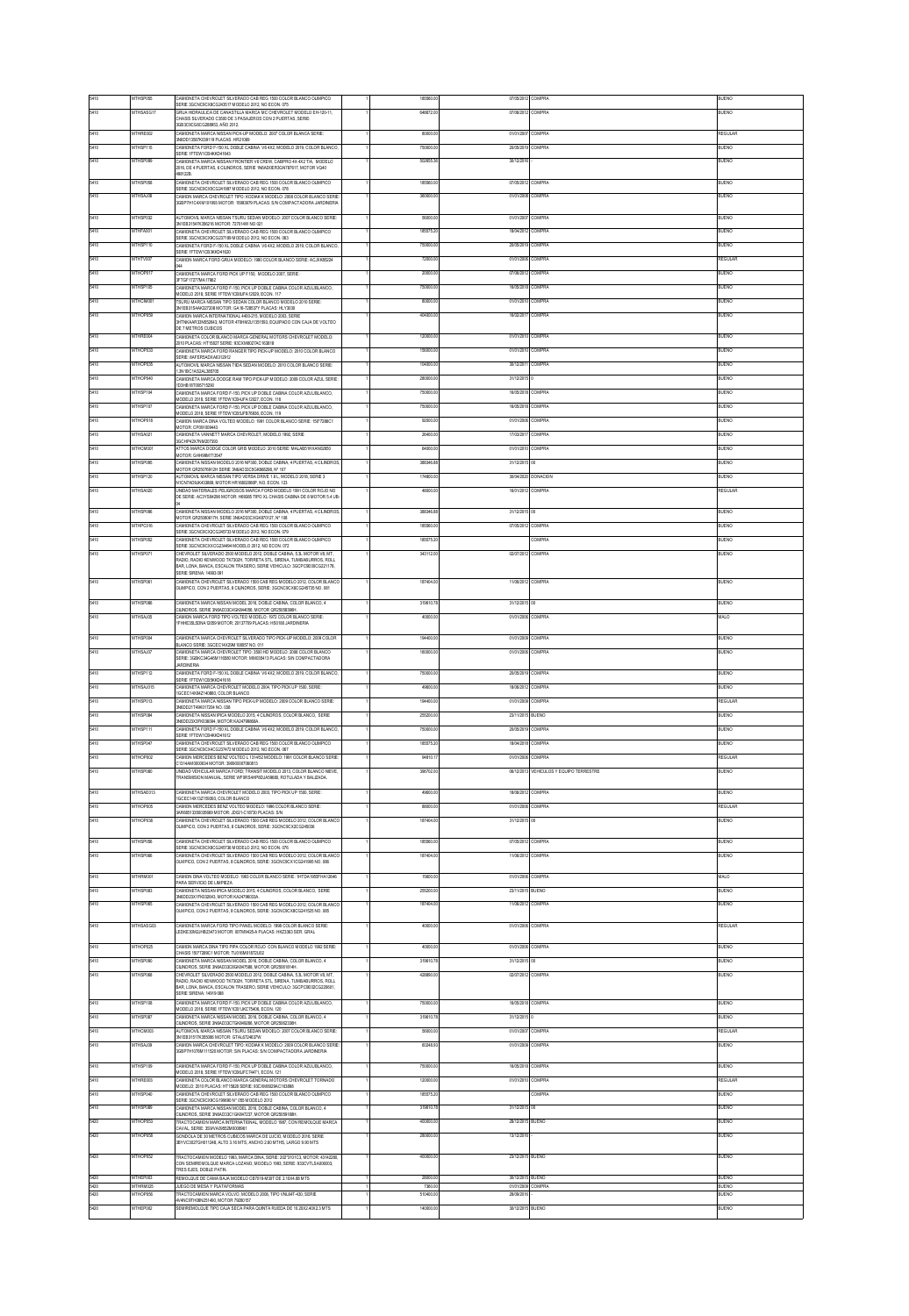|              | <b>ATHSP055</b>            | CAMIONETA CHEVROLET SILVERADO CAB REG 1500 COLOR BLANCO OLIMPICO<br>SERIE 3GCNC9CX8CG243517 MODELO 2012, NO ECON. 075                                                                               | 185560             | 07/05/201                | COMPRA                       | <b>BUENO</b>  |
|--------------|----------------------------|-----------------------------------------------------------------------------------------------------------------------------------------------------------------------------------------------------|--------------------|--------------------------|------------------------------|---------------|
| 5410         | MTHSASG17                  | SRUA HIDRAULICA DE CANASTILLA MARCA MC CHEVROLET MODELO EH-120-11.<br>HASIS SILVERADO C3500 DE 3 PASAJEROS CON 2 PUERTAS, SERIE                                                                     | 648672.00          | 07/06/2012 COMPRA        |                              | BUENO         |
| 5410         | MTHRE002                   | CIVIC ORA FARRECORDORED<br>CAMIONETA MARCA NISSAN PICK-UP MODELO: 2007 COLOR BLANCA SERIE                                                                                                           | 80000.0            | 01/01/2007               | COMPRA                       | REGULAR       |
| 5410         | <b>ITHSP11</b>             | 6DD 13587K039119 PLACAS: HR21069<br>AMIONETA FORD F-150 XL DOBLE CABINA V6 4X2, MODELO 2019, COLOR BLANCO                                                                                           | 750000             | 2005/201                 | CMPRA                        | <b>JENO</b>   |
| 5410         | MTHSP099                   | ERIE 1FTEW1CB4KKD41643<br>CAMIONETA MARCA NISSAN FRONTIER V6 CREW, CABPRO 4X 4X2 T/A. MODELO                                                                                                        | 502655.3           | 30/12/201                |                              | BUENO         |
|              |                            | 1016, DE 4 PUERTAS, 6 CILINDROS, SERIE 1N6AD0ER3GN787617, MOTOR VO40<br>98122B.                                                                                                                     |                    |                          |                              |               |
| 5410         | MTHSP058                   | CAMIONETA CHEVROLET SILVERADO CAB REG 1500 COLOR BLANCO OLIMPICO                                                                                                                                    | 185560.0           | 07/05/2012               | COMPRA                       | BUENO         |
| 5410         | MTHSAJ08                   | ERIE 3GCNC9CX5CG241997 MODELO 2012, NO ECON. 078<br>MANUTE MARCA CUCVIDOLET TIRO: KODIAK K MODELO: 2008 COLOR RI ANCO SERIE                                                                         | 3600000            |                          | 01/01/2008 COMPRA            | RLIENO        |
|              |                            | IGBP7H1C4XM101993 MOTOR: 15993979 PLACAS: SIN COMPACTADORA JARDINERIA                                                                                                                               |                    |                          |                              |               |
| 5410         | <b>MTHSPITC</b>            | UTOMOVIL MARCA NISSAN TSURU SEDAN MDOELO: 2007 COLOR BLANCO SERE<br>3N1EB31547K356216 MOTOR: 727014W NO 021                                                                                         | 59000              | 01/01/2003               | COMPRA                       | LIENO         |
|              | THFA00                     | CAMIONETA CHEVROLET SILVERADO CAB REG 1500 COLOR BLANCO OLIMPICO<br>SERIE 3GCNC9CX9CG237189 MODELO 2012, NO ECON. 063                                                                               | 185575             | 18/04/201                |                              |               |
| 5410         | MTHSP110                   | CAMIONETA FORD F-150 XL DOBLE CABINA V6 4X2, MODELO 2019, COLOR BLANCO,<br>SERIE 1FTEW1CB3KKD41620                                                                                                  | 750000.0           | 20/05/2019               | COMPRA                       | <b>JUENO</b>  |
| <b>M10</b>   | <b>MTHTVMC</b>             | AMION MARCA FORD GRUA MODELO: 1980 COLOR BLANCO SERIE: ACJXX85224                                                                                                                                   | 720001             | 01/01/2008               | COMPRA                       | <b>FGULAR</b> |
| 5410         | MTHOP017                   | CAMIONETA MARCA FORD PICK UP F150, MODELO 2007, SERIE:<br>FTGF17277MA17962                                                                                                                          | 20000.0            | 07/06/2012               | COMPRA                       | BUENO         |
| 5410         | MTHSP105                   | CAMIONETA MARCA FORD F-150, PICK UP DOBLE CABINA COLOR AZULIBLANCO,<br>MODELO 2018, SERIE 1FTEW1CB&FA12029, ECON. 117                                                                               | 750000             | 16/05/2018               | COMPRA                       | BUENO         |
| 5410         | <b>MTHCM00</b>             | SURU MARCA NISSAN TIPO SEDAN COLOR BLANCO MODELO 2010 SERIE<br>WIFR31S4AK127208 MOTOR: GA16-728537Y PLACAS: HLY3030                                                                                 | 80000              | 01/01/201                | COMPRA                       | ILIENO        |
| 5410         | MTHOP059                   | CAMION MARCA INTERNATIONAL 4400-215, MODELO 2003, SERIE<br>HTNKAAR33N552643, MOTOR 470HM2U1351553, EQUIPADO CON CAJA DE VOLTEO                                                                      | 404000.0           | 16/02/2017               | COMPRA                       | <b>BUENO</b>  |
|              |                            | DE 7 METROS CUBICOS                                                                                                                                                                                 |                    |                          |                              |               |
| 5410         | MTHRE004                   | CAMIONETA COLOR BLANCO MARCA GENERAL MOTORS CHEVROLET MODELO:<br>010 PLACAS: HT15827 SERIE: 93CXM8027AC163818                                                                                       | 120000.0           | 01/01/2010               | COMPRA                       | <b>BUENO</b>  |
| 5410         | MTHOP033                   | MIONETA MARCA FORD RANGER TIPO PICK-UP MODELO: 2010 COLOR BLANCO<br>SERIE: 8AFER5ADXA6312912                                                                                                        | 156000.0           | 01/01/201                | COMPRA                       | <b>BLIENO</b> |
|              | ATHOP03                    | AUTOMOVIL MARCA NISSAN TIDA SEDAN MODELO: 2010 COLOR BLANCO SERIE<br>3N1BC1AS2AL385705                                                                                                              | 10400              | 30/12/20                 | <b>OMPRA</b>                 | E)            |
| 5410         | MTHOP040                   | CAMIONETA MARCA DODGE RAM TIPO PICK-UP MODELO: 2009 COLOR AZUL SERIE<br>1D3HB18T095715290                                                                                                           | 280000.0           | 31/12/2019               |                              | BUENO         |
|              | <b>MTHSP10</b>             | AMIONETA MARCA FORD F-150, PICK UP DOBLE CABINA COLOR AZULIBLANCO,<br>(ODELO 2018, SERIE 1FTEW1CB4JFA12027, ECON, 116                                                                               | 750000             | 16/05/201                | OMPRA                        | <b>UENO</b>   |
| 5410         | MTHSP107                   | CAMIONETA MARCA FORD F-150, PICK UP DOBLE CABINA COLOR AZUL/BLANCO,<br>IODELO 2018, SERIE 1FTEW1CB5JFB76936, ECON. 119                                                                              | 750000.0           | 16/05/2018 COMPRA        |                              | BUENO         |
| 5410         | MTHOP018                   | CAMION MARCA DINA VOLTEO MODELO: 1991 COLOR BLANCO SERIE: 150°7286C1<br>10TOR: CP091009443                                                                                                          | 92000.0            | 01/01/2005               | <b>COMPRA</b>                | BUENO         |
|              | <b>THSA02</b>              | AMIONETA VANNETT MARCA CHEVROLET, MODELO 1992, SERIE                                                                                                                                                | 26400              | 17/03/201                | <b>OMPRA</b>                 | <b>LENO</b>   |
|              | MTHCM001                   | FREEDLAND CLAPPING<br>ATTOS MARCA DODGE COLOR GRIS MODELO: 2010 SERIE: MALAB51HXAN02650                                                                                                             | 64000.0            | 01/01/2010               | COMPRA                       | <b>IUENO</b>  |
| 5410         | MTHSP095                   | MOTOR: GHH99M713547<br>CAMIONETA NISSAN MODELO 2016 NP300, DOBLE CABINA, 4 PUERTAS: 4 CLINDRO!                                                                                                      | 388346.8           | 31/12/201                |                              | BUENO         |
|              | ATHSP120                   | MOTOR QR25076912H SERIE 3N6AD33C5GK868298, N° 107<br>AUTOMOVIL MARCA NISSAN TIPO VERSA DRIVE 1.6 L, MODELO 2018, SERIE 3                                                                            | 174800             | 30/04/202                | <b>ONACION</b>               | <b>JENO</b>   |
|              | MTHSA020                   | N1CN7AD9JK433869, MOTOR HR16802066P, NO. ECON, 123<br>INDAD MATERIALES PELIGROSOS MARCA FORD MODELO 1991 COLOR ROJO NO                                                                              | 48000.0            | 16/01/2012               | <b>COMPRA</b>                | EGULAR        |
|              |                            | E SERE: AC3YS84296 MOTOR: H69385 TIPO XL CHASIS CABINA DE 8 MOTOR 5.4 UB                                                                                                                            |                    |                          |                              |               |
| 5410         | MTHSP096                   | CAMIONETA NISSAN MODELO 2016 NP300, DOBLE CABINA, 4 PUERTAS, 4 CILINDROS<br>MOTOR QR25080617H, SERIE 3N6AD33CXGK870127, N° 108                                                                      | 388346.88          | 31/12/2015               |                              | <b>JUENO</b>  |
| 5410         | MTHPC016                   | AMIONETA CHEVROLET SILVERADO CAB REG 1500 COLOR BLANCO OLIMPICO<br>SERIE 3GCNC9CX2CG245733 MODELO 2012, NO ECON. 079                                                                                | 189940             | <b><i>CONSIGNATI</i></b> | <b>OMPRA</b>                 | <b>LENO</b>   |
| 5410         | MTHSP052                   | CAMIONETA CHEVROLET SILVERADO CAB REG 1500 COLOR BLANCO OLIMPICO                                                                                                                                    | 185575.2           |                          | COMPRA                       | BUENO         |
| 5410         | MTHSP07                    | SERIE 3GCNC9CXXCG234494 MODELO 2012, NO ECON. 072<br>CHEVROLET SILVERADO 2500 MODELO 2012, DOBLE CABINA, 5.3L MOTOR V8, MT,<br>RADIO, RADIO KENWOOD TK7302H, TORRETA STL, SIRENA, TUMBABURROS, ROLL | 343112.0           | 02/07/2012 COMPRA        |                              | <b>BUENO</b>  |
|              |                            | BAR LONA BANCA ESCALON TRASERO, SERIE VEHICULO 3GCPCSE000G221128<br>SERIE SIRENA: 14993 091                                                                                                         |                    |                          |                              |               |
| 5410         | MTHSP06                    | CAMIONETA CHEVROLET SILVERADO 1500 CAB REG MODELO 2012, COLOR BLANCO                                                                                                                                | 187404.0           | 11/06/2012 COMPRA        |                              | <b>BUENO</b>  |
|              |                            | OLIMPICO, CON 2 PUERTAS, 8 CILINDROS, SERIE: 3GCNCSCX6CG245735 NO. 081                                                                                                                              |                    |                          |                              |               |
| 5410         | MTHSP086                   | CAMIONETA MARCA NISSAN MODEL 2016, DOBLE CABINA, COLOR BLANCO, 4<br>LINDROS, SERIE 3N6AD33C4GK844056, MOTOR QR25058396H.                                                                            | 319610.7           | 31/12/2015               |                              | BUENO         |
| 5410         | MTHSA IDS                  | CAMION MARCA FORD TIPO VOLTEO MODELO: 1972 COLOR BLANCO SERIE<br>1FHHE35L5DNA12059 MOTOR: 20137709 PLACAS: HS0180 JARDNERIA                                                                         | sonno              | 01/01/2005               | <b>COMPRA</b>                | MALO          |
| 9410         | <b>ATHSP00</b>             | MIONETA MARCA CHEVROLET SLVERADO TIPO PICK-UP MODELO: 2009 COLOR                                                                                                                                    |                    | 01/01/2009               | COMPRA                       | <b>JENO</b>   |
|              |                            | LANCO SERIE: 3GCEC14X29M108057 NO. 011                                                                                                                                                              |                    |                          |                              |               |
| 5410         | MTHSAJ0                    | CAMIONETA MARCA CHEVROLET TIPO: 3500 HD MODELO: 2006 COLOR BLANCO<br>SERIE: 3GBKC34G46M116580 MOTOR: MM035413 PLACAS: SIN COMPACTADORA                                                              | 160000.0           | 01/01/2008               | COMPRA                       | <b>BUENO</b>  |
|              |                            |                                                                                                                                                                                                     |                    |                          |                              |               |
| 5410         | MTHSP112                   | ARDINERIA<br>CAMIONETA FORD F-150 XL DOBLE CABINA V64X2, MODELO 2019, COLOR BLANCO                                                                                                                  | 750000.0           | 20/05/2019               | <b>COMPRA</b>                | BUENO         |
| 5410         | MTHSAJ015                  | SERIE 1FTEW1CB5KKD41618<br>CAMIONETA MARCA CHEVROLET MODELO 2004, TIPO PICK UP 1500, SERIE                                                                                                          | 49600.0            | 18/06/2012               | COMPRA                       | BUENO         |
| 410          | <b>ITHSP013</b>            | 1GCEC14X84Z140860, COLOR BLANCO                                                                                                                                                                     | 194400             | 01/01/200                | OMPRA                        | GULAR         |
| 5410         | MTHSP08                    | MIONETA MARCA NISSAN TPO PICK-UP MODELO: 2009 COLOR BLANCO SERIE:<br>INSDD21T49K017204 NO. 038<br>MMONETA NISSAN IPICA MODELO 2015. 4 CILINDROS. COLOR BLANCO. SERIE                                | 255200.0           | 23/11/2015               | <b>SUENO</b>                 | <b>BUENO</b>  |
|              |                            | V6DD23X3FK036094, MOTOR KA24799868A.                                                                                                                                                                |                    | 20/05/2019               |                              |               |
| 5410         | MTHSP111                   | AMIONETA FORD F-150 XL DOBLE CABINA V6 4X2, MODELO 2019, COLOR BLANCO<br>SERIE 1FTEW1CB4KKD41612                                                                                                    | 750000.0           |                          | COMPRA                       | BUENO         |
| 5410         | <b>THSP04</b>              | CAMIONETA CHEVROLET SILVERADO CAB REG 1500 COLOR BLANCO OLIMPICO<br>SERIE 3GCNC9CX4CG237472 MODELO 2012, NO ECON. 067                                                                               | 185575             | 18/04/201                | <b>MPRA</b>                  | <b>JENO</b>   |
| 5410         | MTHOP002                   | AMION MERCEDES BENZ VOLTEO L 1314/52 MODELO: 1991 COLOR BLANCO SERIE<br>1314AM0000634 MOTOR: 390900007060813                                                                                        | 94810.1            | 01/01/2006               | COMPRA                       | REGULAR       |
| 5410         | <b>MTHSPAN</b>             | NDAD VEHICULAR MARCA FORD; TRANSIT MODELO 2013, COLOR BLANCO NEVE<br>RANSMISION MANUAL SERIE WF0RS4HP8DJA59680, ROTULADA Y BALIZADA.                                                                | 3967021            | 08/12/2012               | VEHICULOS Y EQUIPO TERRESTRI | <b>IFNO</b>   |
| 5410         | <b>MTHSAE013</b>           | AMIONETA MARCA CHEVROLET MODELO 2003. TIPO PICK UP 1500. SERIE                                                                                                                                      | 49600              | 1806/201                 | COMPRA                       | ILIENO        |
| 5410         | MTHOP005                   | GCEC14X137159393_COLOR RLANCO<br>CAMION MERCEDES BENZ VOLTEO MODELO: 1996 COLOR BLANCO SERIE:                                                                                                       | 88000.0            | 01/01/2008               | COMPRA                       | REGULAR       |
| 5410         | MTHOP038                   | AR68513350035669 MOTOR: JD021-C18730 PLACAS: S/N<br>CAMIONETA CHEVROLET SILVERADO 1500 CAB REG MODELO 2012, COLOR BLANCO                                                                            | 187404.0           | 31/12/201                |                              | <b>BUENO</b>  |
|              |                            | OLIMPICO, CON 2 PUERTAS, 8 CILINDROS, SERIE: 3GCNC9CX2CG245036                                                                                                                                      |                    |                          |                              |               |
| 5410         | MTHSP056                   | CAMIONETA CHEVROLET SILVERADO CAB REG 1500 COLOR BLANCO OLIMPICO                                                                                                                                    | 185560.0           | 07/05/2012               | COMPRA                       | <b>BLIENO</b> |
|              | <b>ITHS</b>                | SERIE 3GCNC9CX8CG245736 MODELO 2012, NO ECON. 076<br>.<br>CAMIONETA CHEVROLET SILVERADO 1500 CAB REG MODELO 2012, COLOR BLANCO                                                                      | 187404.            | 11/06/201                | COMPRA                       | E)            |
|              |                            | OLMPICO, CON 2 PUERTAS, 8 CILINDROS, SERIE: 3GCNC9CX1CG241995 NO. 086                                                                                                                               |                    |                          |                              |               |
|              |                            | PARA SERVICIO DE LIMPIEZA                                                                                                                                                                           |                    |                          |                              |               |
| 5410         | MTHSP083                   | CAMIONETA NISSAN IPICA MODELO 2015. 4 CILINDROS, COLOR BLANCO. SERIE<br>N6DD23X1FK032643, MOTOR KA24796033A.                                                                                        | 255200.00          | 23/11/2015 BUENO         |                              | BUENO         |
| 5410         | <b>MTHSPOR</b>             | AMIONETA CHEVROLET SILVERADO 1500 CAB REG MODELO 2012, COLOR BLAN<br>DIMPICO CON 2 PUERTAS ACUNDROS SERIE 3GONOSCXIOS241525 NO. 085                                                                 | 187404             | 11/06/2012               | <b>COMPRA</b>                | <b>IFNO</b>   |
| 5410         | <b>ITHSASGO</b>            | AMIONETA MARCA FORD TIPO PANEL MODELO: 1998 COLOR BLANCO SER                                                                                                                                        | 40000              | 01/01/2005               | COMPRA                       | EGULAR        |
|              |                            | LEDKE30M2JHB23473 MOTOR: 00TM9425 A PLACAS: HKZ3363 SER. GRAL                                                                                                                                       |                    |                          |                              |               |
| 5410         | <b>ATHOPO25</b>            | CAMION MARCA DINA TIPO PIPA COLOR ROJO CON BLANCO MODELO 1992 SERIE:<br>CHASIS 190*7289C1 MOTOR: TU016M01872U02                                                                                     | 40000              | 01/01/200                | <b>MPRA</b>                  | UENO          |
| 5410         | MTHSP090                   | MMONETA MARCA NISSAN MODEL 2016, DOBLE CABINA, COLOR BLANCO, 4                                                                                                                                      | 319610.78          | 31/12/2015               |                              | BUENO         |
| 5410         | <b>MTHSPORR</b>            | ILINDROS, SERIE 3N6AD33C8GK847588, MOTOR QR25061814H.<br>HEVROLET SILVERADO 2500 MODELO 2012, DOBLE CABINA, 5.3L MOTOR V8, MT                                                                       | 428890.0           | 00/07/2013               | COMPRA                       | RLIENO        |
|              |                            | NADIO, RADIO KENWOOD TK7302H, TORRETA STL, SRENA, TUMBABURROS, ROLL<br>BAR, LONA, BANCA, ESCALON TRASERO, SERIE VEHICULO: 3GCPC9E02CG220601,<br>ERIE SRENA: 14919 088                               |                    |                          |                              |               |
| 5410         | MTHSP108                   | CAMIONETA MARCA FORD F-150, PICK UP DOBLE CABINA COLOR AZULIBLANCO                                                                                                                                  | 750000.0           | 16/05/2018               | <b>COMPRA</b>                | BUENO         |
| 5410         | <b>MTHSP08</b>             | MODELO 2018, SERIE 1FTEW1CB1JKC75406, ECON. 120<br>AMIONETA MARCA NISSAN MODEL 2016, DOBLE CABINA, COLOR BLANCO, 4                                                                                  | 319610.7           | 31/12/201                |                              | <b>BLIENO</b> |
| 5410         | MTHCM003                   | CILINDROS. SERIE 3N6AD33C7GK849266. MOTOR QR25062336H.<br>AUTOMOVIL MARCA NISSAN TSURU SEDAN MDOELO: 2007 COLOR BLANCO SERIE:                                                                       | 56000.0            | 01/01/2007               | COMPRA                       | REGULAR       |
| 5410         | MTHSAJ09                   | N1EB31517K355086 MOTOR: GTAL6724637W<br>.<br>WIND A MADO A CHEVROLET TRO- KODIAK K MODELO-2008 COLOR BLANCO SERIES                                                                                  | 60248.9            | 01/01/2009 COMPRA        |                              | BUENO         |
|              |                            | GBP7H1078M111520 MOTOR: S/N PLACAS: S/N COMPACTADORA JARDINERIA                                                                                                                                     |                    |                          |                              |               |
| 5410         | MTHSP109                   | MANONETA MARCA FORD F-150, PICK UP DOBLE CABINA COLOR AZULIBLANCO,<br>MODELO 2018, SERIE 1FTEW1CB5JFC74471, ECON. 121                                                                               | 750000.0           | 16/05/2018 COMPRA        |                              | BUENO         |
| 5410         | ATHRE00                    | CAMIONETA COLOR BLANCO MARCA GENERAL MOTORS CHEVROLET TORNADO<br>MODELO: 2010 PLACAS: HT15828 SERIE: 93CXM8029AC163898                                                                              | 12000              | 01/01/201                | OMPRA                        | EGULA         |
| 5410         | MTHSP040                   | CAMIONETA CHEVROLET SILVERADO CAR REGI 1500 COLOR BLANCO OLIMPICO<br>ERIE 3GCNC9CX9CG199690 N° 055 MODELO 2012                                                                                      | 185575.20          |                          | COMPRA                       | BUENO         |
| 5410         | <b>MTHSP089</b>            | AMIONETA MARCA NISSAN MODEL 2016, DOBLE CABINA, COLOR BLANCO, 4                                                                                                                                     | 319610.            | 31/12/201                |                              | UENO          |
| 5420         | MTHOP053                   | :ILINDROS, SERIE 3N6AD33C1GK847237, MOTOR QR25059188H.<br>RACTOCAMION MARCA INTERNATIONAL, MODELO 1987, CON REMOLQUE MARCA                                                                          | 400000.0           | 28/12/201                | BUENO                        | BUENO         |
| 5420         | MTHOP058                   | AVAL, SERIE: 3S9VA09552M0008961<br>20NDOLA DE 30 METROS CURICOS MARCA DE LUCIO, MODELO 2016, SERIE                                                                                                  | 280000.0           | 13/12/201                |                              | BUENO         |
|              |                            | BYVC3027GH011248, ALTO 3.16 MTS, ANCHO 2.60 MTHS, LARGO 9.90 MTS                                                                                                                                    |                    |                          |                              |               |
| 5420         | MTHOP052                   | RACTOCAMION MODELO 1993 MARCA DINA SERIE: 20213101C3 MOTOR: 43142280<br>CON SEM REMOLQUE MARCA LOZANO, MODELO 1993, SERIE: 933CVTLSA006003,                                                         | 400000.0           | 23/12/2015               | BUENO                        | BUENO         |
| 5420         | <b>MTHEP003</b>            | RES EJES, DOBLE PATIN.<br>REMOLQUE DE CAMA BAJA MODELO CB7016-M30T DE 2.10X4.88 MTS                                                                                                                 | 28000.0            | 30/12/201                | RUENO                        | RLIENO        |
| 5420         | MTHRM025                   | JUEGO DE MESA Y PLATAFORMAS                                                                                                                                                                         | 7350.0             | 01/01/2009               | OMPR.                        | BUENO         |
| 5420<br>5420 | MTHOP056<br><b>ATHEPOD</b> | RACTOCAMION MARCA VOLVO, MODELO 2008, TIPO VNL64T-430, SERIE<br>V4NC9TH08N251490, MOTOR 79280157<br>SEMPLEMOLQUE TIPO CAJA SECA PARA QUINTA RUEDA DE 10.20X2.40X2.3 MTS                             | 510400.0<br>140000 | 28/09/2016<br>30/12/201  | <b>SUENO</b>                 | BUENO<br>UENO |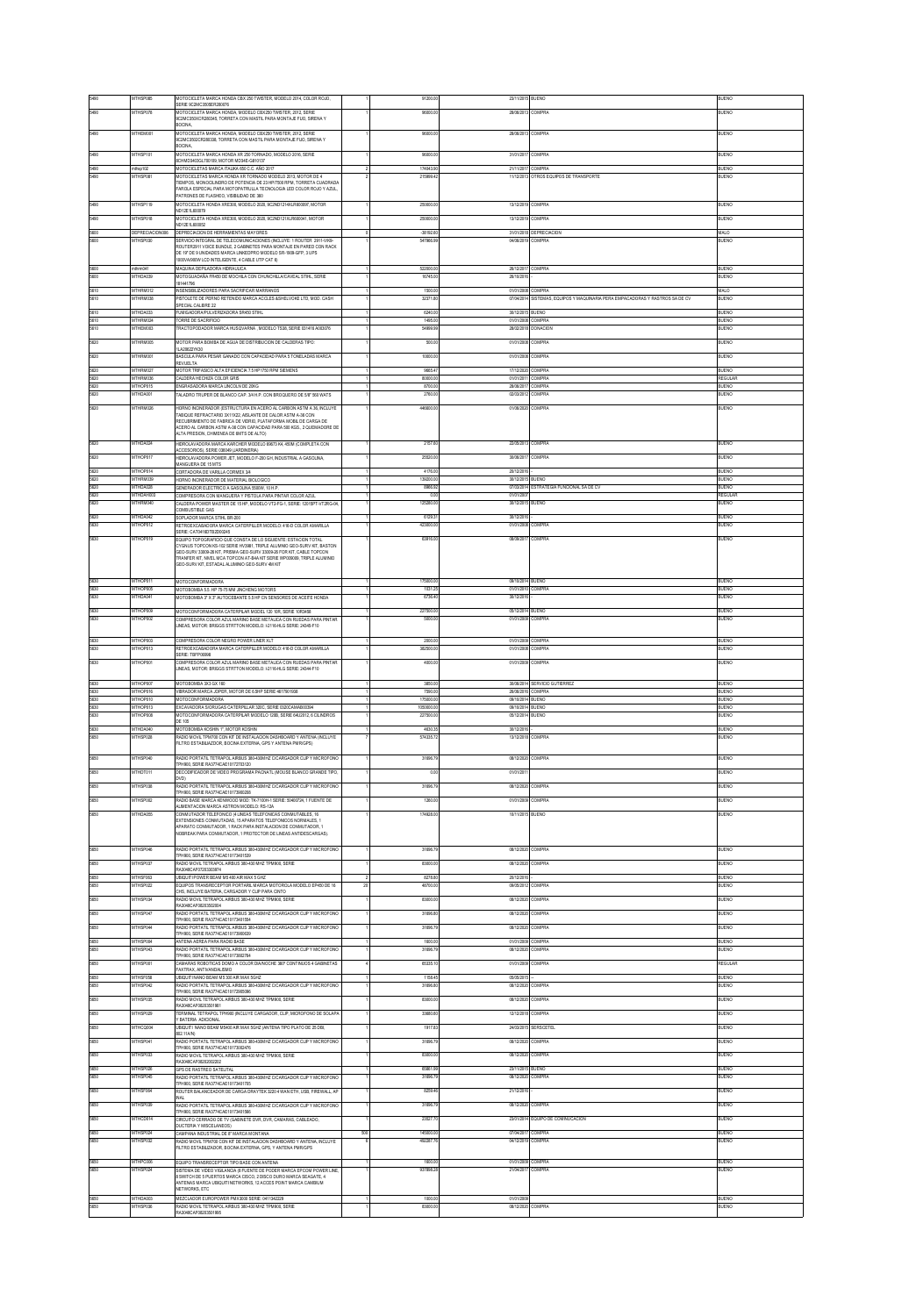|                      | <b>THSP08</b>                      | MOTOCICLETA MARCA HONDA CBX 250 TWISTER, MODELO 2014, COLOR ROJO,<br>SERIE 9C2MC3505ER280076<br>MOTOCICLETA MARCA HONDA, MODELO CBX250 TWISTER, 2012, SERIE                                                                                              |     | 91200                        | 23/11/2015                             | <b>BUENO</b>                                                                  | <b>JUENO</b>                 |
|----------------------|------------------------------------|----------------------------------------------------------------------------------------------------------------------------------------------------------------------------------------------------------------------------------------------------------|-----|------------------------------|----------------------------------------|-------------------------------------------------------------------------------|------------------------------|
|                      | <b>THSP07</b>                      | C2MC350XCR280345, TORRETA CON MASTIL PARA MONTAJE FUO, SIRENA Y<br><b>JOCNA</b>                                                                                                                                                                          |     | 98000.0                      | 2806/201                               | <b>COMPRA</b>                                                                 | ILIENO                       |
|                      | THEMOC                             | MOTOCICLETA MARCA HONDA, MODELO CBX250 TWISTER, 2012, SERIE<br>C2MC3502CR280338, TORRETA CON MASTIL PARA MONTAJE FUO, SIRENA Y                                                                                                                           |     |                              | 28/06/201                              | COMPRA                                                                        | E)                           |
|                      | <b>ITHSP10</b>                     | BOCNA,<br>MOTOCICLETA MARCA HONDA XR 250 TORNADO, MODELO 2016, SERIE<br>CHMD3403GL700109, MOTOR MD34E-G810137                                                                                                                                            |     | 9800                         | 31/01/201                              | COMPRA                                                                        | E)                           |
| 5490<br>5490         | mthsp102<br><b>MTHSP08</b>         | MOTOCICLETAS MARCA ITALIKA 650 C.C. AÑO 2017                                                                                                                                                                                                             |     | 174043.90<br>219999.4        | 21/11/2017 COMPRA                      | 11/12/2013 OTROS EQUIPOS DE TRANSPORTE                                        | BUENO<br>BUENO               |
|                      |                                    | MOTOCICLETAS MARCA HONDA XR TORNADO MODELO 2013, MOTOR DE 4<br>TEMPOS, MONOCLINDRO DE POTENCIA DE 23 HP/7500 RPM, TORRETA CUADRADA<br>FAROLA ESPECIAL PARA MOTOPATRULLA TECNOLOGIA LED COLOR ROJO Y AZUL                                                 |     |                              |                                        |                                                                               |                              |
| 5490                 | MTHSP119                           | ATRONES DE FLASHEO, VISIBILIDAD DE 360<br>MOTOCICLETA HONDA XRE300, MODELO 2020, 9C2ND1214XLR600097, MOTOR<br>in 1201 stream                                                                                                                             |     | 250000.0                     | 13/12/2019                             | COMPRA                                                                        | BUENO                        |
| 5490                 | MTHSP018                           | MOTOCICLETA HONDA XRE300, MODELO 2020, 9C2ND121XLR800041, MOTOR<br>ND12E1L600052                                                                                                                                                                         |     | 250000.0                     | 13/12/2019 COMPRA                      |                                                                               | RLENO                        |
|                      | CODCOMOR<br><b>ATHSPO30</b>        | DEPRECIACION DE HERRAMENTAS MAYORES<br>SERVICIO INTEGRAL DE TELECOMUNICACIONES (INCLUYE: 1 ROUTER 2911-VINS                                                                                                                                              |     | -38192.6<br>547966.9         | 31/01/201<br>04/06/2019                | EPRECIACIO<br>COMPRA                                                          | ШC<br>UENO                   |
|                      |                                    | ROUTER2911 VOICE BUNDLE, 2 GABINETES PARA MONTAJE EN PARED CON RACK<br>DE 19' DE 9 UNIDADES MARCA LINKEDPRO MODELO SR-1909 GFP, 3 UPS<br>000VA/900W LCD INTELIGENTE, 4 CABLE UTP CAT 6)                                                                  |     |                              |                                        |                                                                               |                              |
| 5600                 | nthem 041                          | MAQUINA DEPILADORA HIDRAULICA                                                                                                                                                                                                                            |     | 522000.0                     | 26/12/2017 COMPRA                      |                                                                               | RIJENO                       |
| 5600                 | THDA03<br>MTHRM012                 | IOTOGUADAÑA FR450 DE MOCHLA CON CHUNCHILLA/CAVEAL STIHL, SERIE<br>181441796<br>INSENSIBILIZADORES PARA SACRIFICAR MARRANOS                                                                                                                               |     | 16745.0<br>1500.00           | 26/10/201<br>01/01/2008 COMPRA         |                                                                               | <b>LENO</b><br>MALO          |
| 5610                 | MTHRM038                           | PISTOLETE DE PERNO RETENDO MARCA ACCLES &SHELVOKE LTD. MOD. CASH<br><b>SPECIAL CALIBRE 22</b>                                                                                                                                                            |     | 32371.80                     |                                        | 07/04/2014 SISTEMAS, EQUIPOS Y MAQUINARIA PERA EMPACADORAS Y RASTROS SA DE CV | BUENO                        |
| 5610<br>5610         | MTHDA033<br>MTHRM024               | FUMISADORA/PULVERIZADORA SR450 STIHL<br>TORRE DE SACRIFICO                                                                                                                                                                                               |     | 6240.0<br>1495.0             | 30/12/2015 BUENO<br>01/01/2008 COMPRA  |                                                                               | BUENO<br>RLIENO              |
| 5610                 | MTHEM003                           | FRACTOPODADOR MARCA HUSQVARNA , MODELO TS38, SERIE 031416 A003076                                                                                                                                                                                        |     | 54999.9                      |                                        | 28/02/2018 DONACION                                                           | BUENO                        |
| 5620<br>5620         | ATHRM00<br>MTHRM001                | MOTOR PARA BOMBA DE AGUA DE DISTRIBUCION DE CALDERAS TPO:<br>ILA20622YK30                                                                                                                                                                                |     | 500.0<br>10000.00            | 01/01/2008<br>01/01/2008 COMPRA        | <b>COMPRA</b>                                                                 | UENO<br>BUENO                |
| 5620                 | MTHRM02                            | BASCULA PARA PESAR GANADO CON CAPACIDAD PARA 5 TONELADAS MARCA<br>REVUELTA<br>MOTOR TRIFASICO ALTA EFICIENCIA 7.5 HP1750 RPM SIEMENS                                                                                                                     |     | 99554                        | 17/12/2020                             | <b>COMPRA</b>                                                                 | <b>LIENO</b>                 |
| 5620                 | <b>MTHRM036</b><br><b>MTHOP015</b> | CALDERA HECHIZA COLOR GRIS<br>ENGRASADORA MARCA LINCOLN DE 20KG                                                                                                                                                                                          |     | 80000.00<br>8700.00          | 01/01/2011 COMPRA<br>28/06/2017 COMPRA |                                                                               | REGULAR<br><b>BUENO</b>      |
| 5620                 | THDA001                            | ALADRO TRUPER DE BLANCO CAP. 3/4 H.P. CON BROQUERO DE 5/8" 560 WATS                                                                                                                                                                                      |     | 2760.0                       | 02/03/2012 COMPRA                      |                                                                               | UENO                         |
| 5620                 | MTHRM026                           | HORNO INCINERADOR (ESTRUCTURA EN ACERO AL CARBON ASTM A 36. INCLUYE<br>ABIQUE REFRACTARIO 3X11X22, AISLANTE DE CALOR ASTM A-36 CON                                                                                                                       |     | 446600.0                     | 01/06/2020                             | <b>COMPRA</b>                                                                 | BUENO                        |
|                      |                                    | RECUBRIMENTO DE FABRICA DE VIDRIO, PLATAFORMA MOBIL DE CARGA DE<br>ACERO AL CARBON ASTM A 36 CON CAPACIDAD PARA 500 KGS., 2 QUEMADORE DE<br>LTA PRESION, CHMENEA DE 6MTS DE ALTO)                                                                        |     |                              |                                        |                                                                               |                              |
| 5620                 | MTHDA02                            | IDROLAVADORA MARCA KARCHER MODELO 69673 K4,450M (COMPLETA CON<br>ACCESORIOS) SERIE 03004 (ARDINERIA)                                                                                                                                                     |     | 2157.                        | 22/05/2013                             | COMPRA                                                                        | <b>IUENO</b>                 |
| 5620                 | MTHOP017                           | HIDROLAVADORA POWER JET, MODELO F-200 GH, INDUSTRIAL A GASOLINA,<br>MANGUERA DE 15 MTS                                                                                                                                                                   |     | 25520.0                      | 30/06/2017                             | <b>COMPRA</b>                                                                 | BUENO                        |
| 5620<br>5620         | MTHOP014<br>MTHRM039               | CORTADORA DE VARILLA CORMEX 3/4<br>HORNO INCINERADOR DE MATERIAL BIOLOGICO                                                                                                                                                                               |     | 4176.0<br>139200.0           | 20/12/201<br>30/12/2015                | BUENO                                                                         | <b>BUENO</b><br><b>BUENO</b> |
| 5620<br>5620         | MTHDA028<br>MTHDAH003              | GENERADOR ELECTRICO A GASOLINA MODIVI 10 H P<br>COMPRESORA CON MANGUERA Y PISTOLA PARA PINTAR COLOR AZUL                                                                                                                                                 |     | 8956.9<br>0.0                | 01/01/200                              | 07/03/2014 ESTRATEGIA FUNCIONAL SA DE CV                                      | RLIENO<br>REGULAR            |
| 5620                 | MTHRM040                           | CALDERA POWER MASTER DE 15 HP, MODELO VT2-FG-1, SERIE: 12015PT-VT2RG-04<br>COMBUSTIBLE GAS                                                                                                                                                               |     | 125280.0                     | 30/12/2015 BUENO                       |                                                                               | BUENO                        |
| 5620<br>5630         | THDA042<br><b>ITHOPO1</b>          | SOPLADOR MARCA STHL BR-200<br>RETROEXCABADORA MARCA CATERPILLER MODELO: 416 D COLOR AMARILLA                                                                                                                                                             |     | 6129.3<br>42300              | 30/12/201<br>01/01/200                 | <b>OMPRA</b>                                                                  | IUENO<br>UENO                |
| 5630                 | MTHOP019                           | SERIE: CAT0416DTB2D00245<br>OURO TOPOSRAEICIO QUE CONSTA DE LO SIGUIENTE: ESTACION TOTAL<br>YGNUS TOPCON KS-102 SERIE HV3981, TRIPLE ALUMNO GEO-SURV KIT, BASTON                                                                                         |     | 63916.00                     | 08/09/2017 COMPRA                      |                                                                               | BUENO                        |
|                      |                                    | SEO SURV 3309 26 KIT PRISMA GEO SURV 3309 26 FOR KIT CARLE TOPCON<br>RANFER KIT, NIVEL MCA TOPCON AT-B4A KIT SERIE WP009009, TRIPLE ALUMINO<br>GEO-SURV KIT, ESTADAL ALUMINIO GEO-SURV 4M KIT                                                            |     |                              |                                        |                                                                               |                              |
| 5630<br>5630<br>5630 | MTHOP01<br>MTHOP005<br>MTHDA041    | <b>MOTOCONFORMADORA</b><br>MOTOBOMBA 5.5. HP 75-75 MM JINCHENG MOTORS<br>MOTOBOMBA 3" X 3" AUTOCEBANTE 5.5 HP CN SENSORES DE ACEITE HONDA                                                                                                                |     | 175000.0<br>1031.2<br>6736.4 | (9/10/2014<br>01/01/2010<br>30/12/2019 | <b>RUENO</b><br>COMPRA                                                        | RIFNO<br>BUENO<br>BUENO      |
| 5630                 | THOP00                             | MOTOCONFORMADORA CATERPLAR MODEL 120 10R, SERIE 10R3458                                                                                                                                                                                                  |     |                              | 05/12/201                              | BUENO                                                                         | BUENC                        |
| 5630                 | THOP00                             | COMPRESORA COLOR AZUL MARINO BASE METALICA CON RUEDAS PARA PINTAR<br>INEAS, MOTOR: BRIGGS STRTTON MODELO: 12116 HLG SERIE: 24345-F10                                                                                                                     |     | 5000                         | 01/01/200                              | COMPRA                                                                        | UENO                         |
| 5630<br>5630         | MTHOP003<br>MTHOP013               | COMPRESORA COLOR NEGRO POWER LINER XLT<br>RETROEXCABADORA MARCA CATERPILLER MODELO: 416 D COLOR AMARILLA                                                                                                                                                 |     | 2000.0<br>382500.0           | 01/01/2009 COMPRA<br>01/01/2008 COMPRA |                                                                               | BUENC<br>BUENO               |
|                      |                                    | <b>CERE TREPORM</b>                                                                                                                                                                                                                                      |     |                              |                                        |                                                                               |                              |
| 5630                 | MTHOP00                            | COMPRESORA COLOR AZUL MARINO BASE METALICA CON RUEDAS PARA PINTAR                                                                                                                                                                                        |     | 4000.0                       | 01/01/2009 COMPRA                      |                                                                               | BUENO                        |
|                      |                                    | INEAS, MOTOR: BRIGGS STRTTON MODELO: 12116 HLG SERIE: 24344-F10                                                                                                                                                                                          |     |                              |                                        |                                                                               |                              |
| 5630<br>5630         | MTHOP007<br><b>MTHOPM6</b>         | MOTOBOMBA 3X3 GX 160<br>VIBRADOR MARCA JOPER, MOTOR DE 6.5HP SERIE 4617901938                                                                                                                                                                            |     | 3850.0<br>7590.00            | 26/06/2016 COMPRA                      | 3006/2014 SERVICIO GUTIERREZ                                                  | BUENO<br>RIFNO               |
| 5630<br>5630         | <b>MTHOP010</b><br>MTHOPM3         | MOTOCONFORMADORA<br>EXCAVADORA SIORUGAS CATERPLLAR 320C, SERIE 0320CAMAB00394                                                                                                                                                                            |     | 175000.00<br>1090000.00      | 09/10/2014 BUENO<br>09/10/2014 RUENO   |                                                                               | BUENO<br>RIJENO              |
| 5630<br>5630         | <b>ATHOPODE</b><br>MTHDA040        | IOTOCONFORMADORA CATERPLAR MODELO 120B, SERIE 64U2012, 6 CILINDROS<br>DE 105<br>MOTOBOMBA KOSHIN 1". MOTOR KOSHIN                                                                                                                                        |     | 227500.00<br>4630.35         | 05/12/2014 BUENO<br>30/12/2016         |                                                                               | <b>JUENO</b><br>BUENC        |
| 5650                 | MTHSP028                           | RADIO MOVIL TPM700 CON KIT DE INSTALACIÓN DASHBOARD Y ANTENA (INCLUYE<br>FILTRO ESTABILIAZDOR, BOCINA EXTERNA, GPS Y ANTENA PMRIGPS)                                                                                                                     |     | 574335.7                     | 13/12/2018 COMPRA                      |                                                                               | BUENO                        |
| 5650                 | MTHSP040                           | RADIO PORTATIL TETRAPOL AIRBUS 380-430MHZ C/CARGADOR CLIP Y MICROFONO                                                                                                                                                                                    |     | 31696.7                      | 08/12/2020                             | COMPRA                                                                        | BUENO                        |
| 5650                 | MTHDT011                           | PH900, SERIE RA3774CAE10172703120<br>DECODIFICADOR DE VIDEO PROGRAMA PACNATL (MOUSE BLANCO GRANDE TIPO<br>וסאכ                                                                                                                                           |     | 0.0                          | 01/01/201                              |                                                                               | BUENO                        |
|                      | <b>THSP03</b>                      | RADIO PORTATIL TETRAPOL AIRBUS 380-430MHZ CICARGADOR CLIP Y MICROFONO<br>FPH900 SERIE RA3774CAE10173900208                                                                                                                                               |     | 31696                        | 08/12/202                              | <b>OMPRA</b>                                                                  | UENO                         |
| 950                  | MTHSP002                           | RADIO BASE MARCA KENWOOD MOD: TK-7100H-1 SERIE: 50400724.1 FUENTE DE<br>ALMENTACION MARCA ASTRON MODELO: RS-12A                                                                                                                                          |     | 1260.00                      | 01/01/2009                             | <b>COMPRA</b>                                                                 | BUENO                        |
|                      | <b>ITHDA05</b>                     | ONMUTADOR TELEFONICO (4 LINEAS TELEFONICAS CONMUTABLES, 16<br>EXTENSIONES CONMUTADAS, 15 APARATOS TELEFONICOS NORMALES, 1<br>APARATO CONMUTADOR. 1 RACK PARA INSTALACIÓN DE CONMUTADOR.<br>NOBREAK PARA CONMUTADOR, 1 PROTECTOR DE LINEAS ANTIDESCARGAS) |     | 1749280                      | 10/11/2015                             | BUENO                                                                         | EMO                          |
|                      | MTHSP04                            | RADIO PORTATIL TETRAPOL AIRBUS 380-430MHZ CICARGADOR CLIP Y MICROFONO<br>PH900, SERIE RA3774CAE10173401539                                                                                                                                               |     | 31696.7                      | 08/12/2020                             | <b>COMPRA</b>                                                                 | BUENO                        |
|                      | <b>MTHSP037</b>                    | RADIO MOVIL TETRAPOL AIRBUS 380-430 MHZ TPM900, SERIE<br>RA3048CAF07203303974                                                                                                                                                                            |     | 83000.0                      | 08/12/2020                             | COMPRA                                                                        | RIFNO                        |
|                      | THSP02                             | IQUITI POWER BEAM M5 400 AIR MAX 5 GH<br>EQUIPOS TRANSRECEPTOR PORTARIL MARCA MOTOROLA MODELO EP450 DE 16<br>CHS. INCLUYE BATERIA, CARGADOR Y CLIP PARA CINTO                                                                                            |     |                              | 20/12/201<br>09/05/2012                | COMPRA                                                                        | <b>JENO</b>                  |
| 5650                 | MTHSP034                           | RADIO MOVIL TETRAPOL AIRBUS 380-430 MHZ TPM900. SERIE<br>RA3048CAF08203502004                                                                                                                                                                            |     | 83000.00                     | 08/12/2020 COMPRA                      |                                                                               | BUENO                        |
| 5550                 | <b>ATHSPO4</b>                     | MDIO PORTATIL TETRAPOL AIRBUS 380-430MHZ CICARGADOR CLIP Y MICROFONO<br>PH900, SERE RA3774CAE10173401554                                                                                                                                                 |     | 31696.8                      | 08/12/2020                             | <b>COMPRA</b>                                                                 | <b>TENO</b>                  |
| 5650<br>5650         | MTHSP044<br>MTHSP004               | RADIO PORTATIL TETRAPOL AIRBUS 380-430MHZ CICARGADOR CLIP Y MICROFONO<br>TPH900, SERE RA3774CAE10173900539<br>ANTENA AEREA PARA RADIO BASE                                                                                                               |     | 31696.7<br>1600.0            | 08/12/2020<br>01/01/2005               | COMPRA<br>COMPRA                                                              | BUENO<br><b>BUENO</b>        |
| 5550                 | MTHSP043                           | RADIO PORTATIL TETRAPOL AIRBUS 380-430MHZ CICARGADOR CLIP Y MICROFONO<br>PH900, SERIE RA3774CAE10173802764                                                                                                                                               |     | 31696.7                      | 08/12/2020                             | COMPRA                                                                        | BUENO                        |
| 5650                 | ATHSP00                            | CAMARAS ROBOTICAS DOMO A COLOR DIANOCHE 360° CONTINUOS 4 GABINETAS<br>FAXTRAX. ANTIVANDALISMO                                                                                                                                                            |     | 65335.1                      | 01/01/200                              | COMPRA                                                                        | REGULAR                      |
| 5650                 | MTHSF058<br><b>MTHSP04</b>         | UBIQUITI NANO BEAM M5 300 AIR MAX SGHZ<br>RADIO PORTATIL TETRAPOL AIRBUS 380-430MHZ CICARGADOR CLIP Y MICROFONO                                                                                                                                          |     | 1158.45<br>31696.8           | 05/05/2015<br>08/12/2020               | COMPRA                                                                        | BUENO<br>BUENO               |
| 5650<br>5650         | MTHSP035                           | PH900, SERIE RA3774CAE10172905096<br>RADIO MOVIL TETRAPOL AIRRUS 380.430 MHZ TPM900 SERIE<br>RA3048CAF08203501981                                                                                                                                        |     | 83000.0                      | 08/12/2020                             | <b>COMPRA</b>                                                                 | BUENO                        |
| 5650                 | <b>THSP02</b>                      | ERMINAL TETRAPOL TPH900 (INCLUYE CARGADOR, CLIP, MICROFONO DE SOLAPA<br><b>BATERIA ADICIONAL</b>                                                                                                                                                         |     | 33680.0                      | 12/12/201                              | <b>OMPRA</b>                                                                  | UENO                         |
| 5650                 | MTHCQ004                           | JBIQUITI NANO BEAM M5400 AIR MAX 5GHZ (ANTENA TIPO PLATO DE 25 DBL<br>602.11A/N)                                                                                                                                                                         |     | 1917.83                      | 24/03/2015                             | <b>SERSCETEL</b>                                                              | BUENO                        |
| 5550                 | <b>MTHSPN41</b>                    | 3<br>ADIO PORTATIL TETRAPOL AIRBUS 380-430MHZ CICARGADOR CLIP Y MICROFON<br>PH900, SERIE RA3774CAE10173002476                                                                                                                                            |     | 316967                       | (IN12/2020)                            | <b>COMPRA</b>                                                                 | LIENO                        |
| 5650<br>5650         | <b>THSPO3</b><br>MTHSP026          | RADIO MOVIL TETRAPOL AIRBUS 380-430 MHZ TPM900, SERIE<br>RA3048CAF08202002202                                                                                                                                                                            |     | 83000.0<br>65861.95          | 08/12/202<br>23/11/2015                | <b>OMPRA</b><br><b>BUENO</b>                                                  | UENO<br><b>BUENO</b>         |
| 5550                 | MTHSP045                           | GPS DE RASTREO SATELITAL<br>RADIO PORTATIL TETRAPOL AIRBUS 380-430MHZ CICARGADOR CLIP Y MICROFONO<br>PH900, SERIE RA3774CAE10173401705                                                                                                                   |     | 31696.7                      | 08/12/2020 COMPRA                      |                                                                               | <b>BUENO</b>                 |
| 5650                 | THSF06                             | ROUTER BALANCEADOR DE CARGA DRAYTEK 3220 4 WAN ETH, USB, FREWALL, AR<br><b>NA</b>                                                                                                                                                                        |     | 8259.4                       | 21/12/201                              |                                                                               | <b>ILIENO</b>                |
| 5650                 | MTHSP039                           | RADIO PORTATIL TETRAPOL AIRBUS 380-430MHZ C/CARGADOR CLIP Y MICROFONO<br>PH900, SERIE RA3774CAE10173401566                                                                                                                                               |     | 31696.7                      | 08/12/2020 COMPRA                      |                                                                               | BUENO                        |
| 5650<br>5650         | MTHCD014<br><b>MTHSP024</b>        | CIRCUITO CERRADO DE TV (GABINETE DVR, DVR, CAMARAS, CABLEADO,<br>DUCTERIA Y MISCELANEOS)                                                                                                                                                                 | 500 | 23527.70<br>145000.00        |                                        | 23/01/2014 EQUIPO DE COMINUCACION                                             | <b>BUENO</b><br><b>BUENO</b> |
| 5650                 | <b>THSP03</b>                      | <b>CAMPANA INDUSTRIAL DE 8" MARCA MONTANA</b><br>MOIO MOVE TPM700 CON KIT DE INSTALACIÓN DASHBOARD Y ANTENA, INCLUYE<br>FILTRO ESTABILIZADOR. BOCINA EXTERNA. GPS. Y ANTENA PMR/GPS                                                                      |     | 492287.7                     | 04/12/2019 COMPRA                      | 07/04/2017 COMPRA                                                             | ILIENO                       |
| 5650                 | <b>ATHPCOM</b>                     | EQUIPO TRANSRECEPTOR TIPO BASE CON ANTENA                                                                                                                                                                                                                |     | 1600.0                       | 01/01/2009                             | COMPRA                                                                        | BUENO                        |
| 5650                 | <b>ITHSP024</b>                    | SISTEMA DE VIDEO VIGILANCIA (8 FUENTE DE PODER MARCA EPCOM POWER LINE<br>SWITCH DE 5 PUERTOS MARCA CISCO, 2 DISCO DURO MARCA SEAGATE, 4                                                                                                                  |     | 537898.                      | 21/04/2017                             | <b>COMPRA</b>                                                                 | UENO                         |
| 5650<br>5650         | MTHDA003<br>THSP03                 | ANTENAS MARCA UBIQUITI NETWORKS, 12 ACCES POINT MARCA CAMBIUM<br>NETWORKS, ETC<br>MEZCLADOR EUROPOWER PMX3000 SERIE: 0411342229<br>MOIO MOVIL TETRAPOL AIRBUS 380-430 MHZ TPM900, SERIE                                                                  |     | 1000.00<br>83000.0           | 01/01/2009<br>08/12/2020               | COMPRA                                                                        | <b>BUENO</b><br><b>LENO</b>  |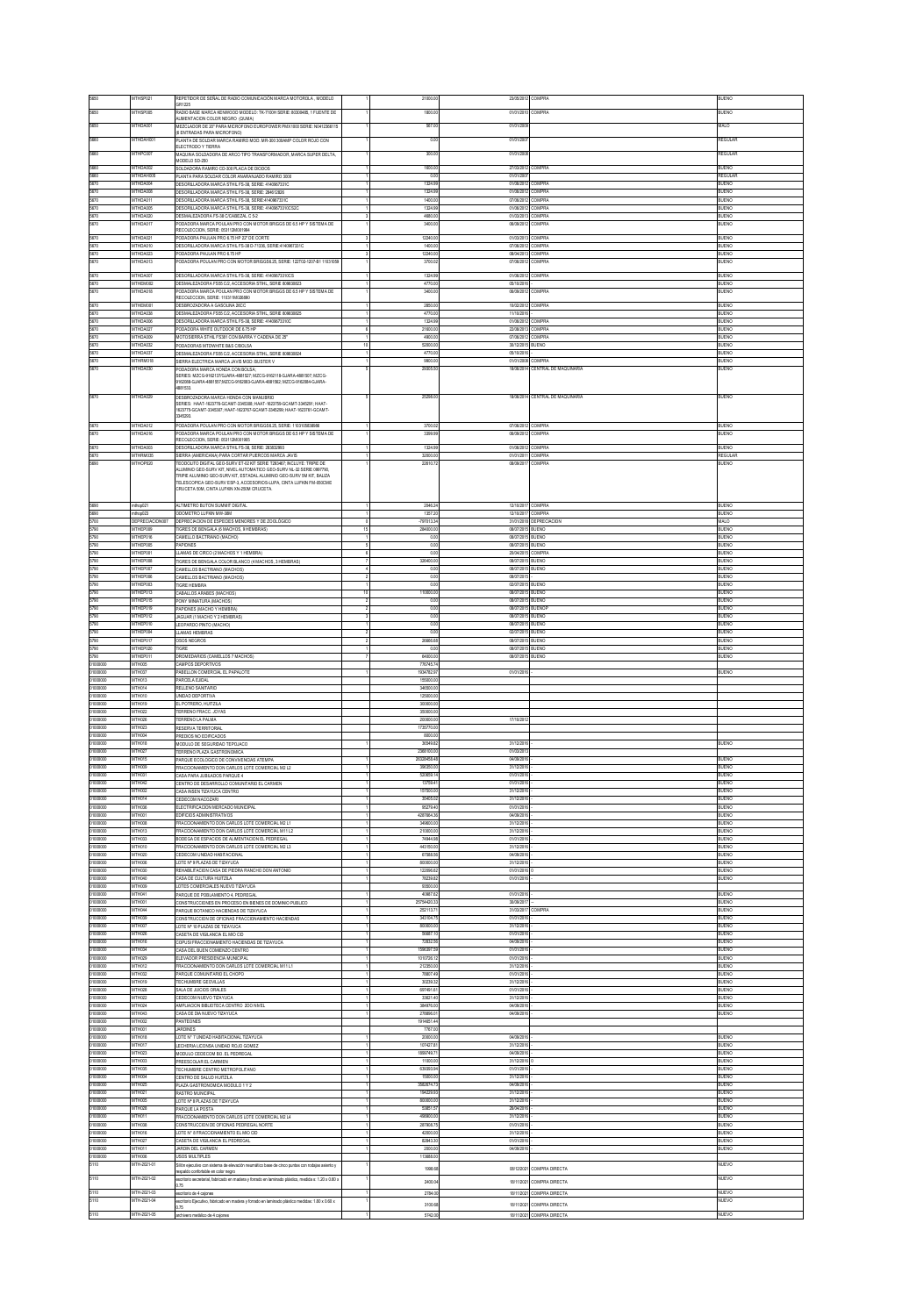|                                                                                                                      | THSP02                             | REPETIDOR DE SEÑAL DE RADIO COMUNICACIÓN MARCA MOTOROLA , MODELO                                                                                | 21000.0                  | 23/05/2012                             | <b>OMPRA</b>                                | <b>JENO</b>                  |
|----------------------------------------------------------------------------------------------------------------------|------------------------------------|-------------------------------------------------------------------------------------------------------------------------------------------------|--------------------------|----------------------------------------|---------------------------------------------|------------------------------|
| 950                                                                                                                  | MTHSP005                           | GR1225<br>RADIO BASE MARCA KENWOOD MODELO: TK-7100H SERIE: 80300485, 1 FUENTE DE                                                                | 1800.00                  | 01/01/2010                             | COMPRA                                      | <b>JUENO</b>                 |
| 5650                                                                                                                 | <b>MTHDA001</b>                    | ALIMENTACIÓN COLÓR NEGRO (QUMA)<br>IEZCLADOR DE 20" PARA MICROFONO EUROPOWER PMX1000 SERIE: N0412366115                                         | 5570                     | 01/01/200                              |                                             | <b>IALO</b>                  |
| 5660                                                                                                                 | MTHDAH001                          | (6 ENTRADAS PARA MICROFONO)<br>PLANTA DE SOLDAR MARCA RAMIRO MOD. MR-300 300AMP COLOR ROJO CON                                                  | 0.00                     | 01/01/200                              |                                             | REGULAR                      |
| 5660                                                                                                                 | MTHPC007                           | LECTRODO Y TIERRA<br>MAQUINA SOLDADORA DE ARCO TIPO TRANSFORMADOR, MARCA SUPER DELTA,                                                           | 300.00                   | 01/01/200                              |                                             | REGULAR                      |
| 5660                                                                                                                 | MTHDA002                           | MODELO SD-250<br>SOLDADORA RAMIRO CD-300 PLACA DE DIODOS                                                                                        | 1600.00                  |                                        | 27/03/2012 COMPRA                           | <b>BUENO</b>                 |
| 5660                                                                                                                 | MTHDAH005                          | PLANTA PARA SOLDAR COLOR ANARANJADO RAMIRO 3000                                                                                                 | 0.00                     | 01/01/2007                             |                                             | REGULAR                      |
| 670<br>5670                                                                                                          | MTHDA004<br><b>ATHDAOO</b>         | ESORLLADORA MARCA STHL FS-38, SERIE: 4140967331C<br>DESORILLADORA MARCA STHIL FS-38, SERIE: 284612826                                           | 1324.99<br>1324.95       | 01/06/2012<br>01/06/2012 COMPRA        | COMPRA                                      | BUENO<br>IUENO               |
| 5670                                                                                                                 | MTHDA01                            | DESORILLADORA MARCA STHIL FS-38, SERIE-4140967331C                                                                                              | 1400.0                   | <b>MARCATE</b>                         | COMPRA                                      | <b>ITENO</b>                 |
| 5670<br>5670                                                                                                         | <b>MTHDA005</b><br><b>MTHDA020</b> | DESORILLADORA MARCA STHL FS-38, SERIE: 41409673310CS2C<br>DESMALEZADORA FS-38 C/CABEZAL C 5-2                                                   | 1324.9<br>asing          | 01/06/2012<br>01/03/201                | COMPRA<br><b>COMPRA</b>                     | IUENO<br><b>JUENO</b>        |
| 5670                                                                                                                 | MTHDA017                           | PODADORA MARCA POULAN PRO CON MOTOR BRIGGS DE 6.5 HP Y SISTEMA DE<br>RECOLECCION, SERIE: 053112M001994                                          | 3400.00                  | 06/09/2012 COMPRA                      |                                             | <b>BUENO</b>                 |
| 5670                                                                                                                 | MTHDA021                           | PODADORA PAULAN PRO 6.75 HP 22" DE CORTE                                                                                                        | 12240.0                  | 01/03/2013 COMPRA                      |                                             | BUENO                        |
| 5670<br>5670                                                                                                         | MTHDA010<br>MTHDA023               | DESORILLADORA MARCA STHIL FS-38 D-71336, SERIE-4140967331C<br>PODADORA PAULAN PRO 6.75 HP                                                       | 1400.0<br>12240.0        | 07/06/2012 COMPRA<br>08/04/2013        | COMPRA                                      | BUENO<br>BUENO               |
| 5670                                                                                                                 | MTHDA013                           | ODADORA POULAN PRO CON MOTOR BRIGGS625, SERE: 122T02-1207-B1 11031099                                                                           | 3700.0                   | 07/06/2012                             | <b>COMPRA</b>                               | BUENO                        |
|                                                                                                                      | <b>MTHDA00</b>                     | DESORILLADORA MARCA STHIL FS-38, SERIE: 41409673310CS                                                                                           | 1324.9                   | 01/06/201                              | <b>OMPRA</b>                                | IJENO                        |
| 5670<br>5670                                                                                                         | MTHEM002<br><b>MTHDA018</b>        | DESMALEZADORA FS55 C/2, ACCESORIA STHL, SERIE 809830823<br>PODADORA MARCA POULAN PRO CON MOTOR BRIGGS DE 6.5 HP Y SISTEMA DE                    | 4770.0<br>3400.0         | 05/10/201<br>06/09/2012                | OMPRA                                       | IUENO<br>UENO                |
| 5670                                                                                                                 | MTHEM001                           | RECOLECCION, SERIE: 110311M026890<br>DESBROZADORA A GASOLINA 26CC                                                                               | 2850.00                  | 10/02/2012                             | COMPRA                                      | BUENO                        |
| 5670                                                                                                                 | MTHDA038                           | DESMALEZADORA FS55 C/2, ACCESORIA STIHL, SERIE 809830825                                                                                        | 4770.00                  | 11/10/2016                             |                                             | BUENO                        |
| 5670<br>5670                                                                                                         | MTHDA006<br>MTHDA027               | DESORILLADORA MARCA STHIL FS-38, SERIE: 41409673310C<br>PODADORA WHITE OUTDOOR DE 6.75 HP                                                       | 1324.9<br>21600.0        | 01/06/2012<br>2208/2013 COMPRA         | COMPRA                                      | BUENO<br>BUENO               |
| 5670<br>5670                                                                                                         | MTHDA009<br>MTHDA032               | MOTOSIERRA STHL FS381 CON BARRA Y CADENA DE 25"<br>PODADORAS MTDWHITE B&S CIBOLSA                                                               | 4900.0<br>52000.0        | 07/06/2012<br>30/12/201                | COMPRA<br><b>BUENO</b>                      | BUENO<br>RLIENO              |
| 5670                                                                                                                 | MTHDA037                           | DESMALEZADORA FS55 C/2, ACCESORIA STHL, SERIE 809830824                                                                                         | 4770.0                   | 05/10/201                              |                                             | BUENO                        |
| 5670<br>5570                                                                                                         | <b>MTHRM018</b><br>MTHDA030        | SIERRA ELECTRICA MARCA JAVIS MOD: BUSTER V<br>ODADORA MARCA HONDA CON BOLSA;                                                                    | 9900.00<br>29305.50      | 01/01/2008 COMPRA                      | 18/06/2014 CENTRAL DE MAQUINARIA            | RIFNO<br>ILENO               |
|                                                                                                                      |                                    | SERIES: MZCG 9162137/GJARA-4881527; MZCG 9162118-GJARA-4881507; MZCG-<br>9162088-GJARA-48815571/IZCG-9162083-GJARA-4881562; MZCG-9162084-GJARA- |                          |                                        |                                             |                              |
|                                                                                                                      |                                    | 4881533                                                                                                                                         |                          |                                        |                                             |                              |
| 5670                                                                                                                 | MTHDA029                           | DESBROZADORA MARCA HONDA CON MANURRIO<br>SERIES: HAAT-1623776-GCAMT-3345308; HAAT-1623759-GCAMT-3345291; HAAT-                                  | 25298.0                  |                                        | 18/06/2014 CENTRAL DE MAQUINARIA            | BUENO                        |
|                                                                                                                      |                                    | 1623775-GCAMT-3345307; HAAT-1623767-GCAMT-3345299; HAAT-1623761-GCAMT-<br>345293.                                                               |                          |                                        |                                             |                              |
| 5670                                                                                                                 | MTHDA012                           | PODADORA POULAN PRO CON MOTOR BRIGGS6.25, SERIE: 1103105838986                                                                                  | 3700.02                  | 07/06/2012 COMPRA                      |                                             | BUENO                        |
| 5670                                                                                                                 | MTHDA016                           | PODADORA MARCA POULAN PRO CON MOTOR BRIGGS DE 6.5 HP Y SISTEMA DE<br>RECOLECCION, SERIE: 053112M001905                                          | 3399.99                  | 06/09/2012 COMPRA                      |                                             | BUENO                        |
| 5670<br>5670                                                                                                         | <b>MTHDA003</b><br><b>MTHRMOV</b>  | DESORILLADORA MARCA STHL FS-38, SERIE: 283832993<br>SIERRA (AMERICANA) PARA CORTAR PUERCOS MARCA JAVIS                                          | 1324.9<br>32000.00       | 01/06/2012 COMPRA<br>01/01/2011 COMPRA |                                             | LIENO<br>REGULAI             |
| 5690                                                                                                                 | MTHOP020                           | EODOLITO DIGITAL GEO-SURV ET-02 KIT SERIE T293467; NCLUYE: TRIPIE DE<br>ALUMINIO GEO-SURV KIT. NIVEL AUTOMATICO GEO-SURV NL-32 SERIE 0997790    | 22610.7                  | 08/09/2017 COMPRA                      |                                             | LIENO                        |
|                                                                                                                      |                                    | RIPE ALUMNIO GEO-SURV KIT. ESTADAL ALUMNIO GEO-SURV 5M KIT. BALIZA<br>TELESCOPICA GEO-SURV ESP-3, ACCESORIOS-LUPA, CINTA LUFKIN FM-050CME       |                          |                                        |                                             |                              |
|                                                                                                                      |                                    | CRUCETA 50M, CINTA LUFKIN XN-250M CRUCETA.                                                                                                      |                          |                                        |                                             |                              |
|                                                                                                                      | thop(I2)                           | ALTIMETRO BUTON SUMMIT DIGITAL                                                                                                                  | 2046                     | 12/10/201                              | <b>OMPRA</b>                                | IJENO                        |
| 5690                                                                                                                 | thop(I23                           | ODOMETRO LUFKN MW-38M                                                                                                                           | 1357.2                   | 12/10/2017                             | <b>COMPRA</b>                               | IUENO                        |
| 5700<br>5790                                                                                                         | <b>EPRECIACIO</b><br>MTHEP009      | DEPRECIACION DE ESPECIES MENORES Y DE ZOOLÓGICO<br>TIGRES DE BENGALA (6 MACHOS, 9 HEMBRAS)                                                      | 797013.3<br>284000.00    | 08/07/2015 BUENO                       | 31/01/2018 DEPRECIACIO                      | IALO<br>BUENO                |
| 5790                                                                                                                 | MTHEP016                           | CAMELLO BACTRIANO (MACHO)                                                                                                                       | 0.00                     | 08/07/2015 BUENO                       |                                             | BUENO                        |
| 5790<br>5790                                                                                                         | MTHEP005<br>MTHEP001               | PAPIONES<br>I LAMAS DE CIRCO (2 MACHOS Y 1 HEMBRA)                                                                                              | 0.00<br>0.00             | 08/07/2015 BUENC<br>20/04/2015 COMPRA  |                                             | BUENO<br>BUENO               |
| 5790<br>5790                                                                                                         | MTHEP008<br>MTHEP007               | TIGRES DE BENGALA COLOR BLANCO (4 MACHOS, 3 HEMBRAS)<br>CAMELLOS BACTRIANO (MACHOS)                                                             | 326400.00<br>0.00        | 08/07/2015 BUENO<br>08/07/2015 BUENO   |                                             | BUENO<br><b>BUENO</b>        |
| 5790                                                                                                                 | MTHEP006                           | CAMELLOS RACTRIANO (MACHOS)                                                                                                                     | 0.00                     | 08/07/2015                             |                                             | BUENO                        |
| 5790<br>5790                                                                                                         | MTHEP003<br>MTHEP013               | TIGRE HEMBRA<br>CARALLOS ARARES (MACHOS)                                                                                                        | 0.00<br>110000.00        | 02/07/2015 BUENO<br>08/07/2015 BUENO   |                                             | <b>BUENO</b><br>BUENO        |
| 5790                                                                                                                 | MTHEP015                           | PONY MINATURA (MACHOS)                                                                                                                          | 0.00                     | 08/07/2015 BUENO                       |                                             | BUENO                        |
| 5790<br>5790                                                                                                         | MTHEP019<br>MTHEP012               | PAPIONES (MACHO Y HEMBRA)<br>JAGUAR (1 MACHO Y 2 HEMBRAS)                                                                                       | 0.00<br>0.00             | 08/07/2015 BUENOR<br>08/07/2015        | <b>BUENO</b>                                | BUENO<br>BUENO               |
| 5790                                                                                                                 | MTHEP010                           | LEOPARDO PINTO (MACHO)                                                                                                                          | 0.00                     | 08/07/2015                             | <b>BUENO</b>                                | BUENO                        |
| 5790<br>5790                                                                                                         | MTHEP004<br>MTHEP017               | LLAMAS HEMBRAS<br>OSOS NEGROS                                                                                                                   | 0.00<br>2666.68          | 00/07/201<br>08/07/2019                | <b>RUENO</b><br><b>BUENO</b>                | RIFNO<br>BUENO               |
| 5790                                                                                                                 | <b>MTHEP(O)</b><br>MTHEP011        | TIGRE                                                                                                                                           | 0.00                     | 08/07/2015 BUENO                       |                                             | RIFNO                        |
|                                                                                                                      |                                    |                                                                                                                                                 |                          |                                        |                                             |                              |
| 5790<br>monton                                                                                                       | <b>MTHOOS</b>                      | DROMEDARIOS (CAMELLOS 7 MACHOS)<br>CAMPOS DEPORTIVOS                                                                                            | 64000.00<br>776745.74    | 08/07/2015 BUENO                       |                                             | <b>JUENO</b>                 |
| 1000000                                                                                                              | MTH037                             | PABELLON COMERCIAL EL PAPALOTE                                                                                                                  | 1934782.97               | 01/01/2016                             |                                             | BUENO                        |
| 000000<br>000000                                                                                                     | MTH013<br>MTH014                   | PARCELA EJDAI<br>RELLENO SANITARIO                                                                                                              | 155000.00<br>346500.00   |                                        |                                             |                              |
| 000000<br>00000                                                                                                      | MTH010<br>ATH019                   | UNDAD DEPORTIVA                                                                                                                                 | 125000.00<br>300000.0    |                                        |                                             |                              |
| nanco                                                                                                                | <b>ATHAZ</b>                       | EL POTRERO, HUITZLA<br>TERRENO FRACC. JOYAS                                                                                                     | 350000                   |                                        |                                             |                              |
| 000000<br>000000                                                                                                     | ATHO26<br>MTH023                   | TERRENO LA PALMA<br><b>RESERVA TERRITORIAL</b>                                                                                                  | 200000<br>1735770.00     | 17/10/201                              |                                             |                              |
| 000000                                                                                                               | MTH004                             | PREDIOS NO EDIFICADOS                                                                                                                           | 8000.00                  |                                        |                                             |                              |
| 000000<br>1000000                                                                                                    | MTH018<br>MTH022                   | MODULO DE SEGURIDAD TEPOJACO<br>TERRENO PLAZA GASTRONOMICA                                                                                      | 36549.82<br>2368100.00   | 31/12/201<br>01/03/201                 |                                             | BUENC                        |
| 000000<br>1000000                                                                                                    | MTH015<br>MTH009                   | PARQUE ECOLOGICO DE CONVIVENCIAS ATEMPA<br>FRACCIONAMIENTO DON CARLOS LOTE COMERCIAL M2 L2                                                      | 26328458.48<br>396350.00 | 04/09/2016<br>31/12/2016               |                                             | <b>BUENC</b><br>BUENO        |
| 1000000                                                                                                              | MTH031                             | CASA PARA JUBILADOS PARQUE 4                                                                                                                    | 520659.14                | 01/01/2016                             |                                             | BUENO                        |
| 01000000<br>1000000                                                                                                  | MTH042<br>MTH002                   | CENTRO DE DESARROLLO COMUNITARIO EL CARMEN                                                                                                      | 13759.41<br>157500.00    | 01/01/2016<br>31/12/2016               |                                             | <b>BUENO</b><br>BUENO        |
| 1000000                                                                                                              | MTH014                             | CASA INSEN TIZAYUCA CENTRO<br>CEDECOM NACOZARI                                                                                                  | 35405.0                  | 31/12/201                              |                                             | BUENO                        |
| 1000000<br>1000000                                                                                                   | MTH036<br>MTH001                   | ELECTRIFICACION MERCADO MUNICIPAL<br><b>EDIECIOS ADMINISTRATIVOS</b>                                                                            | 95279.40<br>4267664.3    | 01/01/201<br>04/09/201                 |                                             | BUENO<br>BUENO               |
| 1000000<br>1000000                                                                                                   | MTH008<br>MTH013                   | FRACCIONAMIENTO DON CARLOS LOTE COMERCIAL M2 L1<br>FRACCIONAMIENTO DON CARLOS LOTE COMERCIAL M11 L2                                             | 349600.0<br>210000.00    | 31/12/201<br>31/12/201                 |                                             | BUENO<br>RLIENO              |
| 1000000                                                                                                              | MTH033                             | BODEGA DE ESPACIOS DE ALMENTACION EL PEDREGAL                                                                                                   | 74944.98                 | 01/01/201                              |                                             | BUENO                        |
| rrommo<br>1000000                                                                                                    | MTH010<br>MTH020                   | FRACCIONAMIENTO DON CARLOS LOTE COMERCIAL M2 L3<br>CEDECOM UNIDAD HABITACIONAL                                                                  | 443150.00<br>67588.56    | 31/12/2016<br>04/09/2016               |                                             | RIFNO<br>BUENO               |
| 1000000                                                                                                              | <b>MTHOOK</b>                      | LOTE Nº 9 PLAZAS DE TIZAYUCA                                                                                                                    | 800000.00                | 31/12/2018                             |                                             | UENO                         |
| 000000                                                                                                               | MTH030<br>MTH040                   | REHABLITACION CASA DE PIEDRA RANCHO DON ANTONIO<br>CASA DE CULTURA HUITZLA                                                                      | 122096.62<br>78239.82    | 01/01/2016<br>01/01/2016               |                                             | BUENO<br><b>BUENO</b>        |
| T<br>01000000<br>01000000<br>1000000                                                                                 | MTH009<br>MTH041                   | LOTES COMERCIALES NUEVO TIZAYUCA<br>PARQUE DE POBLAMENTO 4, PEDREGAL                                                                            | 93500.00<br>40987.62     | 01/01/201                              |                                             | <b>JUENO</b>                 |
| 1000000                                                                                                              | WTH00                              | CONSTRUCCIONES EN PROCESO EN BIENES DE DOMINIO PUBLICO                                                                                          | 25754420.3               | 3009/201                               |                                             | IUENO                        |
| 000000<br>01000000                                                                                                   | MTH044<br>MTH039                   | PARQUE BOTANICO HACIENDAS DE TIZAYUCA<br>CONSTRUCCION DE OFICINAS FRACCIONAMIENTO HACIENDAS                                                     | 252113.7<br>343104.75    | 31/03/201<br>01/01/2016                | COMPRA                                      | IUENO<br>BUENO               |
| 1000000                                                                                                              | MTH007                             | LOTE Nº 10 PLAZAS DE TIZAYUCA                                                                                                                   | 800000.00                | 31/12/2016                             |                                             | BUENO                        |
| 01000000<br>1000000                                                                                                  | MTH026<br>MTH016                   | CASETA DE VIGILANCIA EL MIO CID<br>COPUSI FRACCIONAMIENTO HACENDAS DE TIZAYUCA                                                                  | 56687.10<br>72832.56     | 01/01/2016<br>04/09/2016               |                                             | BUENO<br>BUENO               |
| 01000000<br>1000000                                                                                                  | MTH034<br>MTH029                   | CASA DEL BUEN COMENZO CENTRO<br>FLEVADOR PRESIDENCIA MUNICIPAL                                                                                  | 1596397.59<br>1010726.12 | 01/01/2016<br>01/01/2016               |                                             | BUENO<br>BUENO               |
| 01000000                                                                                                             | MTH012                             | FRACCIONAMIENTO DON CARLOS LOTE COMERCIAL M11 L1                                                                                                | 212350.00                | 31/12/2016                             |                                             | <b>BUENO</b>                 |
| 01000000<br>01000000                                                                                                 | MTH032<br>MTH019                   | PARQUE COMUNITARIO EL CHOPO<br>TECHUMBRE GEOVILLAS                                                                                              | 78807.49<br>30239.32     | 01/01/2016<br>31/12/2016               |                                             | <b>BUENO</b><br><b>BUENO</b> |
| 01000000                                                                                                             | MTH028                             | SALA DE JUICIOS ORALES                                                                                                                          | 697491.61                | 01/01/2016                             |                                             | BUENO                        |
|                                                                                                                      | MTH022<br>MTH024                   | CEDECOM NUEVO TIZAYUCA<br>AMPLIACION BIBLIOTECA CENTRO 2DO NIVEL                                                                                | 33621.40<br>384976.00    | 31/12/201<br>04/09/201                 |                                             | BUENO<br><b>BUENO</b>        |
|                                                                                                                      | MTH043<br>MTH002                   | CASA DE DIA NUEVO TIZAYUCA<br>PANTEONES                                                                                                         | 278896.0                 | 04/09/201                              |                                             | <b>BUENO</b>                 |
|                                                                                                                      | MTH001                             | <b>JARONES</b>                                                                                                                                  | 1914651.44<br>7767.00    |                                        |                                             |                              |
|                                                                                                                      | MTH018<br>MTH017                   | LOTE Nº 7 UNIDAD HABITACIONAL TIZAYUCA<br>LECHERIA LICONSA UNDAD ROJO GOMEZ                                                                     | 20000.00<br>107427.81    | 04/09/201<br>31/12/2016                |                                             | BUENO<br>RIFNO               |
|                                                                                                                      | MTH023                             | MODULO CEDECOM BO. EL PEDREGAL                                                                                                                  | 1899749.71               | 04/09/2016                             |                                             | BUENO                        |
| 01000000<br>01000000<br>01000000<br>01000000<br>01000000<br>01000000<br>01000000<br>01000000<br>01000000<br>01000000 | <b>MTHMW</b><br>MTH035             | PREESCOLAR EL CARMEN<br>TECHUMBRE CENTRO METROPOLITANO                                                                                          | 11000.00<br>639393.94    | 31/12/2016<br>01/01/2016               |                                             | RIFNO<br><b>BUENO</b>        |
| 01000000                                                                                                             | MTH004                             | CENTRO DE SALUD HUITZLA                                                                                                                         | 15000.00                 | 31/12/2016                             |                                             | <b>BUENO</b>                 |
| 1000000<br>000000                                                                                                    | MTH029<br>MTH021                   | PLAZA GASTRONOMICA MODULO 1 Y 2<br>RASTRO MUNICIPAL                                                                                             | 3582674.73<br>194229.9   | 04/09/201<br>31/12/201                 |                                             | <b>BLIENO</b><br>BUENO       |
| 1000000<br>000000                                                                                                    | MTH005<br>MTH028                   | LOTE Nº 8 PLAZAS DE TIZAYUCA                                                                                                                    | 800000.0<br>53851.5      | 31/12/201<br>26/04/201                 |                                             | BUENO<br><b>JUENO</b>        |
| 1000000                                                                                                              | MTH011                             | PARQUE LA POSTA<br>FRACCIONAMIENTO DON CARLOS LOTE COMERCIAL M2 L4                                                                              | 498900.00                | 31/12/201                              |                                             | BUENO                        |
| 000000<br>01000000                                                                                                   | MTH038<br>MTH016                   | CONSTRUCCION DE OFICINAS PEDREGAL NORTE<br>LOTE N° 8 FRACCIONAMENTO EL MIO CID                                                                  | 287908.75<br>42000.00    | 01/01/201<br>31/12/2016                |                                             | BUENO<br>BUENO               |
| 01000000                                                                                                             | MTH027                             | CASETA DE VIGLANCIA EL PEDREGAL                                                                                                                 | 82843.30                 | 01/01/2016                             |                                             | BUENO                        |
|                                                                                                                      | MTH011<br>MTH006                   | JARDIN DEL CARMEN<br>USOS MULTIPLES                                                                                                             | 2000.00<br>113688.00     | 04/09/2016                             |                                             | BUENO                        |
| 01000000<br>01000000<br>5110                                                                                         | MTH-2021-01                        | Silión ejecutivo con sistema de elevación neumático base de cinco puntas con rodajas asiento y                                                  | 1998.6                   | 08/12/202                              | COMPRA DIRECTA                              | NUEVO                        |
|                                                                                                                      | MTH-2021-02                        | espaldo confortable en color negro<br>escritorio secretarial, fabricado en madera y forrado en laminado plástico, medida s: 1.20 x 0.60 x       | 2400.0                   |                                        |                                             | NUEVO                        |
| 5110<br>5110                                                                                                         | MTH-2021-03                        | $\pi$<br>critorio de 4 calones                                                                                                                  | 2784.00                  | 18/11/2021                             | COMPRA DIRECTA<br>18/11/2021 COMPRA DIRECTA | NUEVO                        |
| 5110                                                                                                                 | MTH-2021-04                        | escritorio Ejecutivo, fabricado en madera y forrado en laminado plástico medidas: 1.80 x 0.60 x<br>75                                           | 3100.6                   | 18/11/2021                             | COMPRA DIRECTA                              | NUEVO                        |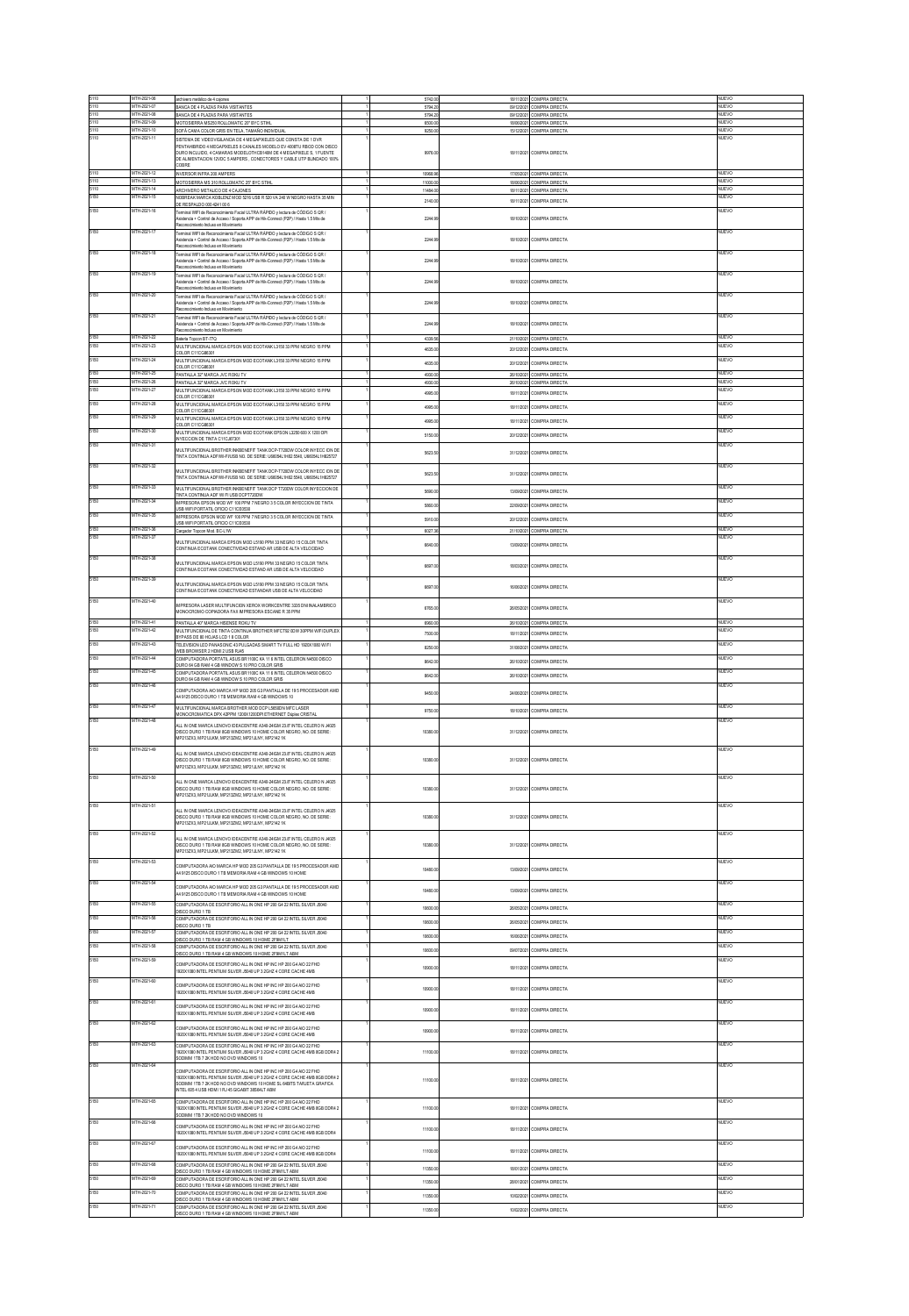|              | MTH-2021-06                | archivero metático de 4 cajones                                                                                                                   | 5742.00            |            | 18/11/2021 COMPRA DIRECTA                              | <b>NUEVO</b>          |
|--------------|----------------------------|---------------------------------------------------------------------------------------------------------------------------------------------------|--------------------|------------|--------------------------------------------------------|-----------------------|
|              | MTH-2021-0                 | BANCA DE 4 PLAZAS PARA VISITANTES                                                                                                                 | 5794.20            |            | 09/12/2021 COMPRA DIRECTA                              | NUEVO                 |
| 5110<br>5110 | MTH-2021-08<br>MTH-2021-09 | BANCA DE 4 PLAZAS PARA VISITANTES<br>MOTOSERRA MS250 ROLLOMATIC 20" BYC STHL                                                                      | 5794.20<br>6500.00 |            | 09/12/2021 COMPRA DIRECTA<br>18/06/2021 COMPRA DIRECTA | <b>NUEVO</b><br>NUEVO |
| 5110         | MTH-2021-10                | SOFÁ CAMA COLOR GRIS EN TELA, TAMAÑO INDIVIDUAL                                                                                                   | 9250.00            |            | 15/12/2021 COMPRA DIRECTA                              | NUEVO                 |
| 5110         | MTH-2021-11                | SISTEMA DE VIDEOVIGILANCIA DE 4 MEGAPIXELES QUE CONSTA DE 1 DVR<br>PENTAHIBRIDO 4 MEGAPIXELES 8 CANALES MODELO EV 4008TU RBOD CON DISCO           |                    |            |                                                        | NUEVO                 |
|              |                            | DURO INCLUIDO, 4 CAMARAS MODELOTHCB140M DE 4 MEGAPIXELE S, 1 FUENTE                                                                               | 9976.00            |            | 18/11/2021 COMPRA DIRECTA                              |                       |
|              |                            | DE ALIMENTACIÓN 12VDC 5 AMPERS , CONECTORES Y CABLE UTP BLINDADO 100%<br>COBRE                                                                    |                    |            |                                                        |                       |
|              | TH-2021-1                  | INVERSOR INFRA 200 AMPERS                                                                                                                         | 10968.96           |            | 17/05/2021 COMPRA DIRECTA                              | NUEVO                 |
| 5110         | TH-2021-13                 | MOTOSERRA MS 310 ROLLOMATIC 25" BYC STHL                                                                                                          | 11000.00           |            | 18/06/2021 COMPRA DIRECTA                              | NUEVO                 |
| 5110<br>5150 | MTH-2021-14<br>MTH-2021-15 | ARCHIVERO METALICO DE 4 CAJONES.<br>NOBREAK MARCA KOBLENZ MOD 5216 USB R 520 VA 240 W NEGRO HASTA 35 MIN                                          | 11484.00           |            | 18/11/2021 COMPRA DIRECTA                              | NUEVO<br>NUEVO        |
|              |                            | DE RESPALDO 000 4241 00 6                                                                                                                         | 2140.0             | 18/11/202  | COMPRA DIRECTA                                         |                       |
| 5150         | MTH-2021-16                | Ferminal WIF1 de Reconocimiento Facial ULTRA RÁPIDO y lectura de CÓDIGO S QR /                                                                    |                    |            |                                                        | NUEVO                 |
|              |                            | Asistencia + Control de Acceso / Soporta APP de Hik-Connect (P2P) / Hasta 1.5 Mts de<br>atteimiento incluso en Movimiento                         | 2244.9             | 18/10/2021 | COMPRA DIRECTA                                         |                       |
| 5150         | MTH-2021-17                | Ferminal WIFI de Reconocimiento Facial ULTRA RÁPIDO y lectura de CÓDIGO S QR /                                                                    |                    |            |                                                        | NUEVO                 |
|              |                            | Asistencia + Control de Acceso / Soporta APP de Hik-Connect (P2P) / Hasta 1.5 Mts de<br>abaimivoM na ozulari atministraccas                       | 2244.9             | 18/10/2021 | COMPRA DIRECTA                                         |                       |
| 5150         | MTH-2021-18                | Ferminal WIFI de Reconocimiento Facial ULTRA RÁPIDO y lectura de CÓDIGO S QR /                                                                    |                    |            |                                                        | NUEVO                 |
|              |                            | Nsistencia + Control de Acceso / Soporta APP de Hik-Connect (P2P) / Hasta 1.5 Mts de<br>Reconocimiento Incluso en Movimiento                      | 2244.9             | 18/10/2021 | COMPRA DIRECTA                                         |                       |
| 5150         | ITH-2021-19                | Ferminal WIFI de Reconocimiento Facial ULTRA RÁPIDO y lectura de CÓDIGO S QR /                                                                    |                    |            |                                                        | <b>IUEVO</b>          |
|              |                            | Nsistencia + Control de Acceso / Soporta APP de Hik-Connect (P2P) / Hasta 1.5 Mts de<br>Reconocimiento Incluso en Movimiento                      | 2244.9             | 18/10/2021 | COMPRA DIRECTA                                         |                       |
| 5150         | ITH-2021-20                | erminal WIFI de Reconocimiento Facial ULTRA RÁPIDO y lectura de CÓDIGO S QR /                                                                     |                    |            |                                                        | <b>IUEVO</b>          |
|              |                            | sistencia + Control de Acceso / Soporta APP de Hik-Connect (P2P) / Hasta 1.5 Mts de<br>Reconocimiento Incluso en Movimiento                       | 2244.9             | 18/10/2021 | COMPRA DIRECTA                                         |                       |
| 5150         | TH-2021-21                 | erminal WIFI de Reconocimiento Facial ULTRA RÁPIDO y lectura de CÓDIGO S QR /                                                                     |                    |            |                                                        | <b>IUEVO</b>          |
|              |                            | stencia + Control de Acceso / Soporta APP de Hik-Connect (P2P) / Hasta 1.5 Mts de<br>atraimiento incluso en Movimiento                            | 2244.9             | 18/10/202  | COMPRA DIRECTA                                         |                       |
|              | TH-2021-2                  | Bateria Topcon BT-77Q                                                                                                                             | 4339.50            |            | 21/10/2021 COMPRA DIRECTA                              | NUEVO                 |
| 5150         | TH-2021-23                 | MULTIFUNCIONAL MARCA EPSON MOD ECOTANK L3150 33 PPM NEGRO 15 PPM                                                                                  | 4635.00            | 20/12/2021 | COMPRA DIRECTA                                         | <b>IUEVO</b>          |
| 5150         | MTH-2021-24                | CLOR C11CG86301<br>MULTIFUNCIONAL MARCA EPSON MOD ECOTANK L3150 33 PPM NEGRO 15 PPM                                                               |                    |            |                                                        | NUEVO                 |
|              |                            | COLOR C11CG86301                                                                                                                                  | 4635.0             | 20/12/20   | OMPRA DIRECTA                                          |                       |
| 5150<br>5150 | MTH-2021-25<br>MTH.2021.24 | PANTALLA 32" MARCA JVC ROKU TV<br>PANTALLA 32" MARCA JVC ROKU TV                                                                                  | 4930.00            |            | 26/10/2021 COMPRA DIRECTA                              | NUEVO<br>NUFVO        |
| 5150         | TH-2021-27                 | MULTFUNCIONAL MARCA EPSON MOD ECOTANK L3150 33 PPM NEGRO 15 PPM                                                                                   | 4930.00            |            | 26/10/2021 COMPRA DIRECTA                              | <b>KUEVO</b>          |
| 5150         | MTH-2021-28                | OLOR C11CG86301                                                                                                                                   | 4995.00            | 18/11/202  | COMPRA DIRECTA                                         | NUEVO                 |
|              |                            | MULTIFUNCIONAL MARCA EPSON MOD ECOTANK L3150 33 PPM NEGRO 15 PPM<br>COLOR C11CG86301                                                              | 4995.00            | 18/11/2021 | COMPRA DIRECTA                                         |                       |
| 5150         | MTH-2021-29                | MULTFUNCIONAL MARCA EPSON MOD ECOTANK L3150 33 PPM NEGRO 15 PPM<br>COLOR C11CG86301                                                               | 4995.00            | 18/11/202  | COMPRA DIRECTA                                         | NUEVO                 |
|              | TH-2021-30                 | MULTFUNCIONAL MARCA EPSON MOD ECOTANK EPSON L3250 600 X 1200 DPI                                                                                  |                    |            |                                                        | <b>IUEVO</b>          |
| 5150         |                            | NYECCIÓN DE TINTA C11CJ57301                                                                                                                      | 5150.0             | 20/12/202  | COMPRA DIRECTA                                         |                       |
|              | MTH-2021-31                | MULTIFUNCIONAL BROTHER INVBENEFIT TANK DCP-T720DW COLOR INYECC ION DE                                                                             | 5623.5             | 31/12/202  | COMPRA DIRECTA                                         | <b>IUEVO</b>          |
|              |                            | TINTA CONTINUA ADF/W-FI/USB NO. DE SERIE: U66054L1H82 5540, U66054L1H825727                                                                       |                    |            |                                                        |                       |
| 5150         | MTH-2021-32                | MULTIFUNCIONAL BROTHER INKBENEFIT TANK DCP-T720DW COLOR INYECC ION DE<br>INTA CONTINUA ADEMUEIUSR NO DE SERIE: UARMAL1HR2 5540 UARMAL1HR2577      | 5623.5             | 31/12/202  | COMPRA DIRECTA                                         | NUEVO                 |
|              |                            |                                                                                                                                                   |                    |            |                                                        |                       |
| 5150         | MTH-2021-33                | MULTIFUNCIONAL BROTHER INVEENEFIT TANK DCP T720DW COLOR INVECCION DE<br>TINTA CONTINUA ADF WI FI USB DCPT720DW                                    | 5690.0             | 13/09/202  | COMPRA DIRECTA                                         | NUEVO                 |
| 5150         | <b>ATH.2021.34</b>         | MPRESORA EPSON MOD WF 100 PPM 7 NEGRO 35 COLOR INVECCION DE TINTA                                                                                 | 5860.00            | 22/09/2021 | COMPRA DIRECTA                                         | eurvn                 |
| 5150         | MTH-2021-35                | <b>JSB WIFI PORTATIL OFICIO C11CE0530</b><br>IMPRESORA EPSON MOD WE 100 PPM 7 NEGRO 3.5 COLOR INVECCION DE TINTA                                  |                    |            |                                                        | NUEVO                 |
|              |                            | ISB WIFI PORTATIL OFICIO C11CE0530                                                                                                                | 5910.0             | 20/12/202  | COMPRA DIRECTA                                         |                       |
| 5150<br>5150 | MTH-2021-36<br>MTH-2021-37 | dor Tapcon Mod. BC-L1W                                                                                                                            | 6027.3             | 21/10/2021 | COMPRA DIRECTA                                         | NUEVO<br>NUEVO        |
|              |                            | MULTIFUNCIONAL MARCA EPSON MOD L5190 PPM 33 NEGRO 15 COLOR TINTA<br>CONTINUA FCOTANK CONFICTIVIDAD ESTAND AR USB DE ALTA VELOCIDAD                | 6640.0             | 13/09/202  | COMPRA DIRECTA                                         |                       |
|              |                            |                                                                                                                                                   |                    |            |                                                        |                       |
| 5150         | MTH-2021-38                | MULTEUNCIONAL MARCA EPSON MOD L5190 PPM 33 NEGRO 15 COLOR TNTA                                                                                    | 6697.0             | 18/03/202  | COMPRA DIRECTA                                         | <b>NUEVO</b>          |
|              |                            | CONTINUA ECOTANK CONECTIVIDAD ESTAND AR USB DE ALTA VELOCIDAD                                                                                     |                    |            |                                                        |                       |
| 5150         | TH-2021-39                 | MULTEUNCIONAL MARCA EPSON MOD L5190 PPM 33 NEGRO 15 COLOR TNTA                                                                                    | 6697.0             | 16/06/202  | COMPRA DIRECTA                                         | eurvn                 |
|              |                            | CONTINUA ECOTANK CONECTIVIDAD ESTANDAR USB DE ALTA VELOCIDAD                                                                                      |                    |            |                                                        |                       |
| 5150         | MTH-2021-40                | MPRESORA LASER MULTIFUNCION XEROX WORKCENTRE 3335 DNI NALAMBRICO                                                                                  | 6765.0             | 26/05/202  | COMPRA DIRECTA                                         | eurvn                 |
|              |                            | <b>IONOCROMO COPIADORA FAX IMPRESORA ESCANE R 35 PPM</b>                                                                                          |                    |            |                                                        |                       |
| 5150         | MTH-2021-41                | PANTALLA 40" MARCA HISENSE ROKU TV                                                                                                                | <b>6980.00</b>     | 26/10/2021 | COMPRA DIRECT.                                         | <b>NUEVO</b>          |
| 5150         | TH-2021-42                 | MULTFUNCIONAL DE TINTA CONTINUA BROTHER MFCT92 0DW 30PPM WFI DUPLEX<br>BYPASS DE 80 HOJAS LCD 18 COLOR                                            | 7500.0             | 18/11/202  | COMPRA DIRECTA                                         | <b>UEVO</b>           |
| 5150         | MTH-2021-43                | ELEVISION LED PANASONIC 43 PULGADAS SMART TV FULL HD 1920X1080 W FI                                                                               | 8250.0             | 31/08/202  | COMPRA DIRECTA                                         | NUEVO                 |
| 5150         | MTH-2021-44                | WEB BROWSER 2 HDMI2 USB RJ45<br>COMPUTADORA PORTATL ASUS BR1100C KA 11 6 INTEL CELERON N4500 DISCO                                                |                    |            |                                                        | <b>NUEVO</b>          |
|              |                            | DURO 64 GB RAM 4 GB WINDOW S 10 PRO COLOR GRIS                                                                                                    | 8642.00            | 26/10/202  | COMPRA DIRECTA                                         |                       |
|              | TH-2021-45                 | COMPUTADORA PORTATE ASUS BR1100C KA 11 6 INTEL CELERON N4500 DISCO<br>JURO 64 GB RAM 4 GB WINDOW S 10 PRO COLOR GRIS                              | 8642.0             | 26/10/202  | COMPRA DIRECTA                                         | <b>IUEVO</b>          |
| 5150         | MTH-2021-46                | COMPUTADORA AIO MARCA HP MOD 205 G3 PANTALLA DE 19 5 PROCESADOR AME                                                                               |                    |            |                                                        | NUEVO                 |
|              |                            | 4 9125 DISCO DURO 1 TB MEMORIA RAM 4 GB WINDOWS 10                                                                                                | 9450.0             | 24/06/202  | COMPRA DIRECTA                                         |                       |
| 5150         | MTH-2021-47                | <b>IULTFUNCIONAL MARCA BROTHER MOD DCP LISSION MFC LASER</b>                                                                                      | 9750.0             | 18/10/202  | COMPRA DIRECTA                                         | NUEVO                 |
| 5150         | <b>ATH.2021.4R</b>         | MONOCROMATICA DPX 42PPM 1200X1200DPI ETHERNET Dúplex CRISTAL                                                                                      |                    |            |                                                        | llEVO                 |
|              |                            | ALL IN ONE MARCA LENOVO IDEACENTRE A340-24GM 23 R. INTEL CELERO N J4025                                                                           |                    |            |                                                        |                       |
|              |                            | DISCO DURO 1 TB RAM 8GB WINDOWS 10 HOME COLOR NEGRO, NO. DE SERIE:<br>MP213ZX3. MP21JLKM. MP213ZM2. MP21JLNY. MP21421K                            | 10380.0            | 31/12/2021 | COMPRA DIRECTA                                         |                       |
| 5150         | MTH-2021-49                |                                                                                                                                                   |                    |            |                                                        | NUEVO                 |
|              |                            | ALL IN ONE MARCA LENOVO IDEACENTRE A340-24/GM 23.8" INTEL CELERO N J4025<br>ISCO DURO 1 TB RAM 8GB WINDOWS 10 HOME COLOR NEGRO, NO. DE SERIE:     | 10380.0            | 31/12/2021 | COMPRA DIRECTA                                         |                       |
|              |                            | MP213ZX3, MP21JLKM, MP213ZM2, MP21JLNY, MP21421K                                                                                                  |                    |            |                                                        |                       |
| 5150         | MTH-2021-50                | ALL IN ONE MARCA LENOVO IDEACENTRE A340-24/GM 23.8" INTEL CELERO N J4025                                                                          |                    |            |                                                        | NUEVO                 |
|              |                            | DISCO DURO 1 TB RAM 8GB WINDOWS 10 HOME COLOR NEGRO, NO. DE SERIE:                                                                                | 10380.0            |            | 31/12/2021 COMPRA DIRECTA                              |                       |
|              |                            | MP213ZX3, MP21JLKM, MP213ZM2, MP21JLNY, MP2142 1K                                                                                                 |                    |            |                                                        |                       |
| 5150         | MTH-2021-51                | ALL IN ONE MARCA LENOVO IDEACENTRE A340-24/GM 23.8" INTEL CELERO N J4025                                                                          |                    |            |                                                        | NUEVO                 |
|              |                            | DISCO DURO 1 TB RAM 8GB WINDOWS 10 HOME COLOR NEGRO, NO. DE SERIE:<br>MP213ZX3, MP21JLKM, MP213ZM2, MP21JLNY, MP2142 1K                           | 10380.0            |            | 31/12/2021 COMPRA DIRECTA                              |                       |
|              | TH-2021-52                 |                                                                                                                                                   |                    |            |                                                        | UEVO                  |
|              |                            | ALL IN ONE MARCA LENOVO IDEACENTRE A340-24IGM 23.8" INTEL CELERO N J4025<br>DISCO DURO 1 TB RAM 8GB WINDOWS 10 HOME COLOR NEGRO, NO. DE SERIE:    |                    | 31/12/2021 | COMPRA DIRECTA                                         |                       |
|              |                            | MP213ZX3, MP21JLKM, MP213ZM2, MP21JLNY, MP2142 1K                                                                                                 | 10380.0            |            |                                                        |                       |
| 5150         | <b>ATH.2021.53</b>         | COMPUTADORA AIO MARCA HP MOD 205 G3 PANTALLA DE 19 5 PROCESADOR AMD                                                                               |                    |            |                                                        | <b>ILIFVO</b>         |
|              |                            | 4 9125 DISCO DURO 1 TB MEMORIA RAM 4 GB WINDOWS 10 HOME                                                                                           | 10480.0            |            | 13/09/2021 COMPRA DIRECTA                              |                       |
|              | TH-2021-54                 | COMPLITADORA AIO MARCA HP MOD 205 G3 PANTALLA DE 19 5 PROCESADOR AME                                                                              |                    |            |                                                        | <b>IUEVO</b>          |
|              |                            | 49125 DISCO DURO 1 TB MEMORIA RAM 4 GB WINDOWS 10 HOME                                                                                            | 10480.             | 13/09/202  | COMPRA DIRECTA                                         |                       |
| 5150         | TH-2021-5                  | COMPLITADORA DE ESCRITORIO ALLIN ONE HP 200 G4 22 INTEL SILVER JINMI                                                                              | 10600.0            | 26/05/2021 | COMPRA DIRECTA                                         | iuevo                 |
| 5150         | MTH-2021-56                | <b>ISCO DURO 1 TB</b>                                                                                                                             |                    |            |                                                        | NUEVO                 |
|              |                            | COMPUTADORA DE ESCRITORIO ALL IN ONE HP 200 G4 22 INTEL SILVER J5940<br><b>ISCO DURO 1 TB</b>                                                     | 10600.             |            | COMPRA DIRECTA                                         |                       |
| 5150         | MTH-2021-57                | COMPUTADORA DE ESCRITORIO ALL IN ONE HP 200 G4 22 INTEL SILVER J5040<br>ISCO DURO 1 TB RAM 4 GB WINDOWS 10 HOME 2F9M1LT                           | 10600.0            | 16/06/202  | COMPRA DIRECTA                                         | NUEVO                 |
| 5150         | TH-2021-5                  | COMPLITADORA DE ESCRITORIO ALLIN ONE HP 200 G4.22 INTEL SILVER JINAD                                                                              | 10600.00           | 09/07/2021 | COMPRA DIRECTA                                         | iuevo                 |
| 5150         | MTH-2021-59                | ISCO DURO 1 TB RAM 4 GB WINDOWS 10 HOME 2F9M1LT ABM                                                                                               |                    |            |                                                        | NUEVO                 |
|              |                            | COMPUTADORA DE ESCRITORIO ALL IN ONE HP INC HP 200 G4 AIO 22 FHD<br>920X1080 INTEL PENTIUM SILVER J5040 UP 3 2GHZ 4 CORE CACHE 4MB                | 10900.0            | 18/11/202  | COMPRA DIRECTA                                         |                       |
| 5150         | MTH-2021-60                |                                                                                                                                                   |                    |            |                                                        | NUEVO                 |
|              |                            | COMPUTADORA DE ESCRITORIO ALL IN ONE HP INC HP 200 G4 AIO 22 FHD                                                                                  | 10900.0            | 18/11/2021 | COMPRA DIRECTA                                         |                       |
|              |                            | 920X1080 INTEL PENTIUM SILVER J5040 UP 3 2GHZ 4 CORE CACHE 4MB                                                                                    |                    |            |                                                        | <b>NUEVO</b>          |
| 5150         | MTH-2021-61                | OMPLITADORA DE ESCRITORIO ALL IN ONE HP INC HP 200 G4 AIO 22 EHD.                                                                                 | 10900.0            | 18/11/2021 | COMPRA DIRECTA                                         |                       |
|              |                            | 920X1080 INTEL PENTIUM SILVER J5040 UP 3 2GHZ 4 CORE CACHE 4MB                                                                                    |                    |            |                                                        |                       |
| 5150         | MTH-2021-62                | COMPUTADORA DE ESCRITORIO ALL IN ONE HP INC HP 200 G4 AIO 22 FHD                                                                                  | 10900.0            | 18/11/202  | COMPRA DIRECTA                                         | <b>NUEVO</b>          |
|              |                            | 920X1080 INTEL PENTIUM SILVER J5040 UP 3 2GHZ 4 CORE CACHE 4MB                                                                                    |                    |            |                                                        |                       |
| 5150         | TH-2021-63                 | COMPUTADORA DE ESCRITORIO ALL IN ONE HP INC HP 200 G4 AIO 22 FHD<br>920X1080 INTEL PENTIUM SILVER J5040 UP 3 2GHZ 4 CORE CACHE 4MB 8GB DDR4       | 11100.0            | 18/11/202  | COMPRA DIRECTA                                         | <b>NUEVO</b>          |
|              |                            | SODMM 1TB 7 2K HDD NO DVD WINDOWS 10                                                                                                              |                    |            |                                                        |                       |
| 5150         | ATH.2021.Ad                | MPUTADORA DE ESCRITORIO ALL IN ONE HP INC HP 200 G4 AIO 22 FHD                                                                                    |                    |            |                                                        | <b>IUEVO</b>          |
|              |                            | 1920X1080 INTEL PENTIUM SILVER J5040 UP 3 2GHZ 4 CORE CACHE 4MB 8GB DDR4 2<br>SODMM 1TB 7 2K HDD NO DVD WINDOWS 10 HOME SL 64BITS TARJETA GRAFICA | 11100.0            |            | 18/11/2021 COMPRA DIRECTA                              |                       |
|              |                            | NTEL 605 4 USB HDMI 1 RJ 45 GIGABIT 38S64LT ABM                                                                                                   |                    |            |                                                        |                       |
| 5150         | MTH-2021-65                | COMPUTADORA DE ESCRITORIO ALL IN ONE HP INC HP 200 G4 AIO 22 FHD                                                                                  |                    |            |                                                        | NUEVO                 |
|              |                            | 1920X1080 INTEL PENTIUM SILVER J5040 UP 3 2GHZ 4 CORE CACHE 4MB 8GB DDR4 2                                                                        | 11100.0            | 18/11/2021 | COMPRA DIRECTA                                         |                       |
| 5150         | MTH-2021-66                | GODMM 1TB 7 2K HDD NO DVD WINDOWS 10                                                                                                              |                    |            |                                                        | NUEVO                 |
|              |                            | COMPUTADORA DE ESCRITORIO ALL IN ONE HP INC HP 200 G4 AIO 22 FHD<br>920X1080 INTEL PENTIUM SILVER J5040 UP 3 2GHZ 4 CORE CACHE 4MB 8GB DDR4       | 11100.0            | 18/11/2021 | COMPRA DIRECTA                                         |                       |
| 5150         | MTH-2021-67                |                                                                                                                                                   |                    |            |                                                        | NUEVO                 |
|              |                            | COMPUTADORA DE ESCRITORIO ALL IN ONE HP INC HP 200 G4 AIO 22 FHD<br>920X1080 INTEL PENTIUM SILVER J5040 UP 3 2GHZ 4 CORE CACHE 4MB 8GB DDR4       | 11100.0            | 18/11/2021 | COMPRA DIRECTA                                         |                       |
| 5150         | MTH-2021-68                | COMPUTADORA DE ESCRITORIO ALL IN ONE HP 200 G4 22 INTEL SILVER J5040                                                                              |                    |            |                                                        | NUEVO                 |
|              |                            | ISCO DURO 1 TB RAM 4 GB WINDOWS 10 HOME 2F9M 1LT ABM                                                                                              | 11350.0            | 18/01/202  | COMPRA DIRECTA                                         |                       |
|              | TH-2021-69                 | COMPUTADORA DE ESCRITORIO ALL IN ONE HP 200 G4 22 INTEL SILVER J5040<br>ISCO DURO 1 TB RAM 4 GB WINDOWS 10 HOME 2F9M 1LT ABM                      | 11350.0            | 28/01/202  | COMPRA DIRECTA                                         | UEVO                  |
|              | ITH-2021-70                | COMPUTADORA DE ESCRITORIO ALL IN ONE HP 200 G4 22 INTEL SILVER J5040                                                                              | 11350.0            | 10/02/202  | COMPRA DIRECTA                                         | <b>IUEVO</b>          |
| 5150         | MTH-2021-71                | DISCO DURO 1 TB RAM 4 GB WINDOWS 10 HOME 2F9M 1LT ABM<br>COMPUTADORA DE ESCRITORIO ALL IN ONE HP 200 G4 22 INTEL SILVER J5040                     |                    |            |                                                        | NUEVO                 |
|              |                            | ISCO DURO 1 TB RAM 4 GB WINDOWS 10 HOME 2F9M1LT ABM                                                                                               | 11350.0            | 10/02/202  | COMPRA DIRECTA                                         |                       |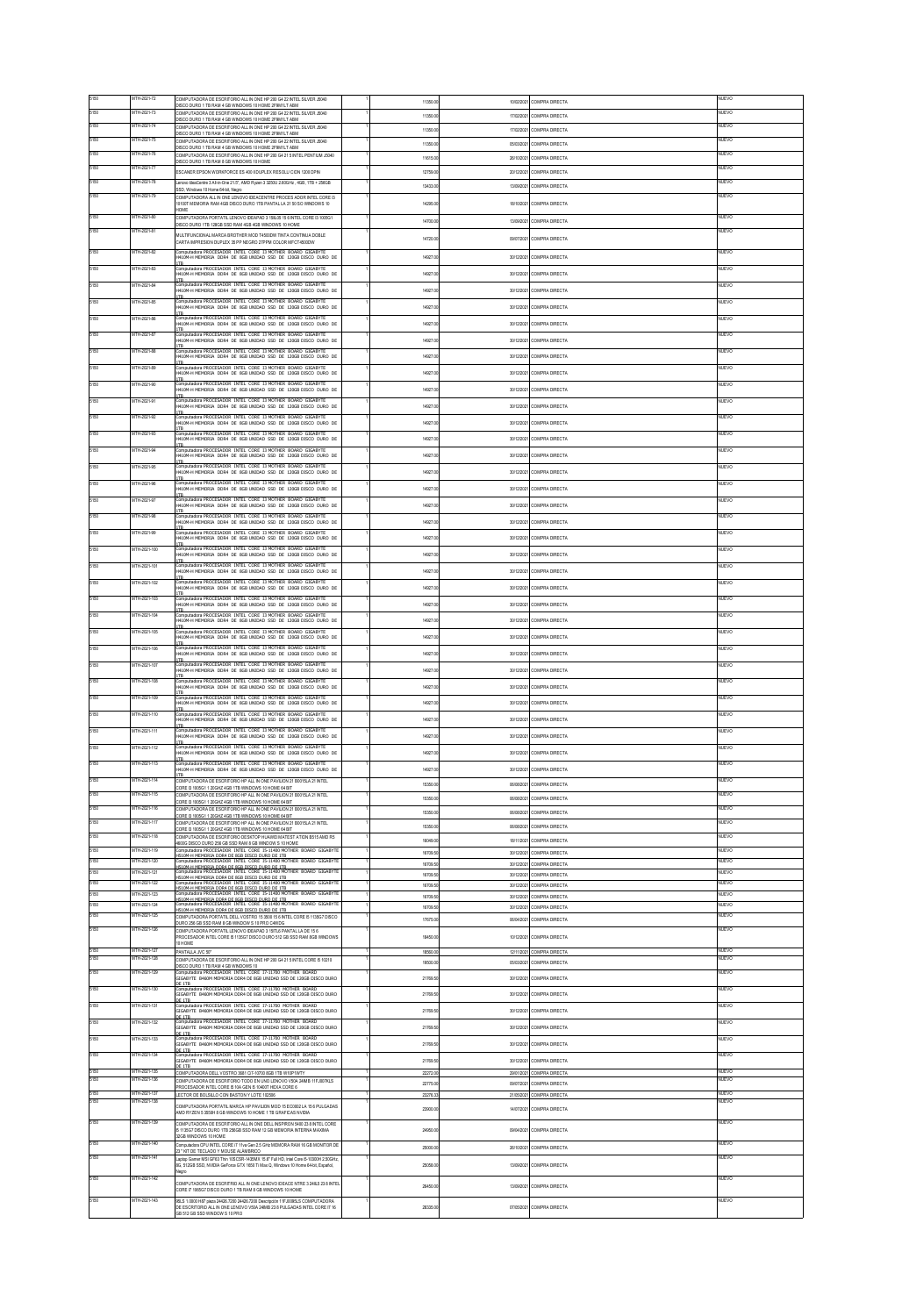|              | MTH-2021-72                  | COMPUTADORA DE ESCRITORIO ALL IN ONE HP 200 G4 22 INTEL SILVER J5040<br>ISCO DURO 1 TB RAM 4 GB WINDOWS 10 HOME 2F9M1LT ABM                                                                                                             | 11350.             | 10/02/202               | COMPRA DIRECTA                   | <b>IUEVO</b>          |
|--------------|------------------------------|-----------------------------------------------------------------------------------------------------------------------------------------------------------------------------------------------------------------------------------------|--------------------|-------------------------|----------------------------------|-----------------------|
| 5150         | MTH-2021-73                  | OMPUTADORA DE ESCRITORIO ALL IN ONE HP 200 G4 22 INTEL SILVER J5040<br>SCO DURO 1 TB RAM 4 GB WINDOWS 10 HOME 2F9M1LT ABM                                                                                                               | 11350.0            | 17/02/2021              | COMPRA DIRECTA                   | NUEVO                 |
| 5150         | TH-2021-7                    | OMPLITADORA DE ESCRITORIO ALLIN ONE HP 200 G4 22 INTEL SILVER JINMI                                                                                                                                                                     | 113501             | 17/02/202               | OMPRA DIRECTA                    | JEVO                  |
| 5150         | MTH-2021-75                  | ISCO DURO 1 TB RAM 4 GB WINDOWS 10 HOME 2F9M 1LT ABM<br>OMPUTADORA DE ESCRITORIO ALL IN ONE HP 200 G4 22 INTEL SILVER J5040                                                                                                             | 11350.0            | 05/03/202               | COMPRA DIRECTA                   | NUEVO                 |
| 5150         | MTH-2021-76                  | DISCO DURO 1 TB RAM 4 GB WINDOWS 10 HOME 2F9M1LT ABM<br>COMPUTADORA DE ESCRITORIO ALL IN ONE HP 200 G4 21 5 INTEL PENTIUM J5040                                                                                                         |                    |                         |                                  | difvo                 |
| 5150         | MTH-2021-77                  | ISCO DURO 1 TB RAM 8 GB WINDOWS 10 HOME                                                                                                                                                                                                 | 11615.0            | 26/10/2021              | COMPRA DIRECTA                   |                       |
|              |                              | SCANER EPSON WORKFORCE ES 400 II DUPLEX RESOLU CION 1200 DPIN                                                                                                                                                                           | 127591             | 20/12/202               | OMPRA DIRECTA                    | NUEVO                 |
| 5150         | MTH-2021-78                  | rovo IdeaCentre 3 All-in-One 21.5", AMD Ryzen 3 3250U 2.60GHz , 4GB, 1TB + 256GB<br>SSD, Windows 10 Home 64-bit, Negro                                                                                                                  | 13433.0            | 13/09/202               | COMPRA DIRECTA                   | <b>IUEVO</b>          |
| 5150         | MTH.2021.74                  | COMPUTADORA ALL IN ONE LENOVO IDEACENTRE PROCES ADOR INTEL CORE I3<br>0100T MEMORIA RAM 4GB DISCO DURO 1TB PANTAL LA 21 50 SO WINDOWS 10                                                                                                | 14295.             | 18/10/202               | COMPRA DIRECTA                   | difvo                 |
|              |                              | HOME                                                                                                                                                                                                                                    |                    |                         |                                  |                       |
| 5150         | MTH-2021-80                  | COMPUTADORA PORTATE LENOVO IDEAPAD 3 15IL05 15 6 INTEL CORE I3 1005G1<br>ISCO DURO 1TB 128GB SSD RAM 4GB 4GB WINDOWS 10 HOME                                                                                                            | 14700.0            | 13/09/2021              | COMPRA DIRECTA                   | <b>KUEVO</b>          |
| 5150         | MTH-2021-81                  | IULTIFUNCIONAL MARCA BROTHER MOD T4500DW TINTA CONTINUA DOBLE                                                                                                                                                                           | 14720.0            | 09/07/2021              | COMPRA DIRECTA                   | NUEVO                 |
| 5150         | MTH-2021-82                  | CARTA IMPRESION DUPLEX 35 PP NEGRO 27PPM COLOR MFCT4500DW<br>omputadora PROCESADOR INTEL CORE 13 MOTHER BOARD GIGABYTE                                                                                                                  |                    |                         |                                  | NUEVO                 |
|              |                              | 410M-H MEMORIA DOR4 DE 8GB UNIDAD SSD DE 120GB DISCO DURO DE                                                                                                                                                                            | 14927.0            | 30/12/2021              | COMPRA DIRECTA                   |                       |
| 5150         | MTH-2021-83                  | noutadora PROCESADOR INTEL CORE I3 MOTHER BOARD GIGABYTE<br>410M-H MEMORIA DDR4 DE 8GB UNIDAD SSD DE 120GB DISCO DURO DE                                                                                                                | 14927.0            | 30/12/2021              | COMPRA DIRECTA                   | <b>NUEVO</b>          |
| 5150         | ITH-2021-8                   | utadora PROCESADOR INTEL CORE I3 MOTHER BOARD GIGABYTE                                                                                                                                                                                  |                    |                         |                                  | iuevo                 |
|              |                              | 410M-H MEMORIA DDR4 DE 8GB UNIDAD SSD DE 120GB DISCO DURO DE<br>TВ                                                                                                                                                                      | 14927.0            | 30/12/202               | COMPRA DIRECTA                   |                       |
| 5150         | MTH-2021-85                  | mputadora PROCESADOR INTEL CORE I3 MOTHER BOARD GIGABYTE<br>410M-H MEMORIA DOR4 DE 8GB UNIDAD SSD DE 120GB DISCO DURO DE                                                                                                                | 14927.0            | 30/12/2021              | COMPRA DIRECTA                   | <b>IUEVO</b>          |
| 5150         | MTH-2021-86                  | <b>DOUGLOG PROCESANCE INTEL CORE 13 NOTHER ROARD GIGARYTE</b><br>410M-H MEMORIA DDR4 DE 8GB UNIDAD SSD DE 120GB DISCO DURO DE                                                                                                           | 14927.0            | 30/12/202               | COMPRA DIRECTA                   | NUEVO                 |
| 5150         | TH-2021-87                   |                                                                                                                                                                                                                                         |                    |                         |                                  | UEVO                  |
|              |                              | <br>omputadora PROCESADOR INTEL CORE I3 MOTHER BOARD GIGABYTE<br>410M-H MEMORIA DOR4 DE 8GB UNIDAD SSD DE 120GB DISCO DURO DE                                                                                                           | 14927.             | 30/12/202               | COMPRA DIRECTA                   |                       |
| 5150         | MTH-2021-88                  | mputadora PROCESADOR INTEL CORE I3 MOTHER BOARD GIGABYTE<br>410M-H MEMORIA DOR4 DE 8GB UNIDAD SSD DE 120GB DISCO DURO DE                                                                                                                | 14927.0            | 30/12/2021              | COMPRA DIRECTA                   | NUEVO                 |
| 5150         | MTH-2021-89                  | noutadora PROCESADOR INTEL CORE I3 MOTHER BOARD GIGABYTE<br>410M-H MEMORIA DDR4 DE 8GB UNIDAD SSD DE 120GB DISCO DURO DE                                                                                                                | 14927.0            | 30/12/2021              | COMPRA DIRECTA                   | NUEVO                 |
| 5150         | ITH-2021-90                  |                                                                                                                                                                                                                                         |                    |                         |                                  | <b>KUEVO</b>          |
|              |                              | <br>omputadora PROCESADOR INTEL CORE I3 MOTHER BOARD GIGABYTE<br>410M-H MEMORIA DOR4 DE 8GB UNIDAD SSD DE 120GB DISCO DURO DE                                                                                                           | 14927.             | 30/12/202               | COMPRA DIRECTA                   |                       |
| 5150         | MTH-2021-91                  | 410M-H MEMORIA DDR4 DE 8GB UNIDAD SSD DE 120GB DISCO DURO DE                                                                                                                                                                            | 14927.0            | 30/12/2021              | COMPRA DIRECTA                   | <b>IUEVO</b>          |
| 5150         | MTH-2021-92                  | toutadora PROCESADOR INTEL CORE I3 MOTHER BOARD GIGABYTE                                                                                                                                                                                |                    |                         |                                  | NUEVO                 |
|              |                              | 410M-H MEMORIA DDR4 DE 8GB UNIDAD SSD DE 120GB DISCO DURO DE                                                                                                                                                                            | 14927.0            | 30/12/202               | COMPRA DIRECTA                   |                       |
| 5150         | TH-2021-93                   | .<br>omputadora procesador: INTEL CORE I3 MOTHER: BOARD GIGABYTE<br>410M-H MEMORIA: DOR4: DE 8GB UNIDAD: SSD: DE: 120GB DISCO: DURO: DE                                                                                                 | 14927.             | 30/12/202               | COMPRA DIRECTA                   | UEVO                  |
| 5150         | MTH-2021-94                  | dora PROCESADOR INTEL CORE I3 MOTHER BOARD GI<br>410M-H MEMORIA DDR4 DE 8GB UNIDAD SSD DE 120GB DISCO DURO DE                                                                                                                           | 14927.0            | 30/12/2021              | COMPRA DIRECTA                   | NUEVO                 |
| 5150         | MTH-2021-95                  | moutadora PROCESADOR INTEL CORE I3 MOTHER BOARD GIGABYTE                                                                                                                                                                                |                    |                         |                                  | NUEVO                 |
|              |                              | 410M-H MEMORIA DDR4 DE 8GB UNIDAD SSD DE 120GB DISCO DURO DE                                                                                                                                                                            | 14927.0            | 30/12/2021              | COMPRA DIRECTA                   |                       |
| 5150         | MTH-2021-96                  | .<br>Omputadora procesador: INTEL CORE I3 MOTHER: BOARD GIGABYTE<br>410M-H MEMORIA: DOR4: DE 8GB UNIDAD: SSD: DE: 120GB DISCO: DURO: DE                                                                                                 | 14927.             | 30/12/202               | COMPRA DIRECTA                   | <b>IUEVO</b>          |
| 5150         | MTH-2021-97                  | ara PROCESADOR INTEL CORE I3 MOTHER BOARD GIGA                                                                                                                                                                                          |                    |                         |                                  | NUEVO                 |
| 5150         | MTH-2021-98                  | 410M-H MEMORIA DDR4 DE 8GB UNIDAD SSD DE 120GB DISCO DURO DE<br>Imputadora PROCESADOR INTEL CORE I3 MOTHER BOARD GIGABYTE                                                                                                               | 14927.0            | 30/12/2021              | COMPRA DIRECTA                   | NUEVO                 |
|              |                              | 4410M-H MEMORIA DDR4 DE 8GB UNIDAD SSD DE 120GB DISCO DURO DE                                                                                                                                                                           | 14927.0            | 30/12/2021              | COMPRA DIRECTA                   |                       |
| 5150         | TH-2021-99                   | ia<br>omputadora PROCESADOR, INTEL CORE I3 MOTHER, BOARD, GIGABYTE<br>410M-H MEMORIA, DOR4, DE 8GB UNIDAD, SSD, DE 120GB DISCO, DURO, DE                                                                                                | 14927.             | 30/12/202               | COMPRA DIRECTA                   | UEVO                  |
| 5150         | MTH-2021-100                 | Iputadora PROCESADOR INTEL CORE I3 MOTHER BOARD GIO                                                                                                                                                                                     |                    |                         |                                  | NUEVO                 |
|              |                              | 410M-H MEMORIA DOR4 DE 8GB UNIDAD SSD DE 120GB DISCO DURO DE                                                                                                                                                                            | 14927.0            | 30/12/202               | COMPRA DIRECTA                   |                       |
| 5150         | MTH-2021-101                 | mputadora PROCESADOR INTEL CORE I3 MOTHER BOARD GIGABYTE<br>410M-H MEMORIA DOR4 DE 8GB UNIDAD SSD DE 120GB DISCO DURO DE                                                                                                                | 14927.0            | 30/12/2021              | COMPRA DIRECTA                   | NUEVO                 |
| 5150         | MTH-2021-102                 | omputadora PROCESADOR INTEL CORE I3 MOTHER BOARD GIGABYTE<br>1410M-H MEMORIA DOR4 DE 8GB UNIDAD SSD DE 120GB DISCO DURO DE                                                                                                              | 14927.0            | 30/12/2021              | COMPRA DIRECTA                   | difvo                 |
| 5150         | VTH-2021-103                 | ROCESADOR INTEL CORE I3 MOTHER BOARD GIG                                                                                                                                                                                                |                    |                         |                                  | iuevo                 |
|              |                              | 410M-H MEMORIA DDR4 DE 8GB UNIDAD SSD DE 120GB DISCO DURO DE                                                                                                                                                                            | 14927.0            | 30/12/2021              | COMPRA DIRECTA                   |                       |
| 5150         | MTH-2021-104                 | mputadora PROCESADOR INTEL CORE I3 MOTHER BOARD GIGABYTE<br>410M-H MEMORIA DOR4 DE 8GB UNIDAD SSD DE 120GB DISCO DURO DE                                                                                                                | 14927.0            | 30/12/2021              | COMPRA DIRECTA                   | NUEVO                 |
| 5150         | VTH-2021-105                 | IDUTADOR PROCESADOR INTEL CORE I3 MOTHER BOARD GIGABYT                                                                                                                                                                                  |                    |                         |                                  | UEVO                  |
| 5150         | TH-2021-106                  | 410M-H MEMORIA DDR4 DE 8GB UNIDAD SSD DE 120GB DISCO DURO DE<br>ora PROCESADOR INTEL CORE 13 MOTHER BOARD GI                                                                                                                            | 14927.             | 30/12/202               | COMPRA DIRECTA                   | UEVO                  |
|              |                              | 410M-H MEMORIA DDR4 DE 8GB UNIDAD SSD DE 120GB DISCO DURO DE                                                                                                                                                                            | 14927.0            | 30/12/2021              | COMPRA DIRECTA                   |                       |
| 5150         | MTH-2021-107                 | mputadora PROCESADOR INTEL CORE I3 MOTHER BOARD GIGABYTE<br>410M-H MEMORIA DOR4 DE 8GB UNIDAD SSD DE 120GB DISCO DURO DE                                                                                                                | 14927.0            | 30/12/2021              | COMPRA DIRECTA                   | NUEVO                 |
| 5150         | MTH-2021-108                 | moutadora PROCESADOR INTEL CORE I3 MOTHER BOARD GIGABYTE                                                                                                                                                                                |                    |                         |                                  | NUEVO                 |
|              |                              | 410M-H MEMORIA DDR4 DE 8GB UNIDAD SSD DE 120GB DISCO DURO DE                                                                                                                                                                            | 14927.0            | 30/12/2021              | COMPRA DIRECTA                   |                       |
| 5150         | ITH-2021-10                  | SADOR INTEL CORE I3 MOTHER BOARD GIG<br>410M-H MEMORIA DDR4 DE 8GB UNIDAD SSD DE 120GB DISCO DURO DE                                                                                                                                    | 14927.0            | 30/12/2021              | COMPRA DIRECTA                   | UEVO                  |
| 5150         | MTH-2021-110                 | mputadora PROCESADOR INTEL CORE 13 MOTHER BOARD GIGABYTE<br>410M-H MEMORIA DDR4 DE 8GB UNIDAD SSD DE 120GB DISCO DURO DE                                                                                                                | 14927.0            | 30/12/2021              | COMPRA DIRECTA                   | NUEVO                 |
| 5150         | MTH-2021-111                 | noutadora PROCESADOR INTEL CORE I3 MOTHER BOARD GIGABYTE                                                                                                                                                                                |                    |                         |                                  | <b>KUEVO</b>          |
|              |                              | 410M-H MEMORIA DDR4 DE 8GB UNIDAD SSD DE 120GB DISCO DURO DE                                                                                                                                                                            | 14927.             | 30/12/202               | COMPRA DIRECTA                   |                       |
| 5150         | TH-2021-112                  | :n<br>omputadora Procesador: INTEL CORE I3 MOTHER BOARD GIGABYTE<br>410M-H MEMORIA DOR4 DE 8GB UNIDAD SSD DE 120GB DISCO DURO DE                                                                                                        | 14927.             | 30/12/202               | COMPRA DIRECTA                   | UEVO                  |
| 5150         | MTH-2021-113                 | TВ<br>mputadora PROCESADOR INTEL CORE I3 MOTHER BOARD GIGABYTE                                                                                                                                                                          |                    |                         | COMPRA DIRECTA                   | NUEVO                 |
| 5150         | MTH-2021-114                 | 4410M-H MEMORIA DDR4 DE 8GB UNIDAD SSD DE 120GB DISCO DURO DE<br>OMPUTADORA DE ESCRITORIO HP ALL IN ONE PAVILION 21 B001SLA 21 INTEL                                                                                                    | 14927.0            | 30/12/2021              |                                  | NUEVO                 |
|              |                              | ORE I3 1005G1 1 20GHZ 4GB 1TB WINDOWS 10 HOME 64 BIT                                                                                                                                                                                    | 15350.0            | 06/08/2021              | COMPRA DIRECTA                   |                       |
| 5150         | TH-2021-115                  | OMPUTADORA DE ESCRITORIO HP AU IN ONE PAVILION 21 ROMA A 21 INTEL<br>ORE IS 1005G1 1 20GHZ 4GB 1TB WINDOWS 10 HOME 64 BIT                                                                                                               | 15350.             | 06/08/202               | COMPRA DIRECTA                   | JEVO                  |
| 5150         | MTH-2021-116                 | OMPUTADORA DE ESCRITORIO HP ALL IN ONE PAVILION 21 B0015LA 21 INTEL<br>ORE I3 1005G1 1 20GHZ 4GB 1TB WINDOWS 10 HOME 64 BIT                                                                                                             | 15350.             | 06/08/202               | COMPRA DIRECTA                   | <b>IUEVO</b>          |
| 5150         | MTH-2021-117                 | OMPUTADORA DE ESCRITORIO HP ALL IN ONE PAVILION 21 B0015LA 21 INTEL                                                                                                                                                                     | 15350.0            | 06/08/2021              | COMPRA DIRECTA                   | NUEVO                 |
| 5150         | TH-2021-118                  | ORE I3 1005G1 1 20GHZ 4GB 1TB WINDOWS 10 HOME 64 BIT<br>OMPUTADORA DE ESCRITORIO DESKTOP HUAWEIMATEST ATION R515 AMD R5                                                                                                                 | 160491             | 18/11/202               | OMPRA DIRECTA                    | UEVO                  |
| 5150         | MTH-2021-119                 | 600G DISCO DURO 256 GB SSD RAM 8 GB WINDOW S 10 HOME<br>omputadora PROCESADOR INTEL CORE 15-11400 MOTHER BOARD GIGABYTE                                                                                                                 |                    |                         |                                  | <b>IUEVO</b>          |
| 5150         | MTH-2021-120                 | .<br>ISIOM-H MEMORIA DDR4 DE 8GB DISCO DURO DE 1TB<br>Computadora PROCESADOR INTEL CORE 15-11400 MOTHER BOARD GIGABYTE                                                                                                                  | 16709.5<br>16709.5 | 30/12/202<br>30/12/2021 | COMPRA DIRECTA<br>COMPRA DIRECTA | NUEVO                 |
|              | MTH-2021-121                 | .<br>KIOM-H MEMORIA DORA DE ROR DIKOD DURO DE ITR.<br>IOMPUTADOR PROCESADOR INTEL CORE IS-11400 MOTHER BOARD GIGABYTI                                                                                                                   | 16709.50           |                         | 30/12/2021 COMPRA DIRECTA        |                       |
| 5150         | MTH-2021-122                 |                                                                                                                                                                                                                                         | 16709.5            | 30/12/2021              | COMPRA DIRECTA                   | UEVO                  |
| 5150         | TH-2021-123                  | SIDM-IN HERCRIA DISRUE DE SIZI DISCO DURO DE ITAL<br>SIDM-IN HERCRIA DORO I DE SIZI DISCO DURO DE ITALI DISPUNSO GIGABYTI<br>SIDM-IN HERCRIA DISRUE DE SIZI DISCO DURO DE ITAL<br>CIDM-IN HERCRIA DISRUE DE SIZI DISPUNDI DI DE ITALI D | 16709.5            | 30/12/2021              | COMPRA DIRECTA                   | UEVO                  |
| 5150         | MTH-2021-124                 | IS10M-H MEMORIA DDR4 DE 8GB DISCO DURO DE 1TB                                                                                                                                                                                           | 16709.50           | 30/12/2021              | COMPRA DIRECTA                   | NUEVO                 |
| 5150         | MTH-2021-125                 | OMPUTADORA PORTATE DELL VOSTRO 15 3500 15 6 INTEL CORE IS 1135G7 DISCO<br>DURO 256 GB SSD RAM 8 GB WINDOW S 10 PRO C4WDG                                                                                                                | 17675.0            | 06/04/202               | COMPRA DIRECTA                   | NUEVO                 |
| 5150         | TH-2021-126                  | COMPUTADORA PORTATL LENOVO IDEAPAD 3 15/TL6 PANTAL LA DE 156                                                                                                                                                                            | 18450.0            | 10/12/202               | COMPRA DIRECTA                   | UEVO                  |
|              |                              | ROCESADOR INTEL CORE IS 1135G7 DISCO DURO 512 GB SSD RAM 8GB WINDOWS<br>10 HOME                                                                                                                                                         |                    |                         |                                  |                       |
| 5150<br>5150 | MTH-2021-127<br>ITH-2021-128 | PANTALLA JVC 50°<br>COMPUTADORA DE ESCRITORIO ALL IN ONE HP 200 G4 21 5 INTEL CORE IS 10210                                                                                                                                             | 18560.00           | 12/11/2021              | COMPRA DIRECTA                   | KUEVO<br><b>IUEVO</b> |
| 5150         | MTH-2021-129                 | ISCO DURO 1 TB RAM 4 GB WINDOWS 10                                                                                                                                                                                                      | 19500.0            | 05/03/2021              | COMPRA DIRECTA                   | NUEVO                 |
|              |                              | 30GABYTE B460M MEMORIA DDR4 DE 8GB UNIDAD SSD DE 120GB DISCO DURO                                                                                                                                                                       |                    |                         |                                  |                       |
| 5150         |                              | DE 1TB                                                                                                                                                                                                                                  | 21769.5            | 30/12/2021              | COMPRA DIRECTA                   |                       |
| 5150         | MTH-2021-130                 | utadora PROCESADOR INTEL CORE 17-11700 MOTHER BOARD<br>JGABYTE B460M MEMORIA DDR4 DE 8GB UNIDAD SSD DE 120GB DISCO DURO                                                                                                                 | 21769.9            | 30/12/2021              | COMPRA DIRECTA                   | NUEVO                 |
|              | MTH-2021-131                 |                                                                                                                                                                                                                                         |                    |                         |                                  | <b>IUEVO</b>          |
| 5150         |                              | = 1.1.<br>omputadora PROCESADOR: INTEL: CORE: 17-11700 MOTHER: BOARD<br>IGABYTE: B460M MEMORIA DOR4 DE 8GB UNIDAD SSD DE 120GB DISCO DURO                                                                                               | 21769.5            | 30/12/202               | COMPRA DIRECTA                   |                       |
|              | MTH-2021-132                 | Ira PROCESADOR INTEL CORE 17-11700 MOTHER BOAR<br>53GABYTE B460M MEMORIA DDR4 DE 8GB UNIDAD SSD DE 120GB DISCO DURO                                                                                                                     | 21769.5            | 30/12/2021              | COMPRA DIRECTA                   | NUEVO                 |
| 5150         | MTH-2021-133                 | $F$ ITR<br>moutadora PROCESADOR INTEL CORE 17-11700 MOTHER BOARD                                                                                                                                                                        |                    |                         |                                  | NUEVO                 |
|              | TH-2021-134                  | JGABYTE B460M MEMORIA DDR4 DE 8GB UNIDAD SSD DE 120GB DISCO DURO                                                                                                                                                                        | 21769.5            | 30/12/2021              | COMPRA DIRECTA                   |                       |
| 5150         |                              | E 418<br>omputadora PROCESADOR: INTEL: CORE: 17-11700 MOTHER: BOARD<br>IGABYTE: B460M MEMORIA DDR4 DE 8GB UNIDAD SSD DE 120GB DISCO DURO                                                                                                | 21769.             | 30/12/202               | COMPRA DIRECTA                   | <b>IUEVO</b>          |
| 5150         | MTH-2021-135                 | OMPUTADORA DELL VOSTRO 3681 C/7-10700 8GB 1TB W10P1WTY                                                                                                                                                                                  | 22272.0            | 29/01/202               | COMPRA DIRECTA                   | NUEVO                 |
| 5150         | MTH-2021-136                 | OMPUTADORA DE ESCRITORIO TODO EN UNO LENOVO V50A 24MB 11FJ007KLS<br>ROCESADOR INTEL CORE IS 10A GEN IS 10400T HEXA CORE 6                                                                                                               | 22775.0            | 09/07/2021              | COMPRA DIRECTA                   | NUEVO                 |
| 5150<br>5150 | MTH-2021-137<br>MTH-2021-138 | ECTOR DE BOLSILLO CON BASTON Y LOTE 102506                                                                                                                                                                                              | 23276.33           | 21/05/2021              | COMPRA DIRECTA                   | NUEVO<br><b>IUEVO</b> |
|              |                              | COMPUTADORA PORTATL MARCA HP PAVILION MOD 15 EC0002 LA 15 6 PULGADAS<br>MID RYZEN 5 3550H 8 GB WINDOWS 10 HOME 1 TB GRAFICAS NVDIA                                                                                                      | 23900.0            | 14/07/2021              | COMPRA DIRECTA                   |                       |
| 5150         | MTH-2021-139                 | COMPUTADORA DE ESCRITORIO ALL IN ONE DELL INSPIRON 5400 23 8 INTEL CORE                                                                                                                                                                 |                    |                         |                                  | NUEVO                 |
|              |                              | 5 1135G7 DISCO DURO 1TB 256GB SSD RAM 12 GB MEMORIA INTERNA MAXIMA<br>2GB WINDOWS 10 HOME                                                                                                                                               | 24950.0            | 09/04/2021              | COMPRA DIRECTA                   |                       |
| 5150         | VTH-2021-140                 | amputadora CPU INTEL CORE i7 11va Gen 2.5 GHz MEMORA RAM 16 GB MONITOR DE<br>23" KIT DE TECLADO Y MOUSE ALÂMBRICO                                                                                                                       | 25000.0            |                         | 26/10/2021 COMPRA DIRECTA        | <b>IUEVO</b>          |
| 5150         | MTH-2021-141                 | aptop Gamer MSI GF63 Thin 10SCSR-1439MX 15.6" Full HD, Intel Core i5-10300H 2.50GHz,                                                                                                                                                    |                    |                         |                                  | NUEVO                 |
|              |                              | G, 512GB SSD, NVIDIA GeForce GTX 1650 Ti Max Q, Windows 10 Home 64 bit, Español,                                                                                                                                                        | 250581             | 13/09/202               | COMPRA DIRECTA                   |                       |
| 5150         | MTH-2021-142                 | OMPUTADORA DE ESCRITRIO ALL IN ONE LENOVO IDEACE NTRE 3 24IL5 23 8 INTEI                                                                                                                                                                |                    |                         |                                  | NUEVO                 |
|              |                              | ORE IT 1065GT DISCO DURO 1 TB RAM 8 GB WINDOWS 10 HOME                                                                                                                                                                                  | 26450.0            | 13/09/2021              | COMPRA DIRECTA                   |                       |
| 5150         | MTH-2021-143                 | 95LS 1.0000 HB7 pieza 24426.7200 24426.7200 Descripción 11FJ0095LS COMPUTADORA<br>DE ESCRITORIO ALL IN ONE LENOVO V50A 24MB 23 8 PULGADAS INTEL CORE 17 16<br>B 512 GB SSD WINDOW S 10 PRO                                              | 28335.0            | 07/05/2021              | COMPRA DIRECTA                   | <b>IUEVO</b>          |